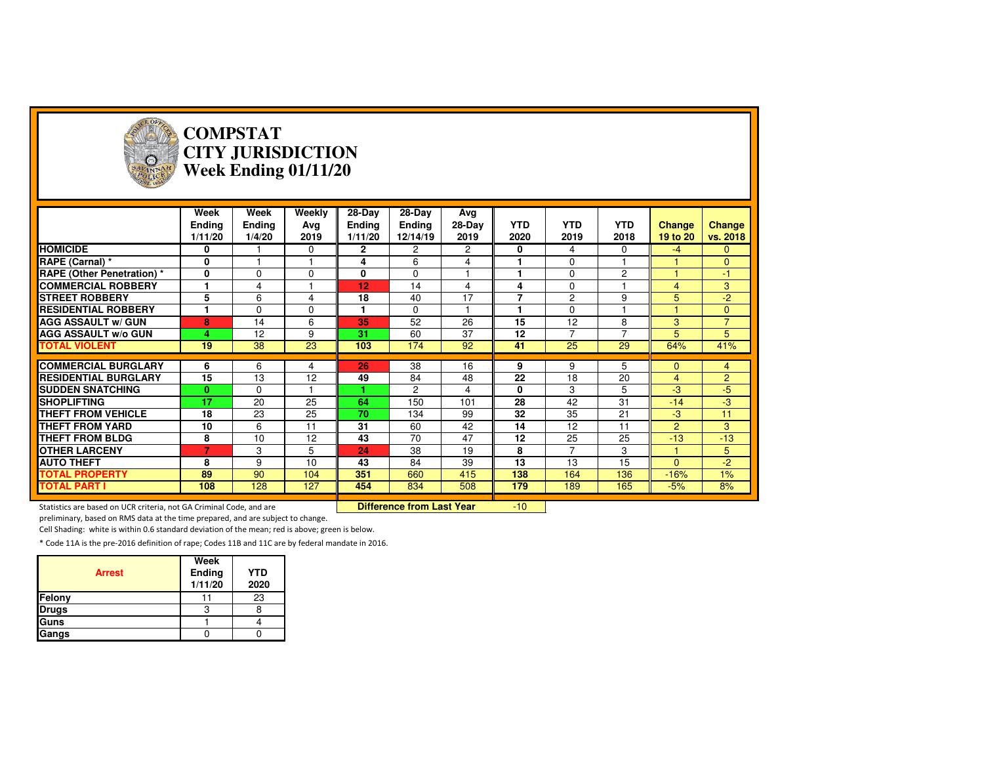

#### **COMPSTAT CITY JURISDICTIONWeek Ending 01/11/20**

|                                   | Week<br><b>Ending</b><br>1/11/20 | Week<br><b>Ending</b><br>1/4/20 | Weekly<br>Ava<br>2019 | 28-Day<br><b>Ending</b><br>1/11/20 | 28-Day<br>Ending<br>12/14/19 | Avg<br>28-Day<br>2019 | <b>YTD</b><br>2020       | <b>YTD</b><br>2019 | <b>YTD</b><br>2018 | <b>Change</b><br>19 to 20 | Change<br>vs. 2018 |
|-----------------------------------|----------------------------------|---------------------------------|-----------------------|------------------------------------|------------------------------|-----------------------|--------------------------|--------------------|--------------------|---------------------------|--------------------|
| <b>HOMICIDE</b>                   | 0                                |                                 | $\Omega$              | $\mathbf{2}$                       | $\mathbf{2}^{\circ}$         | $\overline{c}$        | 0                        | 4                  | $\Omega$           | $-4$                      | $\Omega$           |
| RAPE (Carnal) *                   | 0                                |                                 |                       | 4                                  | 6                            | 4                     |                          | $\mathbf 0$        |                    |                           | $\Omega$           |
| <b>RAPE (Other Penetration)</b> * | 0                                | $\Omega$                        | $\Omega$              | 0                                  | 0                            |                       |                          | $\mathbf 0$        | $\overline{c}$     |                           | $-1$               |
| <b>COMMERCIAL ROBBERY</b>         |                                  | 4                               |                       | 12                                 | 14                           | 4                     | 4                        | $\mathbf 0$        |                    | $\overline{4}$            | 3                  |
| <b>ISTREET ROBBERY</b>            | 5                                | 6                               | 4                     | 18                                 | 40                           | 17                    | $\overline{\phantom{a}}$ | $\overline{c}$     | 9                  | 5                         | $-2$               |
| <b>RESIDENTIAL ROBBERY</b>        |                                  | $\Omega$                        | $\Omega$              | 1                                  | $\Omega$                     |                       |                          | $\mathbf 0$        |                    |                           | $\mathbf{0}$       |
| <b>AGG ASSAULT w/ GUN</b>         | 8                                | 14                              | 6                     | 35                                 | 52                           | 26                    | 15                       | 12                 | 8                  | 3                         | $\overline{7}$     |
| <b>AGG ASSAULT w/o GUN</b>        | 4                                | 12                              | 9                     | 31                                 | 60                           | 37                    | 12                       | $\overline{7}$     | $\overline{7}$     | 5                         | 5                  |
| <b>TOTAL VIOLENT</b>              | 19                               | 38                              | 23                    | 103                                | 174                          | 92                    | 41                       | 25                 | 29                 | 64%                       | 41%                |
|                                   |                                  |                                 |                       |                                    |                              |                       |                          |                    |                    |                           |                    |
| <b>COMMERCIAL BURGLARY</b>        | 6                                | 6                               | 4                     | 26                                 | 38                           | 16                    | 9                        | 9                  | 5                  | $\Omega$                  | 4                  |
| <b>RESIDENTIAL BURGLARY</b>       | 15                               | 13                              | 12                    | 49                                 | 84                           | 48                    | 22                       | 18                 | 20                 | $\overline{4}$            | $\overline{2}$     |
| <b>SUDDEN SNATCHING</b>           | 0                                | $\Omega$                        |                       |                                    | 2                            | 4                     | $\mathbf{0}$             | 3                  | 5                  | -3                        | $-5$               |
| <b>SHOPLIFTING</b>                | 17                               | 20                              | 25                    | 64                                 | 150                          | 101                   | 28                       | 42                 | 31                 | $-14$                     | -3                 |
| <b>THEFT FROM VEHICLE</b>         | 18                               | 23                              | 25                    | 70                                 | 134                          | 99                    | 32                       | 35                 | 21                 | $-3$                      | 11                 |
| <b>THEFT FROM YARD</b>            | 10                               | 6                               | 11                    | 31                                 | 60                           | 42                    | 14                       | 12                 | 11                 | $\mathcal{P}$             | 3                  |
| <b>THEFT FROM BLDG</b>            | 8                                | 10                              | 12                    | 43                                 | 70                           | 47                    | 12                       | 25                 | 25                 | $-13$                     | $-13$              |
| <b>OTHER LARCENY</b>              | 7                                | 3                               | 5                     | 24                                 | 38                           | 19                    | 8                        | 7                  | 3                  | 1                         | 5                  |
| <b>AUTO THEFT</b>                 | 8                                | 9                               | 10                    | 43                                 | 84                           | 39                    | 13                       | 13                 | 15                 | $\Omega$                  | $-2$               |
| <b>TOTAL PROPERTY</b>             | 89                               | 90                              | 104                   | 351                                | 660                          | 415                   | 138                      | 164                | 136                | $-16%$                    | 1%                 |
| <b>TOTAL PART I</b>               | 108                              | 128                             | 127                   | 454                                | 834                          | 508                   | 179                      | 189                | 165                | $-5%$                     | 8%                 |

Statistics are based on UCR criteria, not GA Criminal Code, and are **Difference from Last Year** 

-10

preliminary, based on RMS data at the time prepared, and are subject to change.

Cell Shading: white is within 0.6 standard deviation of the mean; red is above; green is below.

| <b>Arrest</b> | Week<br>Ending<br>1/11/20 | <b>YTD</b><br>2020 |
|---------------|---------------------------|--------------------|
| Felony        |                           | 23                 |
| <b>Drugs</b>  |                           |                    |
| Guns          |                           |                    |
| Gangs         |                           |                    |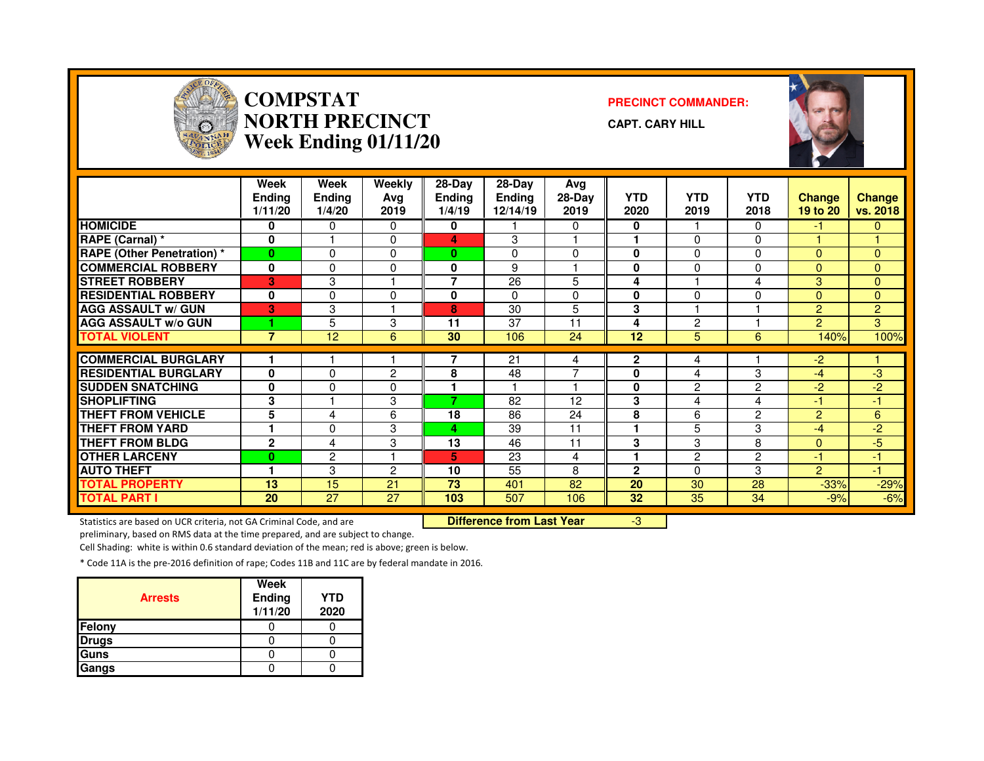

#### **COMPSTAT PRECINCT COMMANDER: NORTH PRECINCTWeek Ending 01/11/20**

**CAPT. CARY HILL**



|                                  | <b>Week</b><br><b>Ending</b><br>1/11/20 | Week<br><b>Ending</b><br>1/4/20 | Weekly<br>Ava<br>2019 | 28-Day<br>Ending<br>1/4/19 | 28-Day<br><b>Ending</b><br>12/14/19 | Avg<br>28-Day<br>2019 | <b>YTD</b><br>2020 | <b>YTD</b><br>2019 | <b>YTD</b><br>2018 | <b>Change</b><br>19 to 20 | <b>Change</b><br>vs. 2018 |
|----------------------------------|-----------------------------------------|---------------------------------|-----------------------|----------------------------|-------------------------------------|-----------------------|--------------------|--------------------|--------------------|---------------------------|---------------------------|
| <b>HOMICIDE</b>                  | 0                                       | 0                               | 0                     | 0                          |                                     | 0                     | 0                  |                    | 0                  | -1                        | $\mathbf{0}$              |
| RAPE (Carnal) *                  | $\bf{0}$                                |                                 | $\Omega$              | 4                          | 3                                   |                       | 1                  | $\Omega$           | 0                  |                           |                           |
| <b>RAPE (Other Penetration)*</b> | $\bf{0}$                                | 0                               | $\Omega$              | 0                          | $\mathbf{0}$                        | 0                     | $\bf{0}$           | $\Omega$           | $\Omega$           | $\mathbf{0}$              | $\Omega$                  |
| <b>COMMERCIAL ROBBERY</b>        | 0                                       | 0                               | 0                     | 0                          | 9                                   |                       | 0                  | 0                  | $\Omega$           | $\Omega$                  | $\Omega$                  |
| <b>STREET ROBBERY</b>            | 3                                       | 3                               |                       | 7                          | 26                                  | 5                     | 4                  |                    | 4                  | 3                         | $\mathbf{0}$              |
| <b>RESIDENTIAL ROBBERY</b>       | 0                                       | 0                               | 0                     | 0                          | $\Omega$                            | $\Omega$              | 0                  | 0                  | 0                  | $\Omega$                  | $\Omega$                  |
| <b>AGG ASSAULT w/ GUN</b>        | 3                                       | 3                               |                       | 8                          | 30                                  | 5                     | 3                  |                    |                    | 2                         | $\overline{2}$            |
| <b>AGG ASSAULT w/o GUN</b>       |                                         | 5                               | 3                     | 11                         | 37                                  | 11                    | 4                  | 2                  |                    | $\mathbf{P}$              | 3                         |
| <b>TOTAL VIOLENT</b>             | $\overline{7}$                          | 12                              | 6                     | 30                         | 106                                 | 24                    | 12                 | 5.                 | 6                  | 140%                      | 100%                      |
| <b>COMMERCIAL BURGLARY</b>       |                                         |                                 |                       |                            | 21                                  |                       | $\mathbf{2}$       |                    |                    | -2                        |                           |
|                                  |                                         |                                 |                       |                            |                                     | 4                     |                    | 4                  |                    |                           |                           |
| <b>RESIDENTIAL BURGLARY</b>      | 0                                       | 0                               | $\overline{2}$        | 8                          | 48                                  |                       | 0                  | 4                  | 3                  | -4                        | -3                        |
| <b>SUDDEN SNATCHING</b>          | 0                                       | 0                               | 0                     |                            |                                     |                       | 0                  | 2                  | $\overline{2}$     | -2                        | $-2$                      |
| <b>SHOPLIFTING</b>               | 3                                       |                                 | 3                     | 7                          | 82                                  | 12                    | 3                  | 4                  | 4                  | -1                        | -1                        |
| <b>THEFT FROM VEHICLE</b>        | 5                                       | 4                               | 6                     | 18                         | 86                                  | 24                    | 8                  | 6                  | $\overline{2}$     | 2                         | 6                         |
| <b>THEFT FROM YARD</b>           |                                         | 0                               | 3                     | 4                          | 39                                  | 11                    | ٠                  | 5.                 | 3                  | -4                        | $-2$                      |
| <b>THEFT FROM BLDG</b>           | $\mathbf{2}$                            | 4                               | 3                     | 13                         | 46                                  | 11                    | 3                  | 3                  | 8                  | $\Omega$                  | $-5$                      |
| <b>OTHER LARCENY</b>             | $\bf{0}$                                | 2                               |                       | 5                          | 23                                  | 4                     | 1                  | $\overline{2}$     | $\overline{2}$     | -1                        | $-1$                      |
| <b>AUTO THEFT</b>                | 1                                       | 3                               | $\overline{2}$        | 10                         | 55                                  | 8                     | $\mathbf{2}$       | 0                  | 3                  | 2                         | $-1$                      |
| <b>TOTAL PROPERTY</b>            | 13                                      | 15                              | 21                    | 73                         | 401                                 | 82                    | 20                 | 30                 | 28                 | $-33%$                    | $-29%$                    |
| <b>TOTAL PART I</b>              | 20                                      | 27                              | 27                    | 103                        | 507                                 | 106                   | 32                 | 35                 | 34                 | $-9%$                     | $-6%$                     |

Statistics are based on UCR criteria, not GA Criminal Code, and are **Difference from Last Year** 

-3

preliminary, based on RMS data at the time prepared, and are subject to change.

Cell Shading: white is within 0.6 standard deviation of the mean; red is above; green is below.

| <b>Arrests</b> | Week<br>Ending<br>1/11/20 | YTD<br>2020 |
|----------------|---------------------------|-------------|
| <b>Felony</b>  |                           |             |
| <b>Drugs</b>   |                           |             |
| <b>Guns</b>    |                           |             |
| Gangs          |                           |             |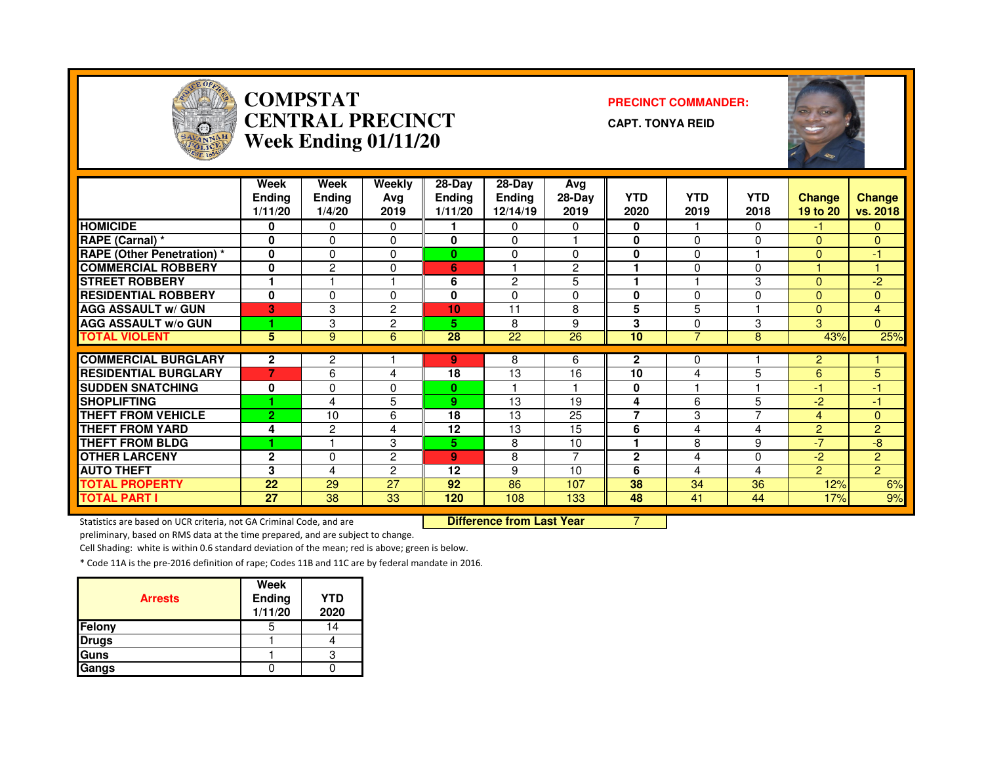

#### **COMPSTAT PRECINCT COMMANDER: CENTRAL PRECINCTWeek Ending 01/11/20**

**CAPT. TONYA REID**



|                                  | Week<br><b>Ending</b><br>1/11/20 | Week<br>Ending<br>1/4/20 | Weekly<br>Ava<br>2019 | $28-Dav$<br><b>Ending</b><br>1/11/20 | $28-Dav$<br><b>Ending</b><br>12/14/19 | Avg<br>$28-Day$<br>2019 | <b>YTD</b><br>2020 | <b>YTD</b><br>2019 | <b>YTD</b><br>2018 | <b>Change</b><br>19 to 20 | <b>Change</b><br>vs. 2018 |
|----------------------------------|----------------------------------|--------------------------|-----------------------|--------------------------------------|---------------------------------------|-------------------------|--------------------|--------------------|--------------------|---------------------------|---------------------------|
| <b>HOMICIDE</b>                  | 0                                | 0                        | 0                     |                                      | 0                                     | 0                       | 0                  |                    | $\Omega$           | -1                        | 0                         |
| RAPE (Carnal) *                  | $\Omega$                         | $\Omega$                 | 0                     | $\bf{0}$                             | $\Omega$                              |                         | 0                  | $\Omega$           | $\Omega$           | $\Omega$                  | $\Omega$                  |
| <b>RAPE (Other Penetration)*</b> | $\Omega$                         | 0                        | 0                     | $\bf{0}$                             | 0                                     | $\Omega$                | 0                  | $\Omega$           |                    | $\mathbf{0}$              | -1                        |
| <b>COMMERCIAL ROBBERY</b>        | $\bf{0}$                         | $\overline{c}$           | 0                     | 6                                    |                                       | $\mathbf{2}$            | ٠                  | 0                  | $\Omega$           |                           |                           |
| <b>STREET ROBBERY</b>            |                                  |                          |                       | 6                                    | $\overline{2}$                        | 5                       | ٠                  |                    | 3                  | $\Omega$                  | $-2$                      |
| <b>RESIDENTIAL ROBBERY</b>       | $\bf{0}$                         | $\Omega$                 | $\Omega$              | 0                                    | $\Omega$                              | $\Omega$                | 0                  | $\Omega$           | $\Omega$           | $\Omega$                  | $\Omega$                  |
| <b>AGG ASSAULT w/ GUN</b>        | 3                                | 3                        | $\overline{c}$        | 10                                   | 11                                    | 8                       | 5                  | 5                  |                    | $\Omega$                  | 4                         |
| <b>AGG ASSAULT w/o GUN</b>       |                                  | 3                        | $\overline{c}$        | 5                                    | 8                                     | 9                       | 3                  | 0                  | 3                  | 3                         | $\Omega$                  |
| <b>TOTAL VIOLENT</b>             | 5                                | 9                        | 6                     | 28                                   | 22                                    | 26                      | 10                 | 7                  | 8                  | 43%                       | 25%                       |
|                                  |                                  |                          |                       |                                      |                                       |                         |                    |                    |                    |                           |                           |
| <b>COMMERCIAL BURGLARY</b>       | $\mathbf{2}$                     | $\overline{c}$           |                       | 9                                    | 8                                     | 6                       | $\mathbf{2}$       | 0                  |                    | 2                         |                           |
| <b>RESIDENTIAL BURGLARY</b>      | $\overline{7}$                   | 6                        | 4                     | 18                                   | 13                                    | 16                      | 10                 | 4                  | 5                  | 6                         | 5                         |
| <b>ISUDDEN SNATCHING</b>         | 0                                | 0                        | 0                     | $\bf{0}$                             |                                       |                         | 0                  |                    |                    | $-1$                      | 41                        |
| <b>SHOPLIFTING</b>               |                                  | 4                        | 5                     | 9                                    | 13                                    | 19                      | 4                  | 6                  | 5                  | -2                        | $-1$                      |
| <b>THEFT FROM VEHICLE</b>        | $\overline{2}$                   | 10                       | 6                     | 18                                   | 13                                    | 25                      | 7                  | 3                  | $\overline{ }$     | 4                         | $\Omega$                  |
| <b>THEFT FROM YARD</b>           | 4                                | 2                        | 4                     | 12                                   | 13                                    | 15                      | 6                  | 4                  | 4                  | 2                         | $\overline{2}$            |
| <b>THEFT FROM BLDG</b>           |                                  |                          | 3                     | 5.                                   | 8                                     | 10                      | ٠                  | 8                  | 9                  | -7                        | -8                        |
| <b>OTHER LARCENY</b>             | $\mathbf{2}$                     | $\Omega$                 | $\overline{2}$        | 9                                    | 8                                     | ⇁                       | $\overline{2}$     | 4                  | $\Omega$           | -2.                       | $\overline{2}$            |
| <b>AUTO THEFT</b>                | 3                                | 4                        | $\overline{2}$        | 12                                   | 9                                     | 10                      | 6                  | 4                  | 4                  | 2                         | $\overline{2}$            |
| <b>TOTAL PROPERTY</b>            | 22                               | 29                       | 27                    | 92                                   | 86                                    | 107                     | 38                 | 34                 | 36                 | 12%                       | 6%                        |
| <b>TOTAL PART I</b>              | 27                               | 38                       | 33                    | 120                                  | 108                                   | 133                     | 48                 | 41                 | 44                 | 17%                       | 9%                        |

Statistics are based on UCR criteria, not GA Criminal Code, and are **Difference from Last Year** 

<u>r 7</u>

preliminary, based on RMS data at the time prepared, and are subject to change.

Cell Shading: white is within 0.6 standard deviation of the mean; red is above; green is below.

| <b>Arrests</b> | Week<br>Ending<br>1/11/20 | <b>YTD</b><br>2020 |
|----------------|---------------------------|--------------------|
| Felony         |                           | 14                 |
| <b>Drugs</b>   |                           |                    |
| Guns           |                           |                    |
| Gangs          |                           |                    |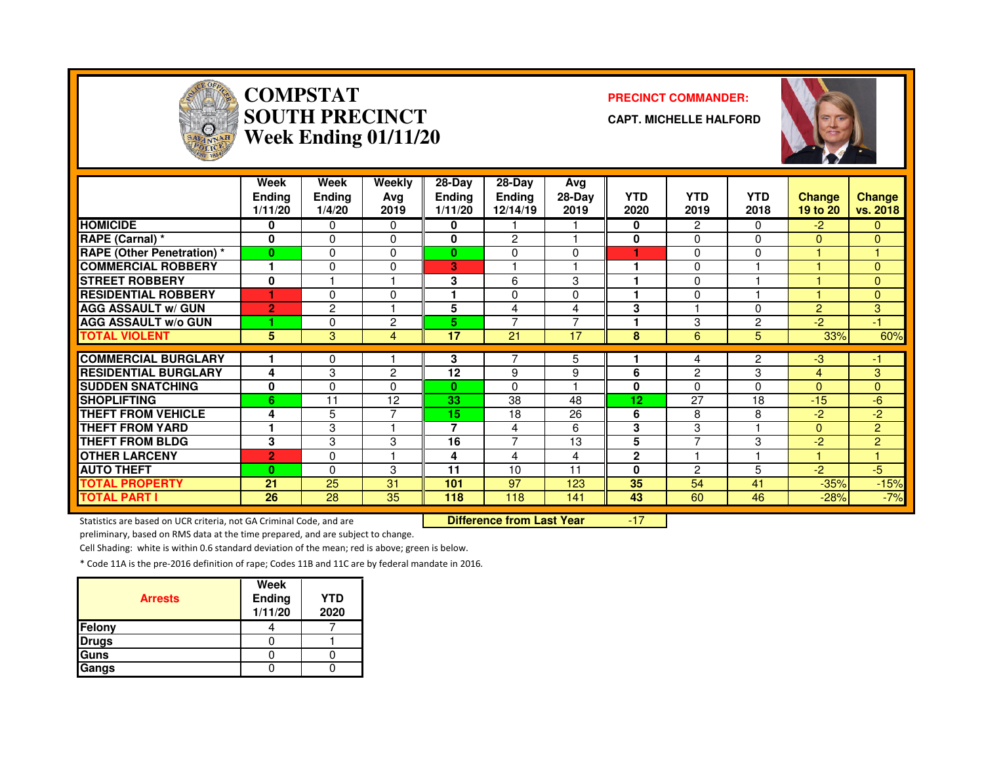

# **COMPSTAT PRECINCT COMMANDER: SOUTH PRECINCTWeek Ending 01/11/20**

**CAPT. MICHELLE HALFORD**



|                                   | Week<br>Ending<br>1/11/20 | Week<br><b>Ending</b><br>1/4/20 | Weekly<br>Avg<br>2019 | $28-Dav$<br><b>Ending</b><br>1/11/20 | $28-Dav$<br><b>Ending</b><br>12/14/19 | Avg<br>$28-Day$<br>2019 | <b>YTD</b><br>2020 | <b>YTD</b><br>2019 | <b>YTD</b><br>2018 | <b>Change</b><br>19 to 20 | Change<br>vs. 2018 |
|-----------------------------------|---------------------------|---------------------------------|-----------------------|--------------------------------------|---------------------------------------|-------------------------|--------------------|--------------------|--------------------|---------------------------|--------------------|
| <b>HOMICIDE</b>                   | 0                         | 0                               | $\Omega$              | 0                                    |                                       |                         | 0                  | 2                  | 0                  | $-2$                      | 0                  |
| RAPE (Carnal) *                   | 0                         | $\Omega$                        | $\Omega$              | 0                                    | $\overline{2}$                        |                         | $\bf{0}$           | 0                  | 0                  | $\Omega$                  | $\Omega$           |
| <b>RAPE (Other Penetration)</b> * | $\bf{0}$                  | $\Omega$                        | 0                     | $\bf{0}$                             | 0                                     | 0                       |                    | 0                  | 0                  |                           | 1                  |
| <b>COMMERCIAL ROBBERY</b>         |                           | $\Omega$                        | $\Omega$              | 3                                    |                                       |                         |                    | 0                  |                    |                           | $\Omega$           |
| <b>STREET ROBBERY</b>             | 0                         |                                 |                       | 3                                    | 6                                     | 3                       |                    | 0                  |                    |                           | $\Omega$           |
| <b>IRESIDENTIAL ROBBERY</b>       |                           | $\Omega$                        | $\Omega$              |                                      | 0                                     | $\Omega$                |                    | 0                  |                    |                           | $\mathbf{0}$       |
| <b>AGG ASSAULT w/ GUN</b>         | $\overline{2}$            | $\overline{c}$                  |                       | 5                                    | 4                                     | 4                       | 3                  |                    | 0                  | $\overline{2}$            | 3                  |
| <b>AGG ASSAULT w/o GUN</b>        |                           | $\Omega$                        | $\overline{c}$        | 5                                    | $\overline{7}$                        | ⇁                       |                    | 3                  | $\overline{2}$     | $-2$                      | -1                 |
| <b>TOTAL VIOLENT</b>              | 5                         | 3                               | 4                     | 17                                   | 21                                    | 17                      | 8                  | 6                  | 5                  | 33%                       | 60%                |
| <b>COMMERCIAL BURGLARY</b>        |                           |                                 |                       | 3                                    |                                       |                         |                    |                    |                    |                           |                    |
|                                   |                           | 0                               |                       |                                      |                                       | 5                       |                    | 4                  | 2                  | $-3$                      | -1                 |
| <b>RESIDENTIAL BURGLARY</b>       | 4                         | 3                               | $\overline{c}$        | 12                                   | 9                                     | 9                       | 6                  | 2                  | 3                  | 4                         | 3                  |
| <b>SUDDEN SNATCHING</b>           | 0                         | 0                               | $\Omega$              | $\mathbf{0}$                         | $\Omega$                              |                         | 0                  | 0                  | $\Omega$           | $\Omega$                  | 0                  |
| <b>SHOPLIFTING</b>                | 6                         | 11                              | 12                    | 33                                   | 38                                    | 48                      | 12                 | 27                 | 18                 | $-15$                     | $-6$               |
| <b>THEFT FROM VEHICLE</b>         | 4                         | 5                               | 7                     | 15                                   | 18                                    | 26                      | 6                  | 8                  | 8                  | $-2$                      | $-2$               |
| <b>THEFT FROM YARD</b>            |                           | 3                               |                       | 7                                    | 4                                     | 6                       | 3                  | 3                  |                    | $\Omega$                  | $\overline{2}$     |
| <b>THEFT FROM BLDG</b>            | 3                         | 3                               | 3                     | 16                                   | $\overline{ }$                        | 13                      | 5                  | ⇁                  | 3                  | $-2$                      | $\overline{2}$     |
| <b>OTHER LARCENY</b>              | $\overline{2}$            | $\Omega$                        |                       | 4                                    | 4                                     | 4                       | $\mathbf{2}$       |                    |                    | н                         | 4                  |
| <b>AUTO THEFT</b>                 | $\bf{0}$                  | $\Omega$                        | 3                     | 11                                   | 10                                    | 11                      | 0                  | $\overline{c}$     | 5                  | $-2$                      | $-5$               |
| <b>TOTAL PROPERTY</b>             | 21                        | 25                              | 31                    | 101                                  | 97                                    | 123                     | 35                 | 54                 | 41                 | $-35%$                    | $-15%$             |
| <b>TOTAL PART I</b>               | 26                        | 28                              | 35                    | 118                                  | 118                                   | 141                     | 43                 | 60                 | 46                 | $-28%$                    | $-7%$              |

Statistics are based on UCR criteria, not GA Criminal Code, and are **Difference from Last Year** 

-17

preliminary, based on RMS data at the time prepared, and are subject to change.

Cell Shading: white is within 0.6 standard deviation of the mean; red is above; green is below.

| <b>Arrests</b> | Week<br>Ending<br>1/11/20 | <b>YTD</b><br>2020 |
|----------------|---------------------------|--------------------|
| Felony         |                           |                    |
| <b>Drugs</b>   |                           |                    |
| Guns           |                           |                    |
| Gangs          |                           |                    |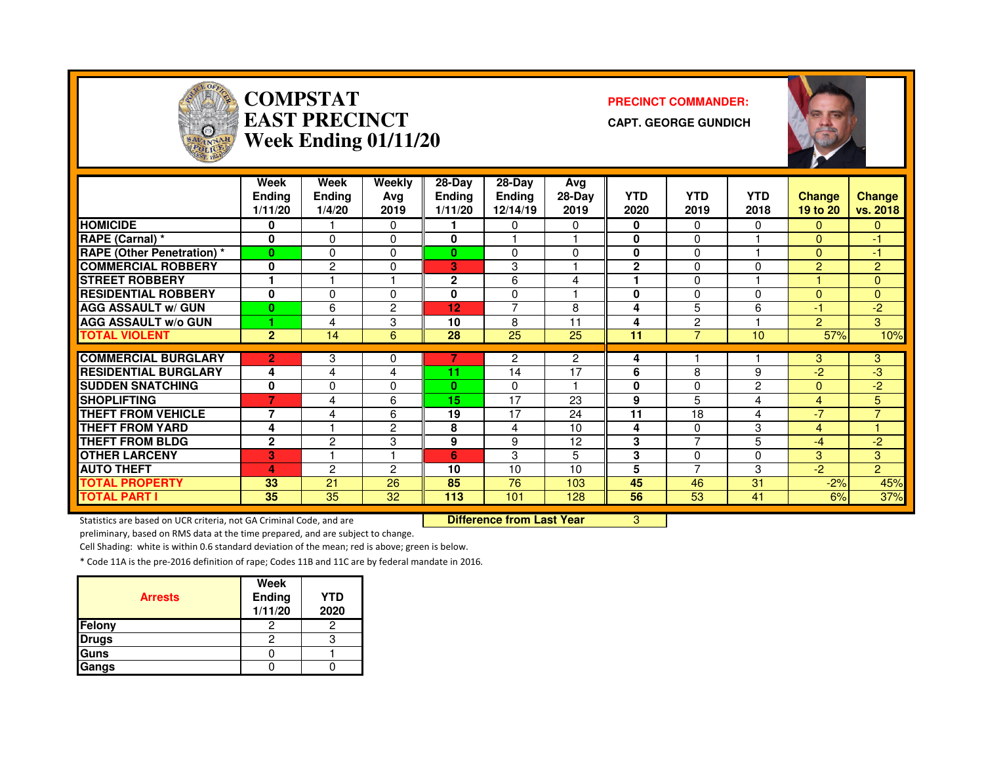

# **COMPSTAT PRECINCT COMMANDER: EAST PRECINCTWeek Ending 01/11/20**

**CAPT. GEORGE GUNDICH**



|                                   | <b>Week</b><br><b>Ending</b><br>1/11/20 | <b>Week</b><br>Ending<br>1/4/20 | <b>Weekly</b><br>Avg<br>2019 | 28-Day<br><b>Ending</b><br>1/11/20 | $28-Day$<br><b>Ending</b><br>12/14/19 | Avg<br>$28-Day$<br>2019 | <b>YTD</b><br>2020 | <b>YTD</b><br>2019 | <b>YTD</b><br>2018 | <b>Change</b><br>19 to 20 | <b>Change</b><br>vs. 2018 |
|-----------------------------------|-----------------------------------------|---------------------------------|------------------------------|------------------------------------|---------------------------------------|-------------------------|--------------------|--------------------|--------------------|---------------------------|---------------------------|
| <b>HOMICIDE</b>                   | 0                                       |                                 | $\Omega$                     |                                    | 0                                     | 0                       | 0                  | $\Omega$           | 0                  | $\mathbf{0}$              | $\Omega$                  |
| RAPE (Carnal) *                   | $\bf{0}$                                | 0                               | $\Omega$                     | 0                                  |                                       |                         | $\bf{0}$           | $\Omega$           |                    | $\Omega$                  | $-1$                      |
| <b>RAPE (Other Penetration) *</b> | $\bf{0}$                                | 0                               | 0                            | 0                                  | $\Omega$                              | $\Omega$                | 0                  | $\Omega$           |                    | $\Omega$                  | $-1$                      |
| <b>COMMERCIAL ROBBERY</b>         | 0                                       | 2                               | 0                            | 3                                  | 3                                     |                         | $\mathbf{2}$       | $\Omega$           | $\Omega$           | $\overline{2}$            | $\overline{2}$            |
| <b>STREET ROBBERY</b>             |                                         |                                 |                              | 2                                  | 6                                     | 4                       |                    | $\Omega$           |                    |                           | $\overline{0}$            |
| <b>RESIDENTIAL ROBBERY</b>        | 0                                       | 0                               | $\Omega$                     | 0                                  | 0                                     |                         | 0                  | $\Omega$           | $\Omega$           | $\Omega$                  | $\mathbf{0}$              |
| <b>AGG ASSAULT w/ GUN</b>         | $\bf{0}$                                | 6                               | $\overline{c}$               | 12                                 | 7                                     | 8                       | 4                  | 5                  | 6                  | -1                        | $-2$                      |
| <b>AGG ASSAULT w/o GUN</b>        |                                         | 4                               | 3                            | 10                                 | 8                                     | 11                      | 4                  | 2                  |                    | 2                         | 3                         |
| <b>TOTAL VIOLENT</b>              | $\overline{2}$                          | 14                              | 6                            | 28                                 | 25                                    | 25                      | 11                 | 7                  | 10                 | 57%                       | 10%                       |
|                                   |                                         |                                 |                              |                                    |                                       |                         |                    |                    |                    |                           |                           |
| <b>COMMERCIAL BURGLARY</b>        | $\overline{2}$                          | 3                               | 0                            |                                    | 2                                     | $\overline{2}$          | 4                  |                    |                    | 3                         | 3 <sup>°</sup>            |
| <b>RESIDENTIAL BURGLARY</b>       | 4                                       | 4                               | 4                            | 11                                 | 14                                    | 17                      | 6                  | 8                  | 9                  | $-2$                      | -3                        |
| <b>SUDDEN SNATCHING</b>           | 0                                       | 0                               | $\mathbf{0}$                 | $\bf{0}$                           | 0                                     |                         | $\bf{0}$           | $\Omega$           | $\overline{c}$     | $\Omega$                  | $-2$                      |
| <b>SHOPLIFTING</b>                | $\overline{7}$                          | 4                               | 6                            | 15                                 | 17                                    | 23                      | 9                  | 5                  | 4                  | 4                         | 5                         |
| <b>THEFT FROM VEHICLE</b>         | 7                                       | 4                               | 6                            | 19                                 | 17                                    | 24                      | 11                 | 18                 | 4                  | $-7$                      | $\overline{7}$            |
| <b>THEFT FROM YARD</b>            | 4                                       |                                 | $\overline{2}$               | 8                                  | 4                                     | 10                      | 4                  | $\Omega$           | 3                  | $\overline{4}$            |                           |
| <b>THEFT FROM BLDG</b>            | $\mathbf{2}$                            | 2                               | 3                            | 9                                  | 9                                     | 12                      | 3                  | $\overline{ }$     | 5                  | $-4$                      | $-2$                      |
| <b>OTHER LARCENY</b>              | 3                                       |                                 |                              | 6                                  | 3                                     | 5                       | 3                  | $\Omega$           | $\Omega$           | 3                         | 3                         |
| <b>AUTO THEFT</b>                 | 4                                       | $\mathcal{P}$                   | 2                            | 10                                 | 10                                    | 10                      | 5                  | $\overline{ }$     | 3                  | $-2$                      | $\overline{2}$            |
| <b>TOTAL PROPERTY</b>             | 33                                      | 21                              | 26                           | 85                                 | 76                                    | 103                     | 45                 | 46                 | 31                 | $-2%$                     | 45%                       |
| <b>TOTAL PART I</b>               | 35                                      | 35                              | 32                           | 113                                | 101                                   | 128                     | 56                 | 53                 | 41                 | 6%                        | 37%                       |

Statistics are based on UCR criteria, not GA Criminal Code, and are **Difference from Last Year** 

<mark>1</mark> 3

preliminary, based on RMS data at the time prepared, and are subject to change.

Cell Shading: white is within 0.6 standard deviation of the mean; red is above; green is below.

| <b>Arrests</b> | Week<br>Ending<br>1/11/20 | <b>YTD</b><br>2020 |
|----------------|---------------------------|--------------------|
| <b>Felony</b>  |                           |                    |
| <b>Drugs</b>   |                           |                    |
| <b>Guns</b>    |                           |                    |
| Gangs          |                           |                    |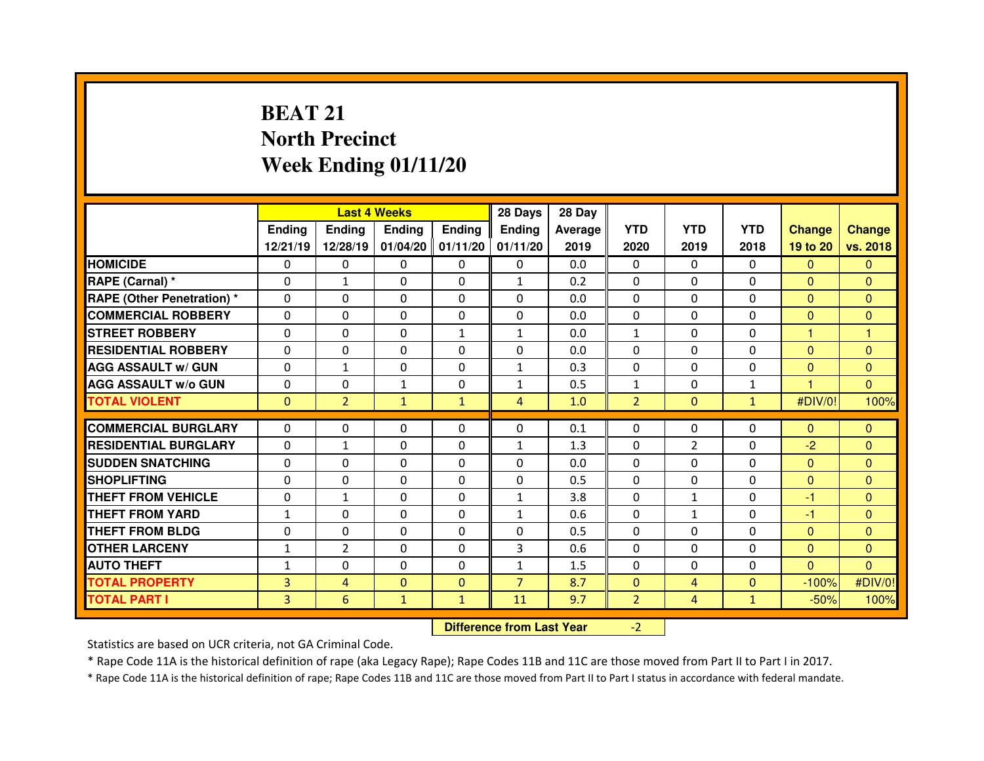# **BEAT 21 North PrecinctWeek Ending 01/11/20**

|                                   |               |                                  | <b>Last 4 Weeks</b> |                   | 28 Days        | 28 Day  |                |                |              |                |                |
|-----------------------------------|---------------|----------------------------------|---------------------|-------------------|----------------|---------|----------------|----------------|--------------|----------------|----------------|
|                                   | <b>Ending</b> | <b>Ending</b>                    | Ending              | <b>Ending</b>     | Ending         | Average | <b>YTD</b>     | <b>YTD</b>     | <b>YTD</b>   | <b>Change</b>  | <b>Change</b>  |
|                                   | 12/21/19      | 12/28/19                         |                     | 01/04/20 01/11/20 | 01/11/20       | 2019    | 2020           | 2019           | 2018         | 19 to 20       | vs. 2018       |
| <b>HOMICIDE</b>                   | $\Omega$      | 0                                | 0                   | $\Omega$          | 0              | 0.0     | $\Omega$       | $\mathbf{0}$   | $\Omega$     | $\mathbf{0}$   | $\Omega$       |
| RAPE (Carnal) *                   | 0             | $\mathbf{1}$                     | 0                   | $\Omega$          | $\mathbf{1}$   | 0.2     | $\Omega$       | $\mathbf{0}$   | $\Omega$     | $\mathbf{0}$   | $\Omega$       |
| <b>RAPE (Other Penetration) *</b> | 0             | 0                                | 0                   | 0                 | $\Omega$       | 0.0     | $\Omega$       | $\mathbf 0$    | $\Omega$     | $\overline{0}$ | $\Omega$       |
| <b>COMMERCIAL ROBBERY</b>         | $\Omega$      | 0                                | $\Omega$            | $\Omega$          | $\Omega$       | 0.0     | $\Omega$       | $\mathbf{0}$   | $\Omega$     | $\Omega$       | $\Omega$       |
| <b>STREET ROBBERY</b>             | $\Omega$      | 0                                | 0                   | $\mathbf{1}$      | $\mathbf{1}$   | 0.0     | $\mathbf{1}$   | $\Omega$       | $\Omega$     | 1              | $\overline{1}$ |
| <b>RESIDENTIAL ROBBERY</b>        | $\Omega$      | $\Omega$                         | $\mathbf{0}$        | $\Omega$          | $\Omega$       | 0.0     | $\Omega$       | $\mathbf{0}$   | $\Omega$     | $\Omega$       | $\Omega$       |
| <b>AGG ASSAULT w/ GUN</b>         | $\Omega$      | $\mathbf{1}$                     | $\Omega$            | $\Omega$          | $\mathbf{1}$   | 0.3     | $\mathbf 0$    | $\mathbf{0}$   | $\Omega$     | $\mathbf{0}$   | $\Omega$       |
| <b>AGG ASSAULT w/o GUN</b>        | 0             | 0                                | $\mathbf{1}$        | $\mathbf 0$       | 1              | 0.5     | $\mathbf 1$    | $\mathbf{0}$   | $\mathbf{1}$ | 1              | $\overline{0}$ |
| <b>TOTAL VIOLENT</b>              | $\mathbf{0}$  | $\overline{2}$                   | $\mathbf{1}$        | $\mathbf{1}$      | 4              | 1.0     | $\overline{2}$ | $\mathbf{0}$   | $\mathbf{1}$ | #DIV/0!        | 100%           |
| <b>COMMERCIAL BURGLARY</b>        | $\Omega$      | $\Omega$                         | $\mathbf{0}$        | $\Omega$          | $\Omega$       | 0.1     | $\Omega$       | $\Omega$       | $\Omega$     | $\mathbf{0}$   | $\mathbf{0}$   |
| <b>RESIDENTIAL BURGLARY</b>       | $\Omega$      | $\mathbf{1}$                     | 0                   | $\Omega$          | $\mathbf{1}$   | 1.3     | 0              | $\overline{2}$ | $\Omega$     | $-2$           | $\mathbf{0}$   |
| <b>SUDDEN SNATCHING</b>           | 0             | 0                                | 0                   | $\Omega$          | 0              | 0.0     | $\Omega$       | $\Omega$       | $\Omega$     | $\mathbf{0}$   | $\Omega$       |
| <b>SHOPLIFTING</b>                | 0             | 0                                | 0                   | 0                 | $\Omega$       | 0.5     | $\Omega$       | $\Omega$       | $\Omega$     | $\mathbf{0}$   | $\mathbf{0}$   |
| <b>THEFT FROM VEHICLE</b>         | 0             | $\mathbf{1}$                     | 0                   | 0                 | 1              | 3.8     | 0              | $\mathbf{1}$   | 0            | -1             | $\mathbf{0}$   |
| <b>THEFT FROM YARD</b>            | $\mathbf{1}$  | 0                                | 0                   | $\Omega$          | $\mathbf{1}$   | 0.6     | 0              | $\mathbf{1}$   | $\Omega$     | $-1$           | $\Omega$       |
| <b>THEFT FROM BLDG</b>            | 0             | 0                                | 0                   | 0                 | 0              | 0.5     | 0              | $\mathbf{0}$   | 0            | $\mathbf{0}$   | $\Omega$       |
| <b>OTHER LARCENY</b>              | $\mathbf{1}$  | $\overline{2}$                   | 0                   | $\Omega$          | 3              | 0.6     | $\Omega$       | $\Omega$       | $\Omega$     | $\mathbf{0}$   | $\Omega$       |
| <b>AUTO THEFT</b>                 | $\mathbf{1}$  | 0                                | $\Omega$            | $\Omega$          | $\mathbf{1}$   | 1.5     | $\Omega$       | $\mathbf{0}$   | $\Omega$     | $\mathbf{0}$   | $\Omega$       |
| <b>TOTAL PROPERTY</b>             | 3             | $\overline{4}$                   | $\mathbf{0}$        | $\mathbf{0}$      | $\overline{7}$ | 8.7     | $\mathbf{0}$   | 4              | $\mathbf{0}$ | $-100%$        | #DIV/0!        |
| <b>TOTAL PART I</b>               | 3             | 6                                | $\mathbf{1}$        | $\mathbf{1}$      | 11             | 9.7     | $\overline{2}$ | $\overline{4}$ | $\mathbf{1}$ | $-50%$         | 100%           |
|                                   |               | <b>Difference from Last Year</b> |                     | $-2$              |                |         |                |                |              |                |                |

Statistics are based on UCR criteria, not GA Criminal Code.

\* Rape Code 11A is the historical definition of rape (aka Legacy Rape); Rape Codes 11B and 11C are those moved from Part II to Part I in 2017.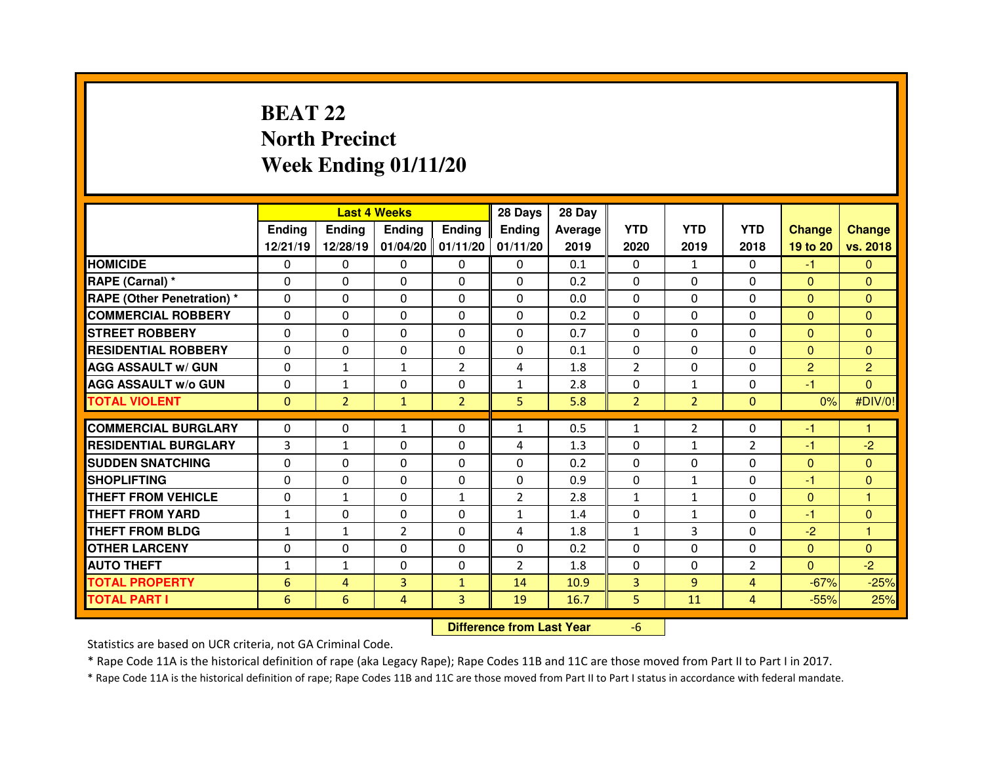## **BEAT 22 North PrecinctWeek Ending 01/11/20**

|                                  |               |                                  | <b>Last 4 Weeks</b> |                   | 28 Days        | 28 Day  |                |                |                |                |                |
|----------------------------------|---------------|----------------------------------|---------------------|-------------------|----------------|---------|----------------|----------------|----------------|----------------|----------------|
|                                  | <b>Ending</b> | <b>Ending</b>                    | Ending              | <b>Ending</b>     | Ending         | Average | <b>YTD</b>     | <b>YTD</b>     | <b>YTD</b>     | <b>Change</b>  | <b>Change</b>  |
|                                  | 12/21/19      | 12/28/19                         |                     | 01/04/20 01/11/20 | 01/11/20       | 2019    | 2020           | 2019           | 2018           | 19 to 20       | vs. 2018       |
| <b>HOMICIDE</b>                  | 0             | 0                                | 0                   | $\mathbf 0$       | 0              | 0.1     | 0              | 1              | $\Omega$       | $-1$           | $\mathbf{0}$   |
| RAPE (Carnal) *                  | 0             | 0                                | 0                   | 0                 | 0              | 0.2     | 0              | $\mathbf 0$    | 0              | $\mathbf{0}$   | $\overline{0}$ |
| <b>RAPE (Other Penetration)*</b> | 0             | 0                                | 0                   | $\Omega$          | $\Omega$       | 0.0     | $\Omega$       | $\Omega$       | $\Omega$       | $\mathbf{0}$   | $\Omega$       |
| <b>COMMERCIAL ROBBERY</b>        | 0             | 0                                | 0                   | 0                 | $\Omega$       | 0.2     | 0              | $\Omega$       | $\Omega$       | $\overline{0}$ | $\mathbf{0}$   |
| <b>STREET ROBBERY</b>            | $\Omega$      | 0                                | $\Omega$            | $\Omega$          | 0              | 0.7     | $\Omega$       | $\Omega$       | $\Omega$       | $\Omega$       | $\Omega$       |
| <b>RESIDENTIAL ROBBERY</b>       | 0             | 0                                | 0                   | 0                 | 0              | 0.1     | 0              | $\Omega$       | $\mathbf 0$    | $\overline{0}$ | $\mathbf{0}$   |
| <b>AGG ASSAULT w/ GUN</b>        | 0             | $\mathbf{1}$                     | $\mathbf{1}$        | $\overline{2}$    | 4              | 1.8     | $\overline{2}$ | $\mathbf{0}$   | $\Omega$       | $\overline{2}$ | $\overline{2}$ |
| <b>AGG ASSAULT w/o GUN</b>       | 0             | $\mathbf{1}$                     | 0                   | $\mathbf 0$       | $\mathbf{1}$   | 2.8     | $\mathbf 0$    | $\mathbf{1}$   | $\Omega$       | $-1$           | $\overline{0}$ |
| <b>TOTAL VIOLENT</b>             | $\Omega$      | $\overline{2}$                   | $\mathbf{1}$        | $\overline{2}$    | 5              | 5.8     | $\overline{2}$ | $\overline{2}$ | $\Omega$       | 0%             | #DIV/0!        |
| <b>COMMERCIAL BURGLARY</b>       | $\Omega$      | 0                                | $\mathbf{1}$        | $\Omega$          | $\mathbf{1}$   | 0.5     | $\mathbf{1}$   | $\overline{2}$ | $\Omega$       | -1             | 1              |
| <b>RESIDENTIAL BURGLARY</b>      | 3             | $\mathbf{1}$                     | $\mathbf{0}$        | $\Omega$          | 4              | 1.3     | $\Omega$       | $\mathbf{1}$   | $\overline{2}$ | $-1$           | $-2$           |
| <b>SUDDEN SNATCHING</b>          | $\Omega$      | 0                                | $\Omega$            | $\Omega$          | $\Omega$       | 0.2     | $\Omega$       | $\Omega$       | $\Omega$       | $\overline{0}$ | $\Omega$       |
| <b>SHOPLIFTING</b>               | 0             | 0                                | 0                   | $\mathbf{0}$      | 0              | 0.9     | 0              | $\mathbf{1}$   | $\Omega$       | -1             | $\Omega$       |
| <b>THEFT FROM VEHICLE</b>        | 0             | $\mathbf{1}$                     | $\Omega$            | $\mathbf{1}$      | $\overline{2}$ | 2.8     | $\mathbf{1}$   | $\mathbf{1}$   | $\Omega$       | $\overline{0}$ | 1              |
| <b>THEFT FROM YARD</b>           | $\mathbf{1}$  | 0                                | 0                   | $\Omega$          | $\mathbf{1}$   | 1.4     | 0              | $\mathbf{1}$   | $\Omega$       | -1             | $\mathbf{0}$   |
| <b>THEFT FROM BLDG</b>           | $\mathbf{1}$  | $\mathbf{1}$                     | $\overline{2}$      | 0                 | 4              | 1.8     | $\mathbf{1}$   | 3              | $\Omega$       | $-2$           | 1              |
| <b>OTHER LARCENY</b>             | 0             | 0                                | 0                   | 0                 | 0              | 0.2     | $\Omega$       | $\Omega$       | $\Omega$       | $\overline{0}$ | $\Omega$       |
| <b>AUTO THEFT</b>                | $\mathbf{1}$  | $\mathbf{1}$                     | $\Omega$            | 0                 | $\overline{2}$ | 1.8     | $\Omega$       | $\mathbf{0}$   | $\overline{2}$ | $\overline{0}$ | $-2$           |
| <b>TOTAL PROPERTY</b>            | 6             | $\overline{4}$                   | 3                   | $\mathbf{1}$      | 14             | 10.9    | $\overline{3}$ | $\overline{9}$ | 4              | $-67%$         | $-25%$         |
| <b>TOTAL PART I</b>              | 6             | $6\phantom{1}$                   | $\overline{4}$      | 3                 | 19             | 16.7    | 5              | 11             | 4              | $-55%$         | 25%            |
|                                  |               | <b>Difference from Last Year</b> |                     | $-6$              |                |         |                |                |                |                |                |

 **Difference from Last Year**

Statistics are based on UCR criteria, not GA Criminal Code.

\* Rape Code 11A is the historical definition of rape (aka Legacy Rape); Rape Codes 11B and 11C are those moved from Part II to Part I in 2017.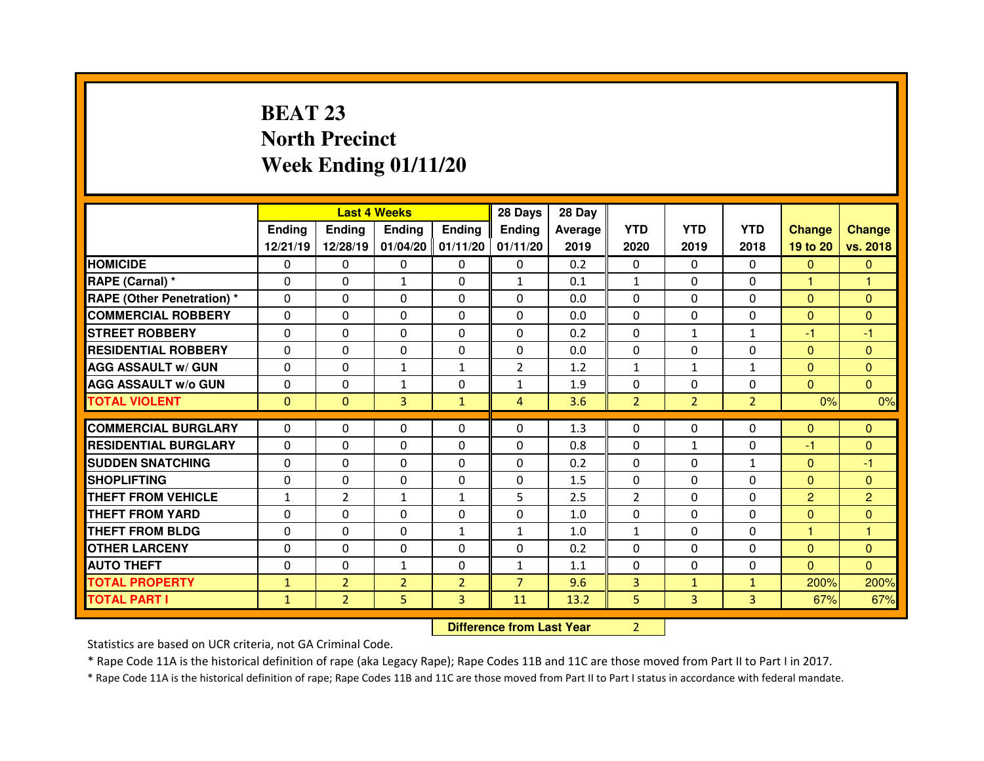# **BEAT 23 North PrecinctWeek Ending 01/11/20**

|                                  |               |                                  | <b>Last 4 Weeks</b> |                     | 28 Days        | 28 Day         |                |                |                |                |                |
|----------------------------------|---------------|----------------------------------|---------------------|---------------------|----------------|----------------|----------------|----------------|----------------|----------------|----------------|
|                                  | <b>Ending</b> | <b>Ending</b>                    | <b>Ending</b>       | <b>Ending</b>       | <b>Ending</b>  | <b>Average</b> | <b>YTD</b>     | <b>YTD</b>     | <b>YTD</b>     | <b>Change</b>  | <b>Change</b>  |
|                                  | 12/21/19      | 12/28/19                         |                     | $01/04/20$ 01/11/20 | 01/11/20       | 2019           | 2020           | 2019           | 2018           | 19 to 20       | vs. 2018       |
| <b>HOMICIDE</b>                  | 0             | 0                                | 0                   | $\Omega$            | 0              | 0.2            | 0              | $\mathbf{0}$   | $\Omega$       | $\Omega$       | $\Omega$       |
| <b>RAPE (Carnal) *</b>           | $\Omega$      | 0                                | $\mathbf{1}$        | $\Omega$            | $\mathbf{1}$   | 0.1            | $\mathbf{1}$   | $\mathbf{0}$   | $\Omega$       | 1              | 1              |
| <b>RAPE (Other Penetration)*</b> | $\Omega$      | 0                                | 0                   | 0                   | 0              | 0.0            | $\Omega$       | $\Omega$       | $\Omega$       | $\overline{0}$ | $\Omega$       |
| <b>COMMERCIAL ROBBERY</b>        | $\Omega$      | $\Omega$                         | $\mathbf{0}$        | $\Omega$            | $\Omega$       | 0.0            | $\Omega$       | $\mathbf{0}$   | $\Omega$       | $\Omega$       | $\Omega$       |
| <b>STREET ROBBERY</b>            | $\Omega$      | 0                                | $\mathbf{0}$        | $\Omega$            | $\Omega$       | 0.2            | $\Omega$       | $\mathbf{1}$   | $\mathbf{1}$   | $-1$           | $-1$           |
| <b>RESIDENTIAL ROBBERY</b>       | $\mathbf{0}$  | $\Omega$                         | $\mathbf{0}$        | $\Omega$            | $\Omega$       | 0.0            | $\Omega$       | $\mathbf{0}$   | $\Omega$       | $\mathbf{0}$   | $\Omega$       |
| <b>AGG ASSAULT w/ GUN</b>        | 0             | $\Omega$                         | $\mathbf{1}$        | $\mathbf{1}$        | $\overline{2}$ | 1.2            | $\mathbf{1}$   | $\mathbf{1}$   | $\mathbf{1}$   | $\overline{0}$ | $\Omega$       |
| <b>AGG ASSAULT w/o GUN</b>       | 0             | 0                                | $\mathbf{1}$        | $\mathbf 0$         | $\mathbf{1}$   | 1.9            | 0              | $\mathbf{0}$   | $\Omega$       | $\overline{0}$ | $\overline{0}$ |
| <b>TOTAL VIOLENT</b>             | $\mathbf{0}$  | $\mathbf{0}$                     | 3                   | $\mathbf{1}$        | $\overline{4}$ | 3.6            | $\overline{2}$ | 2 <sup>1</sup> | $\overline{2}$ | 0%             | 0%             |
| <b>COMMERCIAL BURGLARY</b>       | 0             | 0                                | 0                   | $\Omega$            | 0              | 1.3            | 0              | $\Omega$       | 0              | $\mathbf{0}$   | $\mathbf{0}$   |
| <b>RESIDENTIAL BURGLARY</b>      | $\Omega$      | 0                                | 0                   | $\Omega$            | 0              | 0.8            | $\Omega$       | $\mathbf{1}$   | $\Omega$       | -1             | $\Omega$       |
| <b>SUDDEN SNATCHING</b>          | 0             | 0                                | 0                   | $\Omega$            | 0              | 0.2            | $\Omega$       | $\Omega$       | $\mathbf{1}$   | $\overline{0}$ | -1             |
| <b>SHOPLIFTING</b>               | 0             | 0                                | 0                   | 0                   | $\Omega$       | 1.5            | $\Omega$       | $\mathbf{0}$   | $\Omega$       | $\Omega$       | $\Omega$       |
| <b>THEFT FROM VEHICLE</b>        | $\mathbf{1}$  | $\overline{2}$                   | $\mathbf{1}$        | $\mathbf{1}$        | 5              | 2.5            | $\overline{2}$ | $\Omega$       | $\Omega$       | $\overline{2}$ | $\overline{2}$ |
| <b>THEFT FROM YARD</b>           | 0             | 0                                | 0                   | 0                   | 0              | 1.0            | 0              | $\Omega$       | 0              | $\overline{0}$ | $\mathbf{0}$   |
| <b>THEFT FROM BLDG</b>           | 0             | 0                                | 0                   | $\mathbf{1}$        | $\mathbf{1}$   | 1.0            | $\mathbf{1}$   | $\Omega$       | 0              | 1              | 1              |
| <b>OTHER LARCENY</b>             | 0             | 0                                | 0                   | 0                   | 0              | 0.2            | 0              | $\Omega$       | 0              | $\overline{0}$ | $\mathbf{0}$   |
| <b>AUTO THEFT</b>                | $\Omega$      | 0                                | $\mathbf{1}$        | $\Omega$            | $\mathbf{1}$   | 1.1            | $\Omega$       | $\mathbf{0}$   | $\Omega$       | $\overline{0}$ | $\Omega$       |
| <b>TOTAL PROPERTY</b>            | $\mathbf{1}$  | $\overline{2}$                   | $\overline{2}$      | $\overline{2}$      | $\overline{7}$ | 9.6            | 3              | $\mathbf{1}$   | $\mathbf{1}$   | 200%           | 200%           |
| <b>TOTAL PART I</b>              | $\mathbf{1}$  | $\overline{2}$                   | 5                   | 3                   | 11             | 13.2           | 5              | 3              | 3              | 67%            | 67%            |
|                                  |               | <b>Difference from Last Year</b> |                     | $\overline{2}$      |                |                |                |                |                |                |                |

Statistics are based on UCR criteria, not GA Criminal Code.

\* Rape Code 11A is the historical definition of rape (aka Legacy Rape); Rape Codes 11B and 11C are those moved from Part II to Part I in 2017.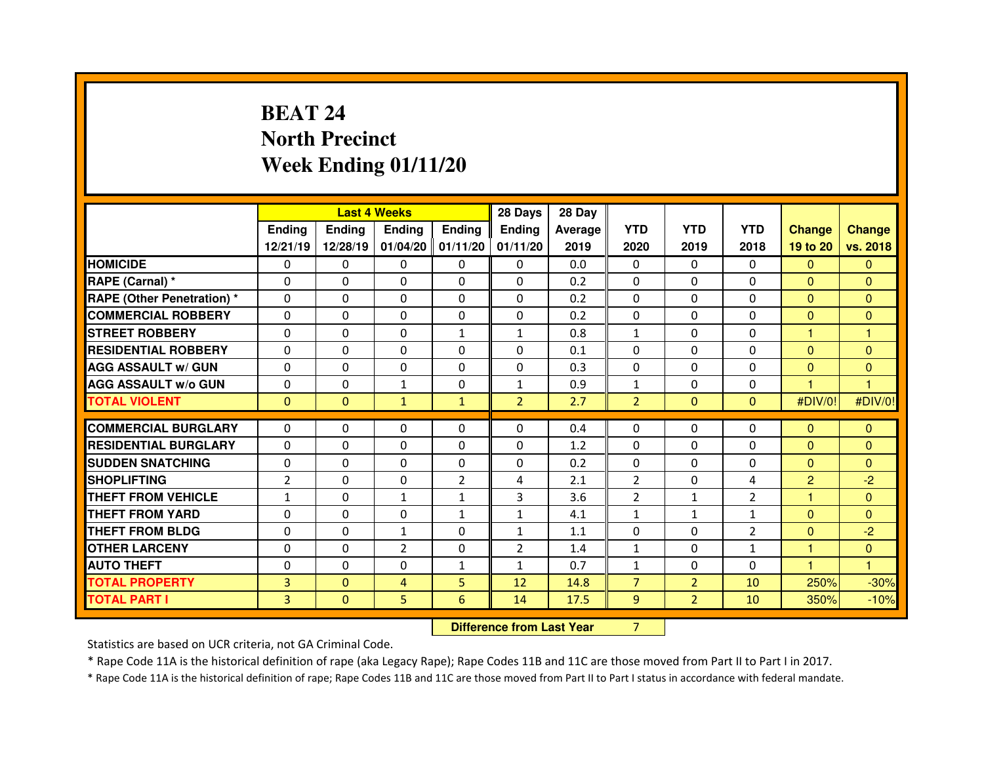# **BEAT 24 North PrecinctWeek Ending 01/11/20**

|                                  |                |                                  | <b>Last 4 Weeks</b> |                     | 28 Days        | 28 Day  |                |                |                |                |                |
|----------------------------------|----------------|----------------------------------|---------------------|---------------------|----------------|---------|----------------|----------------|----------------|----------------|----------------|
|                                  | Ending         | <b>Ending</b>                    | <b>Ending</b>       | <b>Ending</b>       | Ending         | Average | <b>YTD</b>     | <b>YTD</b>     | <b>YTD</b>     | <b>Change</b>  | <b>Change</b>  |
|                                  | 12/21/19       | 12/28/19                         |                     | $01/04/20$ 01/11/20 | 01/11/20       | 2019    | 2020           | 2019           | 2018           | 19 to 20       | vs. 2018       |
| <b>HOMICIDE</b>                  | 0              | $\mathbf 0$                      | 0                   | $\mathbf 0$         | 0              | 0.0     | 0              | $\mathbf{0}$   | 0              | $\mathbf{0}$   | $\mathbf{0}$   |
| RAPE (Carnal) *                  | 0              | 0                                | $\Omega$            | $\Omega$            | $\Omega$       | 0.2     | $\Omega$       | $\Omega$       | $\Omega$       | $\overline{0}$ | $\Omega$       |
| <b>RAPE (Other Penetration)*</b> | 0              | 0                                | 0                   | 0                   | 0              | 0.2     | $\mathbf 0$    | $\mathbf 0$    | $\Omega$       | $\overline{0}$ | $\overline{0}$ |
| <b>COMMERCIAL ROBBERY</b>        | 0              | 0                                | 0                   | 0                   | 0              | 0.2     | 0              | $\Omega$       | $\Omega$       | $\overline{0}$ | $\mathbf{0}$   |
| <b>STREET ROBBERY</b>            | 0              | 0                                | 0                   | $\mathbf{1}$        | $\mathbf{1}$   | 0.8     | $\mathbf{1}$   | $\Omega$       | $\Omega$       | н              | н              |
| <b>RESIDENTIAL ROBBERY</b>       | 0              | 0                                | 0                   | 0                   | 0              | 0.1     | $\mathbf 0$    | $\mathbf 0$    | $\mathbf 0$    | $\overline{0}$ | $\mathbf{0}$   |
| <b>AGG ASSAULT w/ GUN</b>        | $\Omega$       | 0                                | $\Omega$            | $\Omega$            | $\Omega$       | 0.3     | $\Omega$       | $\mathbf{0}$   | $\Omega$       | $\overline{0}$ | $\Omega$       |
| <b>AGG ASSAULT W/o GUN</b>       | 0              | 0                                | $\mathbf{1}$        | $\mathbf 0$         | $\mathbf{1}$   | 0.9     | $\mathbf{1}$   | $\mathbf 0$    | 0              | 1              | $\overline{1}$ |
| <b>TOTAL VIOLENT</b>             | $\mathbf{0}$   | $\mathbf{0}$                     | $\mathbf{1}$        | $\mathbf{1}$        | 2 <sup>1</sup> | 2.7     | $\overline{2}$ | $\mathbf{0}$   | $\overline{0}$ | #DIV/0!        | #DIV/0!        |
| <b>COMMERCIAL BURGLARY</b>       | $\Omega$       | 0                                | 0                   | $\Omega$            | 0              | 0.4     | 0              | $\Omega$       | $\Omega$       | $\mathbf{0}$   | $\Omega$       |
| <b>RESIDENTIAL BURGLARY</b>      | $\mathbf 0$    | $\Omega$                         | $\Omega$            | $\mathbf 0$         | $\Omega$       | 1.2     | $\Omega$       | $\Omega$       | $\Omega$       | $\overline{0}$ | $\Omega$       |
| <b>SUDDEN SNATCHING</b>          | $\Omega$       | $\Omega$                         | $\Omega$            | $\Omega$            | $\Omega$       | 0.2     | $\Omega$       | $\Omega$       | $\Omega$       | $\overline{0}$ | $\Omega$       |
| <b>SHOPLIFTING</b>               | $\overline{2}$ | $\Omega$                         | 0                   | $\overline{2}$      | 4              | 2.1     | $\overline{2}$ | $\Omega$       | 4              | $\overline{2}$ | $-2$           |
| <b>THEFT FROM VEHICLE</b>        | $\mathbf{1}$   | $\Omega$                         | $\mathbf{1}$        | $\mathbf{1}$        | 3              | 3.6     | 2              | $\mathbf{1}$   | $\overline{2}$ | 1.             | $\Omega$       |
| <b>THEFT FROM YARD</b>           | $\Omega$       | 0                                | 0                   | $\mathbf{1}$        | $\mathbf{1}$   | 4.1     | $\mathbf{1}$   | $\mathbf{1}$   | $\mathbf{1}$   | $\mathbf{0}$   | $\Omega$       |
| <b>THEFT FROM BLDG</b>           | 0              | 0                                | $\mathbf{1}$        | $\Omega$            | $\mathbf{1}$   | 1.1     | $\Omega$       | $\Omega$       | $\overline{2}$ | $\overline{0}$ | $-2$           |
| <b>OTHER LARCENY</b>             | 0              | 0                                | $\overline{2}$      | $\Omega$            | $\overline{2}$ | 1.4     | $\mathbf{1}$   | $\Omega$       | $\mathbf{1}$   | 1              | $\mathbf{0}$   |
| <b>AUTO THEFT</b>                | 0              | 0                                | 0                   | 1                   | $\mathbf{1}$   | 0.7     | $\mathbf{1}$   | $\mathbf{0}$   | $\Omega$       | 1              | 1              |
| <b>TOTAL PROPERTY</b>            | 3              | $\mathbf{0}$                     | 4                   | 5                   | 12             | 14.8    | $\overline{7}$ | 2 <sup>1</sup> | 10             | 250%           | $-30%$         |
| <b>TOTAL PART I</b>              | 3              | $\mathbf 0$                      | 5                   | 6                   | 14             | 17.5    | 9              | 2 <sup>1</sup> | 10             | 350%           | $-10%$         |
|                                  |                | <b>Difference from Last Year</b> |                     | $\overline{7}$      |                |         |                |                |                |                |                |

 **Difference from Last Year**

Statistics are based on UCR criteria, not GA Criminal Code.

\* Rape Code 11A is the historical definition of rape (aka Legacy Rape); Rape Codes 11B and 11C are those moved from Part II to Part I in 2017.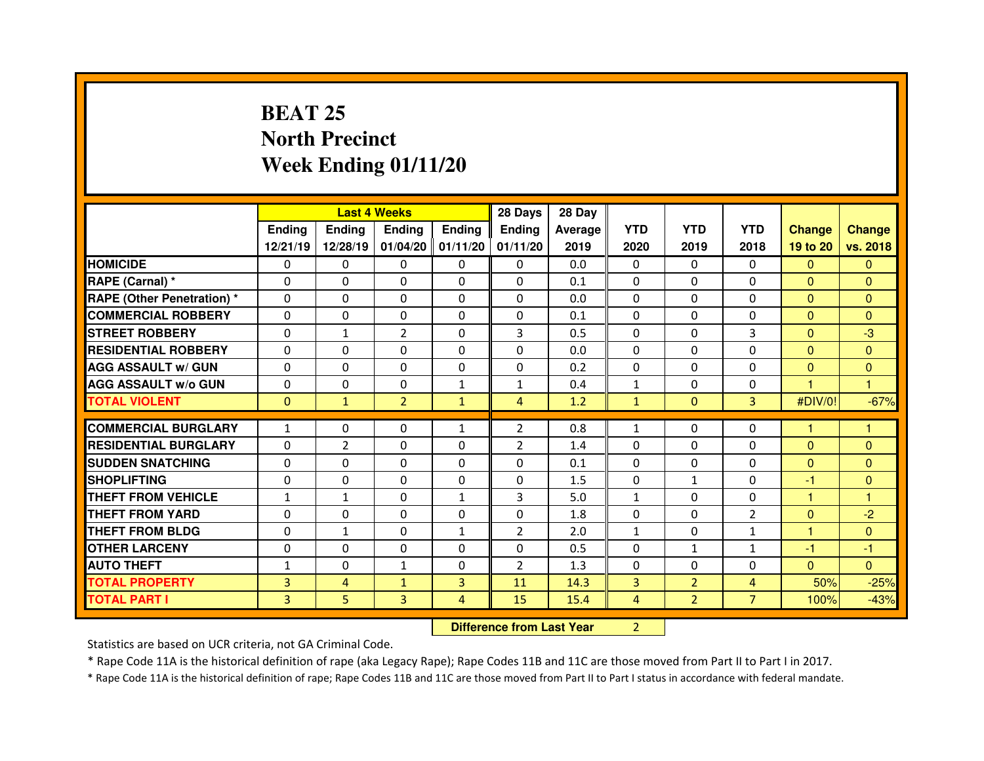# **BEAT 25 North PrecinctWeek Ending 01/11/20**

|                                  |              |                                  | <b>Last 4 Weeks</b> |                     | 28 Days        | 28 Day         |                |                |                |                |                |
|----------------------------------|--------------|----------------------------------|---------------------|---------------------|----------------|----------------|----------------|----------------|----------------|----------------|----------------|
|                                  | Ending       | <b>Ending</b>                    | <b>Ending</b>       | <b>Ending</b>       | <b>Ending</b>  | <b>Average</b> | <b>YTD</b>     | <b>YTD</b>     | <b>YTD</b>     | <b>Change</b>  | <b>Change</b>  |
|                                  | 12/21/19     | 12/28/19                         |                     | $01/04/20$ 01/11/20 | 01/11/20       | 2019           | 2020           | 2019           | 2018           | 19 to 20       | vs. 2018       |
| <b>HOMICIDE</b>                  | 0            | 0                                | 0                   | $\Omega$            | 0              | 0.0            | 0              | $\mathbf{0}$   | $\Omega$       | $\Omega$       | $\Omega$       |
| <b>RAPE (Carnal) *</b>           | $\Omega$     | 0                                | $\Omega$            | $\Omega$            | $\Omega$       | 0.1            | $\Omega$       | $\Omega$       | $\Omega$       | $\mathbf{0}$   | $\Omega$       |
| <b>RAPE (Other Penetration)*</b> | $\Omega$     | 0                                | 0                   | 0                   | 0              | 0.0            | $\Omega$       | $\Omega$       | $\Omega$       | $\overline{0}$ | $\Omega$       |
| <b>COMMERCIAL ROBBERY</b>        | $\Omega$     | 0                                | $\mathbf{0}$        | $\Omega$            | $\Omega$       | 0.1            | $\Omega$       | $\mathbf{0}$   | $\Omega$       | $\overline{0}$ | $\Omega$       |
| <b>STREET ROBBERY</b>            | $\Omega$     | $\mathbf{1}$                     | $\overline{2}$      | $\Omega$            | 3              | 0.5            | $\Omega$       | $\Omega$       | 3              | $\Omega$       | $-3$           |
| <b>RESIDENTIAL ROBBERY</b>       | $\mathbf{0}$ | 0                                | $\mathbf{0}$        | $\Omega$            | $\Omega$       | 0.0            | $\Omega$       | $\mathbf{0}$   | $\Omega$       | $\mathbf{0}$   | $\Omega$       |
| <b>AGG ASSAULT w/ GUN</b>        | 0            | $\Omega$                         | $\mathbf{0}$        | $\Omega$            | 0              | 0.2            | $\Omega$       | $\Omega$       | $\Omega$       | $\overline{0}$ | $\mathbf{0}$   |
| <b>AGG ASSAULT w/o GUN</b>       | 0            | 0                                | 0                   | $\mathbf{1}$        | $\mathbf{1}$   | 0.4            | $\mathbf{1}$   | $\mathbf{0}$   | 0              | $\blacksquare$ | $\overline{1}$ |
| <b>TOTAL VIOLENT</b>             | $\mathbf{0}$ | $\mathbf{1}$                     | $\overline{2}$      | $\mathbf{1}$        | $\overline{4}$ | 1.2            | $\mathbf{1}$   | $\mathbf{0}$   | $\overline{3}$ | #DIV/0!        | $-67%$         |
| <b>COMMERCIAL BURGLARY</b>       | $\mathbf{1}$ | 0                                | 0                   | $\mathbf{1}$        | $\overline{2}$ | 0.8            | $\mathbf{1}$   | $\Omega$       | $\Omega$       | 1              | 1              |
| <b>RESIDENTIAL BURGLARY</b>      | $\Omega$     | 2                                | 0                   | $\Omega$            | $\overline{2}$ | 1.4            | $\Omega$       | $\Omega$       | $\Omega$       | $\mathbf{0}$   | $\Omega$       |
| <b>SUDDEN SNATCHING</b>          | 0            | 0                                | 0                   | $\Omega$            | 0              | 0.1            | $\Omega$       | $\Omega$       | $\Omega$       | $\overline{0}$ | $\Omega$       |
| <b>SHOPLIFTING</b>               | 0            | 0                                | $\Omega$            | $\Omega$            | $\Omega$       | 1.5            | $\Omega$       | $\mathbf{1}$   | $\Omega$       | -1             | $\mathbf{0}$   |
| <b>THEFT FROM VEHICLE</b>        | $\mathbf{1}$ | $\mathbf{1}$                     | $\Omega$            | $\mathbf{1}$        | 3              | 5.0            | $\mathbf{1}$   | $\Omega$       | $\Omega$       | 1              | 1              |
| <b>THEFT FROM YARD</b>           | 0            | 0                                | 0                   | 0                   | 0              | 1.8            | 0              | $\Omega$       | $\overline{2}$ | $\mathbf{0}$   | $-2$           |
| <b>THEFT FROM BLDG</b>           | 0            | $\mathbf{1}$                     | 0                   | $\mathbf{1}$        | 2              | 2.0            | $\mathbf{1}$   | $\mathbf{0}$   | $\mathbf{1}$   | н              | $\Omega$       |
| <b>OTHER LARCENY</b>             | 0            | 0                                | 0                   | 0                   | 0              | 0.5            | 0              | $\mathbf{1}$   | $\mathbf{1}$   | $-1$           | $-1$           |
| <b>AUTO THEFT</b>                | $\mathbf{1}$ | 0                                | $\mathbf{1}$        | $\Omega$            | $\overline{2}$ | 1.3            | $\Omega$       | $\mathbf{0}$   | $\Omega$       | $\overline{0}$ | $\Omega$       |
| <b>TOTAL PROPERTY</b>            | 3            | $\overline{4}$                   | $\mathbf{1}$        | 3                   | 11             | 14.3           | 3              | $\overline{2}$ | 4              | 50%            | $-25%$         |
| <b>TOTAL PART I</b>              | 3            | 5                                | 3                   | $\overline{4}$      | 15             | 15.4           | $\overline{4}$ | 2 <sup>1</sup> | $\overline{7}$ | 100%           | $-43%$         |
|                                  |              | <b>Difference from Last Year</b> |                     | $\overline{2}$      |                |                |                |                |                |                |                |

Statistics are based on UCR criteria, not GA Criminal Code.

\* Rape Code 11A is the historical definition of rape (aka Legacy Rape); Rape Codes 11B and 11C are those moved from Part II to Part I in 2017.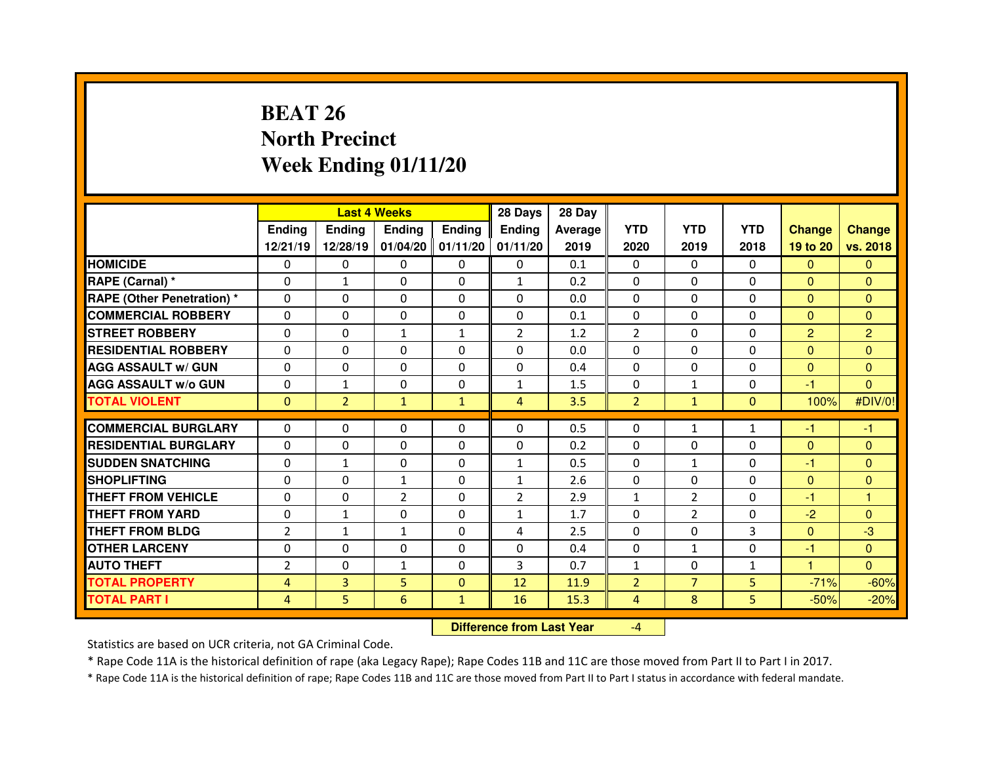# **BEAT 26 North PrecinctWeek Ending 01/11/20**

|                                  |                | <b>Last 4 Weeks</b><br><b>Ending</b><br>Ending<br><b>Ending</b><br><b>Ending</b> |                |                         |                              | 28 Day     |                |                          |                |                      |                |
|----------------------------------|----------------|----------------------------------------------------------------------------------|----------------|-------------------------|------------------------------|------------|----------------|--------------------------|----------------|----------------------|----------------|
|                                  |                |                                                                                  |                |                         | Ending                       | Average    | <b>YTD</b>     | <b>YTD</b>               | <b>YTD</b>     | <b>Change</b>        | <b>Change</b>  |
|                                  | 12/21/19       | 12/28/19                                                                         |                | $01/04/20$   $01/11/20$ | 01/11/20                     | 2019       | 2020           | 2019                     | 2018           | 19 to 20             | vs. 2018       |
| <b>HOMICIDE</b>                  | $\mathbf{0}$   | 0                                                                                | 0              | $\mathbf{0}$            | 0                            | 0.1        | 0              | $\Omega$                 | $\Omega$       | $\mathbf{0}$         | $\Omega$       |
| RAPE (Carnal) *                  | $\Omega$       | $\mathbf{1}$                                                                     | $\mathbf{0}$   | $\Omega$                | $\mathbf{1}$                 | 0.2        | $\Omega$       | $\Omega$                 | $\Omega$       | $\mathbf{0}$         | $\Omega$       |
| <b>RAPE (Other Penetration)*</b> | $\mathbf 0$    | 0                                                                                | 0              | $\Omega$                | $\Omega$                     | 0.0        | $\Omega$       | $\Omega$                 | $\Omega$       | $\overline{0}$       | $\Omega$       |
| <b>COMMERCIAL ROBBERY</b>        | $\Omega$       | $\Omega$                                                                         | $\mathbf{0}$   | $\Omega$                | $\Omega$                     | 0.1        | $\Omega$       | $\Omega$                 | $\Omega$       | $\overline{0}$       | $\Omega$       |
| <b>STREET ROBBERY</b>            | $\Omega$       | 0                                                                                | $\mathbf{1}$   | $\mathbf{1}$            | $\overline{2}$               | 1.2        | $\overline{2}$ | $\Omega$                 | $\mathbf 0$    | $\overline{2}$       | $\overline{2}$ |
| <b>RESIDENTIAL ROBBERY</b>       | 0              | $\Omega$                                                                         | $\mathbf{0}$   | $\Omega$                | 0                            | 0.0        | $\Omega$       | $\Omega$                 | $\Omega$       | $\overline{0}$       | $\Omega$       |
| <b>AGG ASSAULT w/ GUN</b>        | 0              | 0                                                                                | $\Omega$       | $\Omega$                | $\Omega$                     | 0.4        | $\Omega$       | $\Omega$                 | $\Omega$       | $\overline{0}$       | $\mathbf{0}$   |
| <b>AGG ASSAULT w/o GUN</b>       | $\Omega$       | $\mathbf{1}$                                                                     | $\Omega$       | $\Omega$                | $\mathbf{1}$                 | 1.5        | 0              | $\mathbf{1}$             | $\Omega$       | -1                   | $\Omega$       |
| <b>TOTAL VIOLENT</b>             | $\mathbf{0}$   | $\overline{2}$                                                                   | $\mathbf{1}$   | $\mathbf{1}$            | $\overline{4}$               | 3.5        | $\overline{2}$ | $\mathbf{1}$             | $\overline{0}$ | 100%                 | #DIV/0!        |
| <b>COMMERCIAL BURGLARY</b>       | $\Omega$       | $\Omega$                                                                         | $\mathbf{0}$   | $\Omega$                | $\Omega$                     | 0.5        | $\Omega$       | $\mathbf{1}$             | $\mathbf{1}$   | -1                   | $-1$           |
| <b>RESIDENTIAL BURGLARY</b>      | 0              | $\Omega$                                                                         | $\Omega$       | $\Omega$                | 0                            | 0.2        | $\Omega$       | $\Omega$                 | $\Omega$       | $\Omega$             | $\Omega$       |
| <b>SUDDEN SNATCHING</b>          | $\Omega$       |                                                                                  | $\Omega$       | $\Omega$                |                              |            | $\Omega$       |                          | $\Omega$       | -1                   | $\Omega$       |
| <b>SHOPLIFTING</b>               | $\Omega$       | $\mathbf{1}$<br>$\Omega$                                                         | $\mathbf{1}$   | $\Omega$                | $\mathbf{1}$<br>$\mathbf{1}$ | 0.5<br>2.6 | $\Omega$       | $\mathbf{1}$<br>$\Omega$ | $\Omega$       | $\Omega$             | $\Omega$       |
| <b>THEFT FROM VEHICLE</b>        | $\Omega$       | $\Omega$                                                                         | $\overline{2}$ | $\Omega$                | $\overline{2}$               | 2.9        |                | $\overline{2}$           | $\Omega$       | $-1$                 | 1              |
|                                  |                |                                                                                  |                |                         |                              |            | $\mathbf{1}$   |                          | $\Omega$       |                      |                |
| <b>THEFT FROM YARD</b>           | $\Omega$       | $\mathbf{1}$                                                                     | 0              | $\Omega$                | $\mathbf{1}$                 | 1.7        | $\Omega$       | $\overline{2}$           |                | $-2$                 | $\Omega$       |
| <b>THEFT FROM BLDG</b>           | $\overline{2}$ | $\mathbf{1}$                                                                     | $\mathbf{1}$   | $\Omega$                | 4                            | 2.5        | $\Omega$       | $\Omega$                 | 3              | $\overline{0}$       | $-3$           |
| <b>OTHER LARCENY</b>             | 0              | 0                                                                                | 0              | $\Omega$                | $\Omega$                     | 0.4        | 0              | $\mathbf{1}$             | $\Omega$       | -1                   | $\mathbf{0}$   |
| <b>AUTO THEFT</b>                | $\overline{2}$ | $\Omega$                                                                         | $\mathbf{1}$   | $\Omega$                | 3                            | 0.7        | $\mathbf{1}$   | $\mathbf{0}$             | $\mathbf{1}$   | $\blacktriangleleft$ | $\Omega$       |
| <b>TOTAL PROPERTY</b>            | $\overline{4}$ | 3                                                                                | 5              | $\mathbf{0}$            | 12                           | 11.9       | $\overline{2}$ | $\overline{7}$           | 5              | $-71%$               | $-60%$         |
| <b>TOTAL PART I</b>              | 4              | 5                                                                                | $6\phantom{a}$ | $\mathbf{1}$            | 16                           | 15.3       | 4              | 8                        | 5              | $-50%$               | $-20%$         |

 **Difference from Last Year**-4

Statistics are based on UCR criteria, not GA Criminal Code.

\* Rape Code 11A is the historical definition of rape (aka Legacy Rape); Rape Codes 11B and 11C are those moved from Part II to Part I in 2017.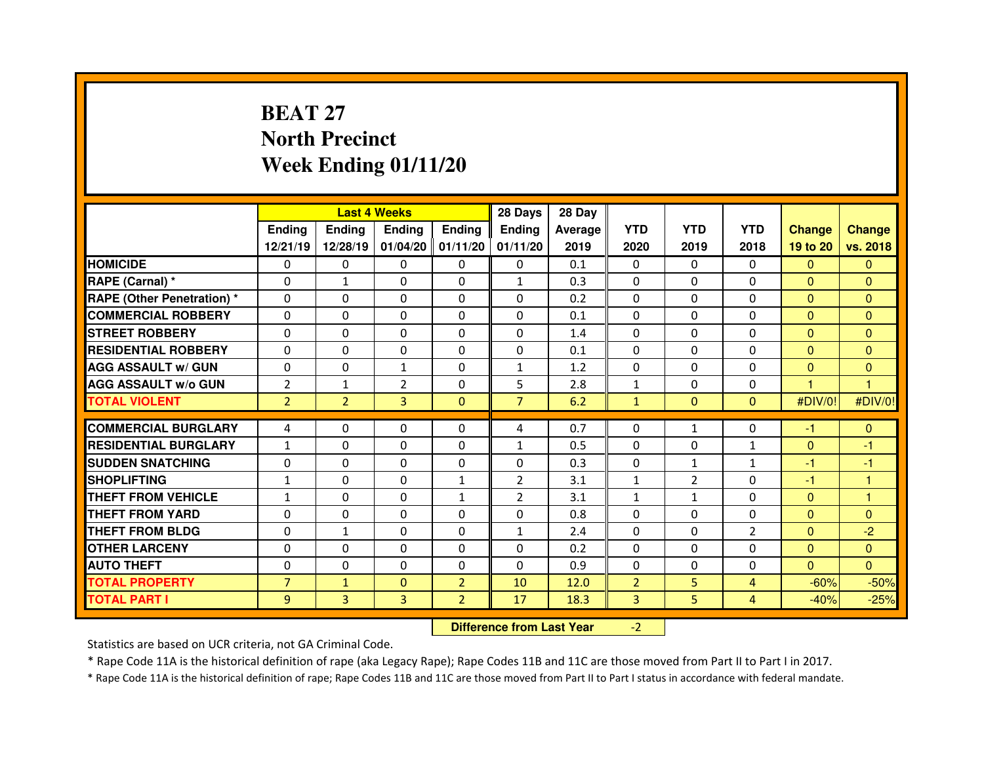# **BEAT 27 North PrecinctWeek Ending 01/11/20**

|                                  |                |                                  | <b>Last 4 Weeks</b> |                     | 28 Days        | 28 Day         |                |                |                |                |                         |
|----------------------------------|----------------|----------------------------------|---------------------|---------------------|----------------|----------------|----------------|----------------|----------------|----------------|-------------------------|
|                                  | Ending         | <b>Ending</b>                    | <b>Ending</b>       | <b>Ending</b>       | <b>Ending</b>  | <b>Average</b> | <b>YTD</b>     | <b>YTD</b>     | <b>YTD</b>     | <b>Change</b>  | <b>Change</b>           |
|                                  | 12/21/19       | 12/28/19                         |                     | $01/04/20$ 01/11/20 | 01/11/20       | 2019           | 2020           | 2019           | 2018           | 19 to 20       | vs. 2018                |
| <b>HOMICIDE</b>                  | 0              | 0                                | 0                   | $\Omega$            | 0              | 0.1            | 0              | $\mathbf{0}$   | $\Omega$       | $\Omega$       | $\Omega$                |
| <b>RAPE (Carnal) *</b>           | $\Omega$       | $\mathbf{1}$                     | $\Omega$            | $\Omega$            | $\mathbf{1}$   | 0.3            | $\Omega$       | $\Omega$       | $\Omega$       | $\mathbf{0}$   | $\Omega$                |
| <b>RAPE (Other Penetration)*</b> | $\Omega$       | 0                                | 0                   | 0                   | 0              | 0.2            | $\Omega$       | $\Omega$       | $\Omega$       | $\overline{0}$ | $\Omega$                |
| <b>COMMERCIAL ROBBERY</b>        | $\Omega$       | $\Omega$                         | $\mathbf{0}$        | $\Omega$            | $\Omega$       | 0.1            | $\Omega$       | $\mathbf{0}$   | $\Omega$       | $\mathbf{0}$   | $\Omega$                |
| <b>STREET ROBBERY</b>            | $\Omega$       | 0                                | $\mathbf{0}$        | $\Omega$            | $\Omega$       | 1.4            | $\Omega$       | $\Omega$       | $\Omega$       | $\Omega$       | $\Omega$                |
| <b>RESIDENTIAL ROBBERY</b>       | $\mathbf{0}$   | $\Omega$                         | $\mathbf{0}$        | $\Omega$            | $\Omega$       | 0.1            | $\Omega$       | $\mathbf{0}$   | $\Omega$       | $\mathbf{0}$   | $\Omega$                |
| <b>AGG ASSAULT w/ GUN</b>        | 0              | 0                                | $\mathbf{1}$        | $\Omega$            | $\mathbf{1}$   | 1.2            | $\Omega$       | $\Omega$       | $\Omega$       | $\overline{0}$ | $\mathbf{0}$            |
| <b>AGG ASSAULT w/o GUN</b>       | $\overline{2}$ | $\mathbf{1}$                     | $\overline{2}$      | $\mathbf 0$         | 5              | 2.8            | $\mathbf{1}$   | $\mathbf{0}$   | 0              | $\mathbf{1}$   | $\overline{1}$          |
| <b>TOTAL VIOLENT</b>             | $\overline{2}$ | $\overline{2}$                   | 3                   | $\mathbf{0}$        | $\overline{7}$ | 6.2            | $\mathbf{1}$   | $\mathbf{0}$   | $\overline{0}$ | #DIV/0!        | #DIV/0!                 |
| <b>COMMERCIAL BURGLARY</b>       | 4              | 0                                | 0                   | $\Omega$            | 4              | 0.7            | 0              | $\mathbf{1}$   | 0              | $-1$           | $\mathbf{0}$            |
| <b>RESIDENTIAL BURGLARY</b>      | $\mathbf{1}$   | 0                                | 0                   | $\Omega$            | $\mathbf{1}$   | 0.5            | $\Omega$       | $\Omega$       | $\mathbf{1}$   | $\mathbf{0}$   | -1                      |
| <b>SUDDEN SNATCHING</b>          | 0              | 0                                | 0                   | $\Omega$            | 0              | 0.3            | 0              | $\mathbf{1}$   | $\mathbf{1}$   | $-1$           | -1                      |
| <b>SHOPLIFTING</b>               | $\mathbf{1}$   | 0                                | $\Omega$            | $\mathbf{1}$        | $\overline{2}$ | 3.1            | $\mathbf{1}$   | $\overline{2}$ | $\Omega$       | -1             | 1                       |
| <b>THEFT FROM VEHICLE</b>        | $\mathbf{1}$   | 0                                | 0                   | $\mathbf{1}$        | $\overline{2}$ | 3.1            | $\mathbf{1}$   | $\mathbf{1}$   | $\Omega$       | $\overline{0}$ | $\overline{\mathbf{1}}$ |
| <b>THEFT FROM YARD</b>           | 0              | 0                                | 0                   | 0                   | 0              | 0.8            | 0              | $\Omega$       | 0              | $\mathbf{0}$   | $\mathbf{0}$            |
| <b>THEFT FROM BLDG</b>           | 0              | $\mathbf{1}$                     | 0                   | $\Omega$            | $\mathbf{1}$   | 2.4            | $\Omega$       | $\Omega$       | $\overline{2}$ | $\overline{0}$ | $-2$                    |
| <b>OTHER LARCENY</b>             | 0              | 0                                | 0                   | 0                   | 0              | 0.2            | 0              | $\Omega$       | 0              | $\overline{0}$ | $\mathbf{0}$            |
| <b>AUTO THEFT</b>                | $\Omega$       | 0                                | $\Omega$            | $\Omega$            | 0              | 0.9            | $\mathbf 0$    | $\mathbf{0}$   | $\Omega$       | $\overline{0}$ | $\overline{0}$          |
| <b>TOTAL PROPERTY</b>            | $\overline{7}$ | $\mathbf{1}$                     | $\mathbf 0$         | $\overline{2}$      | 10             | 12.0           | $\overline{2}$ | 5              | 4              | $-60%$         | $-50%$                  |
| <b>TOTAL PART I</b>              | 9              | 3                                | 3                   | $\overline{2}$      | 17             | 18.3           | 3              | 5              | $\overline{4}$ | $-40%$         | $-25%$                  |
|                                  |                | <b>Difference from Last Year</b> |                     | $-2$                |                |                |                |                |                |                |                         |

Statistics are based on UCR criteria, not GA Criminal Code.

\* Rape Code 11A is the historical definition of rape (aka Legacy Rape); Rape Codes 11B and 11C are those moved from Part II to Part I in 2017.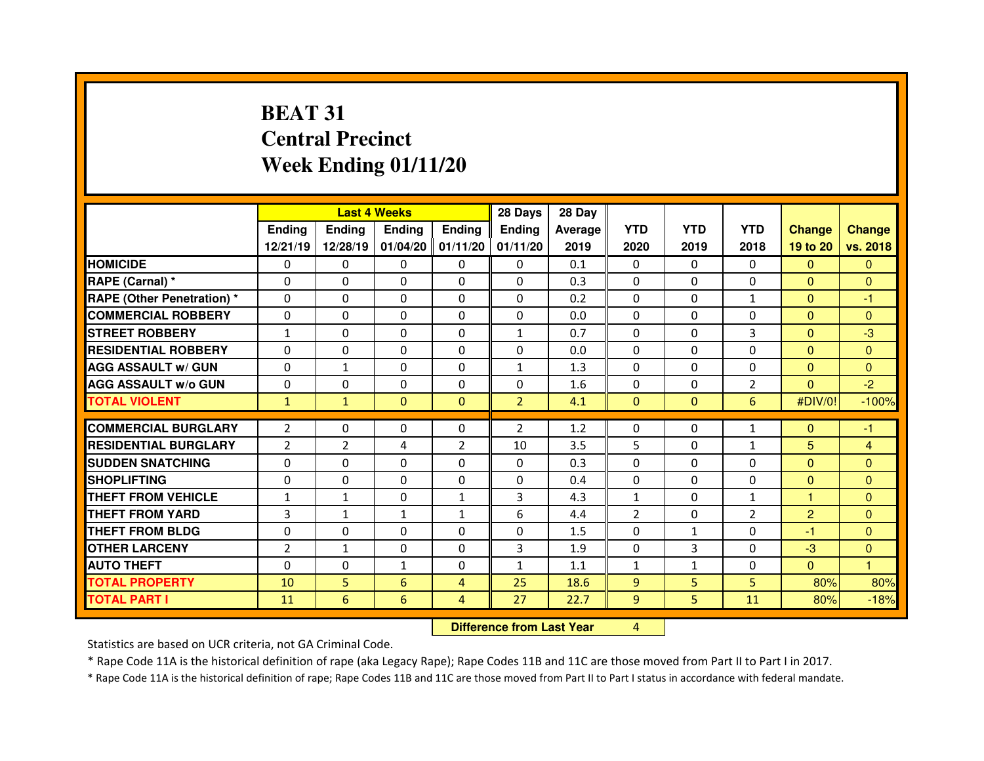# **BEAT 31 Central PrecinctWeek Ending 01/11/20**

|                                  |                | <b>Last 4 Weeks</b>              |               |                | 28 Days        | 28 Day         |                |              |                |                |                |
|----------------------------------|----------------|----------------------------------|---------------|----------------|----------------|----------------|----------------|--------------|----------------|----------------|----------------|
|                                  | <b>Ending</b>  | <b>Ending</b>                    | <b>Ending</b> | <b>Ending</b>  | <b>Ending</b>  | <b>Average</b> | <b>YTD</b>     | <b>YTD</b>   | <b>YTD</b>     | <b>Change</b>  | <b>Change</b>  |
|                                  | 12/21/19       | 12/28/19                         | 01/04/20      | 01/11/20       | 01/11/20       | 2019           | 2020           | 2019         | 2018           | 19 to 20       | vs. 2018       |
| <b>HOMICIDE</b>                  | 0              | 0                                | 0             | $\Omega$       | $\mathbf{0}$   | 0.1            | 0              | $\mathbf{0}$ | $\Omega$       | $\Omega$       | $\Omega$       |
| RAPE (Carnal) *                  | $\Omega$       | 0                                | $\Omega$      | $\mathbf{0}$   | $\Omega$       | 0.3            | $\mathbf{0}$   | $\Omega$     | 0              | $\mathbf{0}$   | $\Omega$       |
| <b>RAPE (Other Penetration)*</b> | $\Omega$       | 0                                | 0             | 0              | $\Omega$       | 0.2            | $\Omega$       | $\Omega$     | $\mathbf{1}$   | $\mathbf{0}$   | $-1$           |
| <b>COMMERCIAL ROBBERY</b>        | $\Omega$       | 0                                | $\Omega$      | $\mathbf{0}$   | $\Omega$       | 0.0            | $\Omega$       | $\Omega$     | $\Omega$       | $\mathbf{0}$   | $\Omega$       |
| <b>STREET ROBBERY</b>            | $\mathbf{1}$   | 0                                | $\Omega$      | $\mathbf{0}$   | 1              | 0.7            | $\Omega$       | $\Omega$     | 3              | $\Omega$       | $-3$           |
| <b>RESIDENTIAL ROBBERY</b>       | 0              | 0                                | 0             | $\mathbf{0}$   | $\Omega$       | 0.0            | $\Omega$       | $\Omega$     | 0              | $\mathbf{0}$   | $\Omega$       |
| <b>AGG ASSAULT w/ GUN</b>        | $\Omega$       | $\mathbf{1}$                     | $\Omega$      | $\mathbf{0}$   | 1              | 1.3            | $\Omega$       | $\Omega$     | $\Omega$       | $\overline{0}$ | $\Omega$       |
| <b>AGG ASSAULT W/o GUN</b>       | 0              | 0                                | 0             | $\mathbf{0}$   | 0              | 1.6            | 0              | $\Omega$     | $\overline{2}$ | $\overline{0}$ | $-2$           |
| <b>TOTAL VIOLENT</b>             | $\mathbf{1}$   | $\mathbf{1}$                     | $\mathbf{0}$  | $\mathbf{0}$   | $\overline{2}$ | 4.1            | $\mathbf{0}$   | $\mathbf{0}$ | 6              | #DIV/0!        | $-100%$        |
| <b>COMMERCIAL BURGLARY</b>       | $\overline{2}$ | 0                                | 0             | $\Omega$       | $\overline{2}$ | 1.2            | $\mathbf{0}$   | $\Omega$     | $\mathbf{1}$   | $\mathbf{0}$   | -1             |
| <b>RESIDENTIAL BURGLARY</b>      | $\overline{2}$ | 2                                | 4             | 2              | 10             | 3.5            | 5              | $\Omega$     | $\mathbf{1}$   | 5              | 4              |
| <b>SUDDEN SNATCHING</b>          | $\Omega$       | 0                                | $\Omega$      | 0              | $\Omega$       | 0.3            | $\Omega$       | $\Omega$     | $\Omega$       | $\mathbf{0}$   | $\Omega$       |
| <b>SHOPLIFTING</b>               | $\Omega$       | 0                                | 0             | $\Omega$       | $\Omega$       | 0.4            | $\Omega$       | $\Omega$     | 0              | $\Omega$       | $\Omega$       |
| <b>THEFT FROM VEHICLE</b>        | 1              | $\mathbf{1}$                     | 0             | $\mathbf{1}$   | 3              | 4.3            | $\mathbf{1}$   | $\Omega$     | $\mathbf{1}$   | 1              | $\Omega$       |
| <b>THEFT FROM YARD</b>           | 3              | $\mathbf{1}$                     | $\mathbf{1}$  | $\mathbf{1}$   | 6              | 4.4            | $\overline{2}$ | $\Omega$     | $\overline{2}$ | $\overline{2}$ | $\mathbf{0}$   |
| <b>THEFT FROM BLDG</b>           | $\Omega$       | 0                                | 0             | 0              | $\Omega$       | 1.5            | $\Omega$       | $\mathbf{1}$ | $\Omega$       | $-1$           | $\Omega$       |
| <b>OTHER LARCENY</b>             | $\overline{2}$ | $\mathbf{1}$                     | 0             | 0              | 3              | 1.9            | 0              | 3            | 0              | $-3$           | $\mathbf{0}$   |
| <b>AUTO THEFT</b>                | $\Omega$       | 0                                | $\mathbf{1}$  | $\mathbf{0}$   | $\mathbf{1}$   | 1.1            | $\mathbf{1}$   | $\mathbf{1}$ | 0              | $\overline{0}$ | $\overline{1}$ |
| <b>TOTAL PROPERTY</b>            | 10             | 5                                | 6             | $\overline{4}$ | 25             | 18.6           | 9              | 5            | 5              | 80%            | 80%            |
| <b>TOTAL PART I</b>              | 11             | 6                                | 6             | 4              | 27             | 22.7           | 9              | 5            | 11             | 80%            | $-18%$         |
|                                  |                | <b>Difference from Last Year</b> |               | 4              |                |                |                |              |                |                |                |

Statistics are based on UCR criteria, not GA Criminal Code.

\* Rape Code 11A is the historical definition of rape (aka Legacy Rape); Rape Codes 11B and 11C are those moved from Part II to Part I in 2017.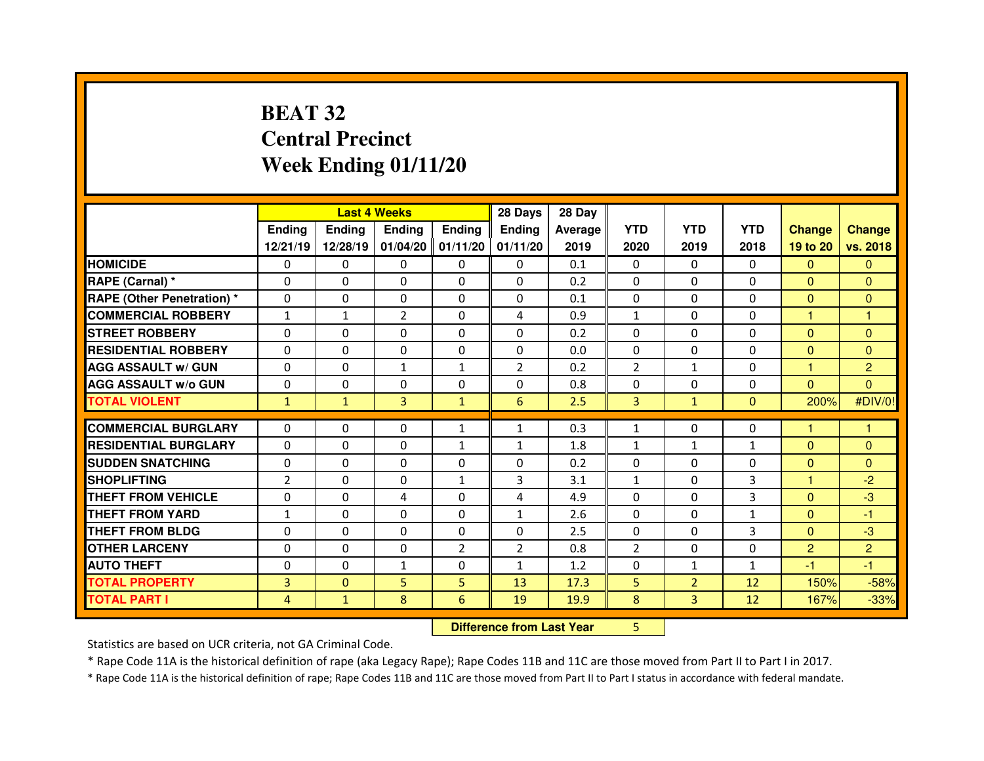# **BEAT 32 Central PrecinctWeek Ending 01/11/20**

|                                  |                | <b>Last 4 Weeks</b> |                |                |                                  | 28 Day         |                |                |                |                |                |
|----------------------------------|----------------|---------------------|----------------|----------------|----------------------------------|----------------|----------------|----------------|----------------|----------------|----------------|
|                                  | <b>Ending</b>  | <b>Ending</b>       | <b>Ending</b>  | Ending         | Ending                           | <b>Average</b> | <b>YTD</b>     | <b>YTD</b>     | <b>YTD</b>     | <b>Change</b>  | <b>Change</b>  |
|                                  | 12/21/19       | 12/28/19            | 01/04/20       | 01/11/20       | 01/11/20                         | 2019           | 2020           | 2019           | 2018           | 19 to 20       | vs. 2018       |
| <b>HOMICIDE</b>                  | 0              | $\Omega$            | 0              | $\mathbf{0}$   | $\Omega$                         | 0.1            | $\mathbf{0}$   | $\Omega$       | $\Omega$       | $\mathbf{0}$   | $\Omega$       |
| RAPE (Carnal) *                  | $\Omega$       | 0                   | 0              | $\Omega$       | $\Omega$                         | 0.2            | $\Omega$       | $\Omega$       | $\mathbf{0}$   | $\mathbf{0}$   | $\mathbf{0}$   |
| <b>RAPE (Other Penetration)*</b> | $\Omega$       | 0                   | $\Omega$       | $\Omega$       | $\Omega$                         | 0.1            | $\Omega$       | $\Omega$       | $\Omega$       | $\mathbf{0}$   | $\Omega$       |
| <b>COMMERCIAL ROBBERY</b>        | $\mathbf{1}$   | $\mathbf{1}$        | $\overline{2}$ | $\mathbf{0}$   | $\overline{4}$                   | 0.9            | $\mathbf{1}$   | $\Omega$       | 0              | 1              | 1              |
| <b>STREET ROBBERY</b>            | $\Omega$       | 0                   | $\Omega$       | $\Omega$       | $\Omega$                         | 0.2            | $\Omega$       | $\Omega$       | $\Omega$       | $\mathbf{0}$   | $\Omega$       |
| <b>RESIDENTIAL ROBBERY</b>       | $\Omega$       | 0                   | $\Omega$       | $\mathbf{0}$   | $\Omega$                         | 0.0            | $\Omega$       | $\Omega$       | 0              | $\mathbf{0}$   | $\Omega$       |
| <b>AGG ASSAULT w/ GUN</b>        | $\Omega$       | 0                   | $\mathbf{1}$   | $\mathbf{1}$   | $\overline{2}$                   | 0.2            | 2              | $\mathbf{1}$   | $\Omega$       | 1              | $\overline{2}$ |
| <b>AGG ASSAULT W/o GUN</b>       | $\Omega$       | 0                   | $\Omega$       | $\Omega$       | $\Omega$                         | 0.8            | $\Omega$       | $\Omega$       | 0              | $\overline{0}$ | $\overline{0}$ |
| <b>TOTAL VIOLENT</b>             | $\mathbf{1}$   | $\mathbf{1}$        | 3              | $\mathbf{1}$   | 6                                | 2.5            | 3              | $\mathbf{1}$   | $\overline{0}$ | 200%           | #DIV/0!        |
| <b>COMMERCIAL BURGLARY</b>       | 0              | 0                   | 0              | $\mathbf{1}$   | $\mathbf{1}$                     | 0.3            | $\mathbf{1}$   | $\Omega$       | 0              | н              | 1              |
| <b>RESIDENTIAL BURGLARY</b>      | $\Omega$       | 0                   | 0              | $\mathbf{1}$   | $\mathbf{1}$                     | 1.8            | $\mathbf{1}$   | $\mathbf{1}$   | $\mathbf{1}$   | $\Omega$       | $\mathbf{0}$   |
| <b>SUDDEN SNATCHING</b>          | 0              | 0                   | 0              | $\mathbf{0}$   | $\Omega$                         | 0.2            | $\mathbf{0}$   | $\Omega$       | $\Omega$       | $\mathbf{0}$   | $\Omega$       |
| <b>SHOPLIFTING</b>               | $\overline{2}$ | 0                   | 0              | $\mathbf{1}$   | $\overline{3}$                   | 3.1            | $\mathbf{1}$   | $\Omega$       | 3              | 1              | $-2$           |
| <b>THEFT FROM VEHICLE</b>        | 0              | 0                   | 4              | 0              | 4                                | 4.9            | $\mathbf{0}$   | $\Omega$       | 3              | $\mathbf{0}$   | $-3$           |
| <b>THEFT FROM YARD</b>           | $\mathbf{1}$   | 0                   | 0              | 0              | $\mathbf{1}$                     | 2.6            | 0              | $\Omega$       | $\mathbf{1}$   | $\mathbf{0}$   | $-1$           |
| <b>THEFT FROM BLDG</b>           | 0              | 0                   | 0              | 0              | 0                                | 2.5            | $\Omega$       | $\Omega$       | 3              | $\mathbf{0}$   | $-3$           |
| <b>OTHER LARCENY</b>             | $\Omega$       | 0                   | 0              | $\overline{2}$ | $\overline{2}$                   | 0.8            | $\overline{2}$ | $\Omega$       | 0              | $\overline{2}$ | $\overline{2}$ |
| <b>AUTO THEFT</b>                | 0              | 0                   | $\mathbf{1}$   | $\Omega$       | $\mathbf{1}$                     | 1.2            | $\mathbf{0}$   | $\mathbf{1}$   | $\mathbf{1}$   | -1             | $-1$           |
| <b>TOTAL PROPERTY</b>            | $\overline{3}$ | $\mathbf{0}$        | 5              | 5              | 13                               | 17.3           | 5              | $\overline{2}$ | 12             | 150%           | $-58%$         |
| <b>TOTAL PART I</b>              | 4              | $\mathbf{1}$        | 8              | 6              | 19                               | 19.9           | 8              | $\overline{3}$ | 12             | 167%           | $-33%$         |
|                                  |                |                     |                |                | <b>Difference from Last Year</b> |                | 5              |                |                |                |                |

 **Difference from Last Year**

Statistics are based on UCR criteria, not GA Criminal Code.

\* Rape Code 11A is the historical definition of rape (aka Legacy Rape); Rape Codes 11B and 11C are those moved from Part II to Part I in 2017.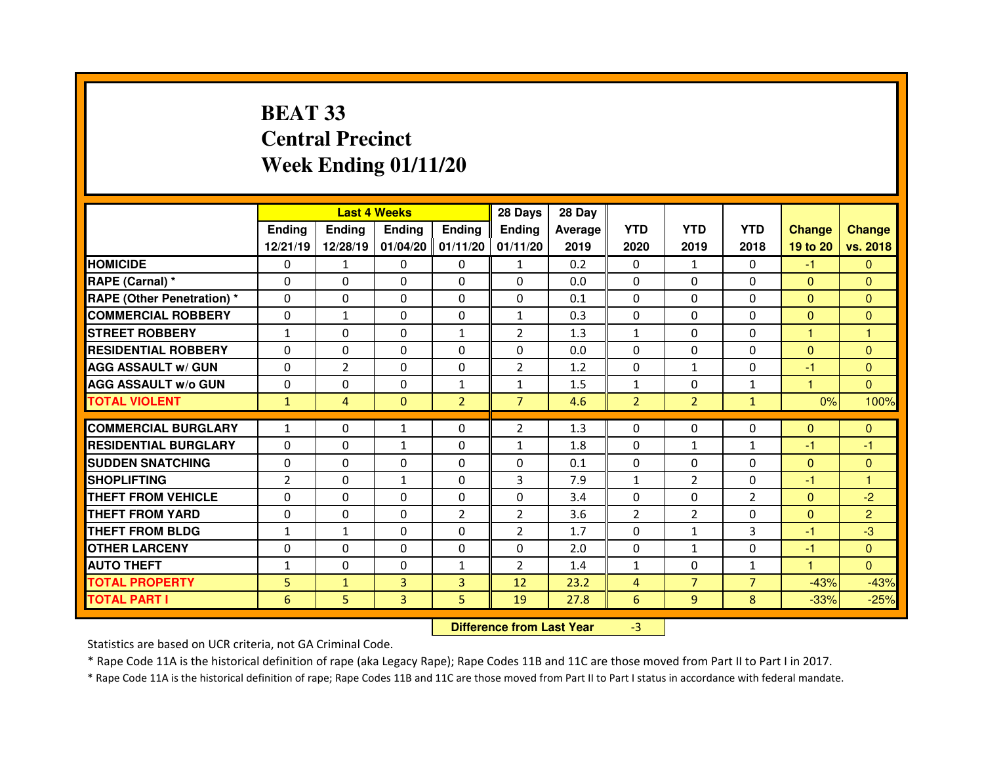# **BEAT 33 Central PrecinctWeek Ending 01/11/20**

|                                  |                |                | <b>Last 4 Weeks</b> |                     | 28 Days                          | 28 Day         |                |                |                |                |                |
|----------------------------------|----------------|----------------|---------------------|---------------------|----------------------------------|----------------|----------------|----------------|----------------|----------------|----------------|
|                                  | Ending         | <b>Ending</b>  | <b>Ending</b>       | <b>Ending</b>       | <b>Ending</b>                    | <b>Average</b> | <b>YTD</b>     | <b>YTD</b>     | <b>YTD</b>     | <b>Change</b>  | <b>Change</b>  |
|                                  | 12/21/19       | 12/28/19       |                     | $01/04/20$ 01/11/20 | 01/11/20                         | 2019           | 2020           | 2019           | 2018           | 19 to 20       | vs. 2018       |
| <b>HOMICIDE</b>                  | 0              | $\mathbf{1}$   | 0                   | $\Omega$            | $\mathbf{1}$                     | 0.2            | 0              | 1              | $\Omega$       | $-1$           | $\Omega$       |
| <b>RAPE (Carnal) *</b>           | $\Omega$       | 0              | 0                   | $\Omega$            | $\Omega$                         | 0.0            | $\Omega$       | $\Omega$       | $\Omega$       | $\mathbf{0}$   | $\Omega$       |
| <b>RAPE (Other Penetration)*</b> | $\Omega$       | 0              | 0                   | 0                   | 0                                | 0.1            | $\Omega$       | $\Omega$       | $\Omega$       | $\overline{0}$ | $\Omega$       |
| <b>COMMERCIAL ROBBERY</b>        | $\Omega$       | $\mathbf{1}$   | $\mathbf{0}$        | $\Omega$            | $\mathbf{1}$                     | 0.3            | $\Omega$       | $\mathbf{0}$   | $\Omega$       | $\Omega$       | $\Omega$       |
| <b>STREET ROBBERY</b>            | $\mathbf{1}$   | 0              | $\mathbf{0}$        | $\mathbf{1}$        | $\overline{2}$                   | 1.3            | $\mathbf{1}$   | $\Omega$       | $\Omega$       | 1              | $\overline{1}$ |
| <b>RESIDENTIAL ROBBERY</b>       | 0              | 0              | $\mathbf{0}$        | $\Omega$            | 0                                | 0.0            | 0              | $\mathbf{0}$   | $\Omega$       | $\overline{0}$ | $\Omega$       |
| <b>AGG ASSAULT w/ GUN</b>        | 0              | $\overline{2}$ | $\mathbf{0}$        | $\Omega$            | $\overline{2}$                   | 1.2            | $\Omega$       | $\mathbf{1}$   | $\Omega$       | $-1$           | $\Omega$       |
| <b>AGG ASSAULT w/o GUN</b>       | 0              | 0              | 0                   | $\mathbf{1}$        | $\mathbf{1}$                     | 1.5            | $\mathbf{1}$   | $\mathbf{0}$   | $\mathbf{1}$   | 1              | $\mathbf{0}$   |
| <b>TOTAL VIOLENT</b>             | $\mathbf{1}$   | $\overline{4}$ | $\mathbf{0}$        | $\overline{2}$      | $\overline{7}$                   | 4.6            | $\overline{2}$ | 2 <sup>1</sup> | $\mathbf{1}$   | 0%             | 100%           |
| <b>COMMERCIAL BURGLARY</b>       | $\mathbf{1}$   | 0              | $\mathbf{1}$        | $\Omega$            | $\overline{2}$                   | 1.3            | 0              | $\Omega$       | 0              | $\mathbf{0}$   | $\mathbf{0}$   |
| <b>RESIDENTIAL BURGLARY</b>      | $\Omega$       | 0              | $\mathbf{1}$        | $\Omega$            | $\mathbf{1}$                     | 1.8            | $\Omega$       | $\mathbf{1}$   | $\mathbf{1}$   | -1             | -1             |
| <b>SUDDEN SNATCHING</b>          | 0              | 0              | $\Omega$            | $\Omega$            | 0                                | 0.1            | $\Omega$       | $\Omega$       | $\Omega$       | $\overline{0}$ | $\mathbf{0}$   |
| <b>SHOPLIFTING</b>               | $\overline{2}$ | 0              | $\mathbf{1}$        | $\Omega$            | 3                                | 7.9            | $\mathbf{1}$   | $\overline{2}$ | $\Omega$       | -1             | 1              |
| <b>THEFT FROM VEHICLE</b>        | 0              | 0              | $\Omega$            | 0                   | 0                                | 3.4            | 0              | $\Omega$       | $\overline{2}$ | $\overline{0}$ | $-2$           |
| <b>THEFT FROM YARD</b>           | 0              | 0              | 0                   | $\overline{2}$      | $\overline{2}$                   | 3.6            | $\overline{2}$ | $\overline{2}$ | 0              | $\overline{0}$ | $\overline{2}$ |
| <b>THEFT FROM BLDG</b>           | $\mathbf{1}$   | $\mathbf{1}$   | 0                   | $\Omega$            | $\overline{2}$                   | 1.7            | $\Omega$       | $\mathbf{1}$   | 3              | $-1$           | $-3$           |
| <b>OTHER LARCENY</b>             | 0              | 0              | 0                   | 0                   | 0                                | 2.0            | 0              | $\mathbf{1}$   | 0              | $-1$           | $\mathbf{0}$   |
| <b>AUTO THEFT</b>                | $\mathbf{1}$   | 0              | $\Omega$            | $\mathbf{1}$        | $\overline{2}$                   | 1.4            | $\mathbf{1}$   | $\mathbf{0}$   | $\mathbf{1}$   | н              | $\Omega$       |
| <b>TOTAL PROPERTY</b>            | 5              | $\mathbf{1}$   | 3                   | 3                   | 12                               | 23.2           | $\overline{4}$ | $\overline{7}$ | $\overline{7}$ | $-43%$         | $-43%$         |
| <b>TOTAL PART I</b>              | 6              | 5              | 3                   | 5                   | 19                               | 27.8           | 6              | 9              | 8              | $-33%$         | $-25%$         |
|                                  |                |                |                     |                     | <b>Difference from Last Year</b> |                | $-3$           |                |                |                |                |

Statistics are based on UCR criteria, not GA Criminal Code.

\* Rape Code 11A is the historical definition of rape (aka Legacy Rape); Rape Codes 11B and 11C are those moved from Part II to Part I in 2017.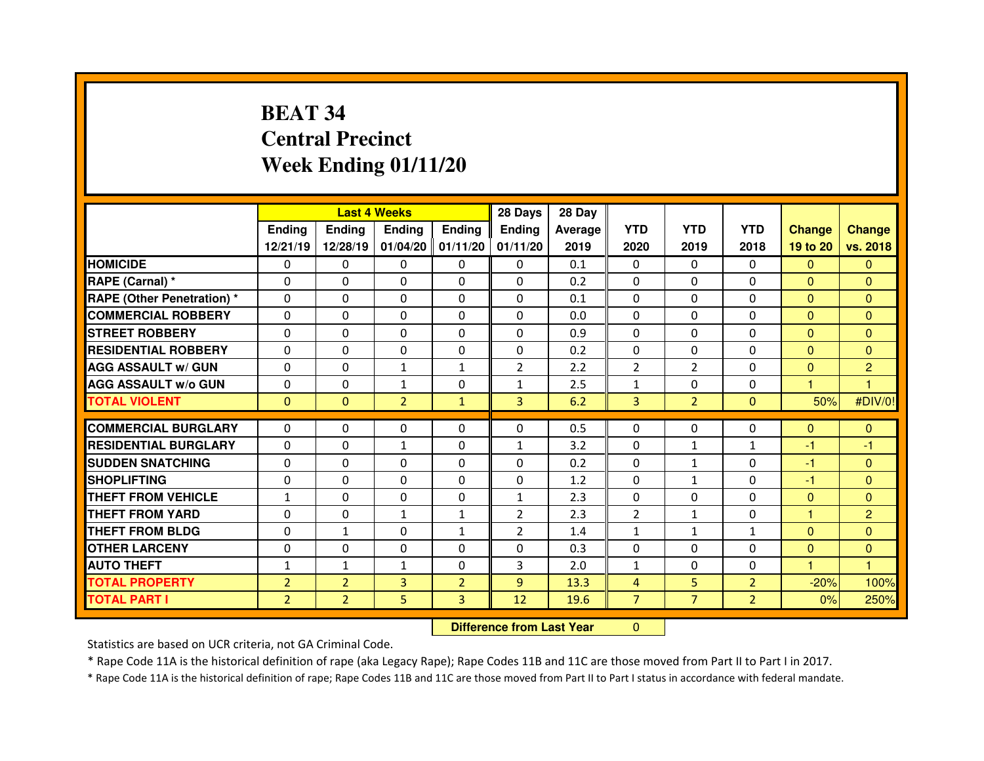# **BEAT 34 Central PrecinctWeek Ending 01/11/20**

|                                   |                | <b>Last 4 Weeks</b><br><b>Ending</b><br><b>Ending</b><br><b>Ending</b> |                |                | 28 Days                          | 28 Day  |                |                |                |                         |                |
|-----------------------------------|----------------|------------------------------------------------------------------------|----------------|----------------|----------------------------------|---------|----------------|----------------|----------------|-------------------------|----------------|
|                                   | <b>Ending</b>  |                                                                        |                |                | <b>Ending</b>                    | Average | <b>YTD</b>     | <b>YTD</b>     | <b>YTD</b>     | <b>Change</b>           | <b>Change</b>  |
|                                   | 12/21/19       | 12/28/19                                                               | 01/04/20       | 01/11/20       | 01/11/20                         | 2019    | 2020           | 2019           | 2018           | 19 to 20                | vs. 2018       |
| <b>HOMICIDE</b>                   | 0              | $\mathbf{0}$                                                           | $\Omega$       | $\Omega$       | $\mathbf{0}$                     | 0.1     | $\Omega$       | $\Omega$       | $\Omega$       | $\mathbf{0}$            | $\Omega$       |
| RAPE (Carnal) *                   | $\Omega$       | 0                                                                      | 0              | 0              | $\Omega$                         | 0.2     | 0              | $\Omega$       | 0              | $\overline{0}$          | $\overline{0}$ |
| <b>RAPE (Other Penetration) *</b> | $\Omega$       | 0                                                                      | 0              | $\mathbf{0}$   | $\Omega$                         | 0.1     | $\Omega$       | $\Omega$       | $\Omega$       | $\mathbf{0}$            | $\Omega$       |
| <b>COMMERCIAL ROBBERY</b>         | $\Omega$       | 0                                                                      | $\Omega$       | $\mathbf{0}$   | $\Omega$                         | 0.0     | $\Omega$       | $\Omega$       | 0              | $\Omega$                | $\Omega$       |
| <b>STREET ROBBERY</b>             | $\Omega$       | 0                                                                      | $\Omega$       | $\Omega$       | $\Omega$                         | 0.9     | $\Omega$       | $\Omega$       | 0              | $\mathbf{0}$            | $\Omega$       |
| <b>RESIDENTIAL ROBBERY</b>        | $\Omega$       | 0                                                                      | $\Omega$       | $\Omega$       | $\Omega$                         | 0.2     | $\Omega$       | $\Omega$       | 0              | $\overline{0}$          | $\Omega$       |
| <b>AGG ASSAULT w/ GUN</b>         | $\Omega$       | 0                                                                      | $\mathbf{1}$   | $\mathbf{1}$   | $\overline{2}$                   | 2.2     | $\overline{2}$ | $\overline{2}$ | 0              | $\overline{0}$          | $\overline{2}$ |
| <b>AGG ASSAULT w/o GUN</b>        | $\Omega$       | 0                                                                      | $\mathbf{1}$   | $\Omega$       | 1                                | 2.5     | $\mathbf 1$    | $\Omega$       | 0              | $\overline{\mathbf{1}}$ | $\overline{1}$ |
| <b>TOTAL VIOLENT</b>              | $\mathbf{0}$   | $\overline{0}$                                                         | $\overline{2}$ | $\mathbf{1}$   | $\overline{3}$                   | 6.2     | $\overline{3}$ | $\overline{2}$ | $\overline{0}$ | 50%                     | #DIV/0!        |
| <b>COMMERCIAL BURGLARY</b>        | $\Omega$       | 0                                                                      | 0              | $\Omega$       | $\Omega$                         | 0.5     | $\Omega$       | $\Omega$       | 0              | $\mathbf{0}$            | $\mathbf{0}$   |
| <b>RESIDENTIAL BURGLARY</b>       | $\Omega$       | 0                                                                      | $\mathbf{1}$   | $\mathbf{0}$   | $\mathbf{1}$                     | 3.2     | $\mathbf{0}$   | $\mathbf{1}$   | $\mathbf{1}$   | $-1$                    | $-1$           |
| <b>SUDDEN SNATCHING</b>           | $\Omega$       | 0                                                                      | $\Omega$       | 0              | $\Omega$                         | 0.2     | $\mathbf{0}$   | $\mathbf{1}$   | $\Omega$       | $-1$                    | $\Omega$       |
| <b>SHOPLIFTING</b>                | 0              | 0                                                                      | $\Omega$       | $\mathbf{0}$   | $\Omega$                         | 1.2     | $\mathbf{0}$   | $\mathbf{1}$   | 0              | -1                      | $\Omega$       |
| <b>THEFT FROM VEHICLE</b>         | $\mathbf{1}$   | 0                                                                      | 0              | 0              | $\mathbf{1}$                     | 2.3     | 0              | $\Omega$       | 0              | $\overline{0}$          | $\mathbf{0}$   |
| <b>THEFT FROM YARD</b>            | $\Omega$       | 0                                                                      | $\mathbf 1$    | $\mathbf{1}$   | $\overline{2}$                   | 2.3     | $\overline{2}$ | $\mathbf{1}$   | 0              | 1                       | $\overline{c}$ |
| <b>THEFT FROM BLDG</b>            | 0              | $\mathbf{1}$                                                           | $\Omega$       | $\mathbf{1}$   | $\overline{2}$                   | 1.4     | $\mathbf{1}$   | $\mathbf{1}$   | $\mathbf{1}$   | $\mathbf{0}$            | $\Omega$       |
| <b>OTHER LARCENY</b>              | 0              | 0                                                                      | 0              | 0              | 0                                | 0.3     | 0              | $\Omega$       | 0              | $\overline{0}$          | $\mathbf{0}$   |
| <b>AUTO THEFT</b>                 | $\mathbf{1}$   | $\mathbf{1}$                                                           | $\mathbf{1}$   | $\Omega$       | 3                                | 2.0     | $\mathbf{1}$   | $\Omega$       | $\mathbf{0}$   | н                       | 1              |
| <b>TOTAL PROPERTY</b>             | $\overline{2}$ | $\overline{2}$                                                         | 3              | $\overline{2}$ | 9 <sup>°</sup>                   | 13.3    | $\overline{4}$ | 5              | $\overline{2}$ | $-20%$                  | 100%           |
| <b>TOTAL PART I</b>               | $\overline{2}$ | $\overline{2}$                                                         | 5              | 3              | 12                               | 19.6    | $\overline{7}$ | $\overline{7}$ | $\overline{2}$ | 0%                      | 250%           |
|                                   |                |                                                                        |                |                | <b>Difference from Last Year</b> |         | $\mathbf{0}$   |                |                |                         |                |

 **Difference from Last Year**

Statistics are based on UCR criteria, not GA Criminal Code.

\* Rape Code 11A is the historical definition of rape (aka Legacy Rape); Rape Codes 11B and 11C are those moved from Part II to Part I in 2017.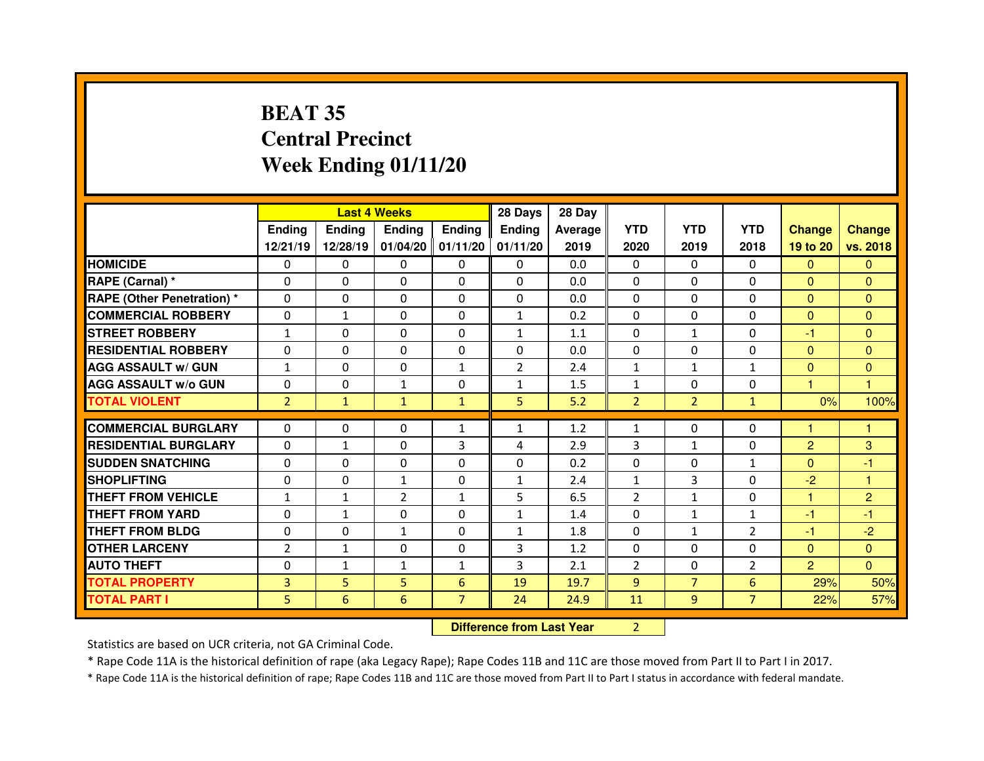# **BEAT 35 Central PrecinctWeek Ending 01/11/20**

|                                  |                | <b>Last 4 Weeks</b> |                |                |                                  | 28 Day         |                |                |                |                |                |
|----------------------------------|----------------|---------------------|----------------|----------------|----------------------------------|----------------|----------------|----------------|----------------|----------------|----------------|
|                                  | <b>Ending</b>  | <b>Ending</b>       | <b>Ending</b>  | <b>Ending</b>  | <b>Ending</b>                    | <b>Average</b> | <b>YTD</b>     | <b>YTD</b>     | <b>YTD</b>     | <b>Change</b>  | <b>Change</b>  |
|                                  | 12/21/19       | 12/28/19            | 01/04/20       | 01/11/20       | 01/11/20                         | 2019           | 2020           | 2019           | 2018           | 19 to 20       | vs. 2018       |
| <b>HOMICIDE</b>                  | 0              | 0                   | 0              | $\Omega$       | $\mathbf{0}$                     | 0.0            | 0              | $\mathbf{0}$   | $\Omega$       | $\Omega$       | $\Omega$       |
| RAPE (Carnal) *                  | $\Omega$       | 0                   | $\Omega$       | $\mathbf{0}$   | $\Omega$                         | 0.0            | $\mathbf{0}$   | $\Omega$       | 0              | $\mathbf{0}$   | $\Omega$       |
| <b>RAPE (Other Penetration)*</b> | $\Omega$       | 0                   | 0              | 0              | $\mathbf 0$                      | 0.0            | $\Omega$       | $\Omega$       | 0              | $\overline{0}$ | $\Omega$       |
| <b>COMMERCIAL ROBBERY</b>        | $\Omega$       | $\mathbf{1}$        | $\Omega$       | $\mathbf{0}$   | $\mathbf{1}$                     | 0.2            | $\Omega$       | $\Omega$       | 0              | $\Omega$       | $\Omega$       |
| <b>STREET ROBBERY</b>            | $\mathbf{1}$   | 0                   | $\Omega$       | $\mathbf{0}$   | $\mathbf{1}$                     | 1.1            | $\Omega$       | $\mathbf{1}$   | 0              | $-1$           | $\Omega$       |
| <b>RESIDENTIAL ROBBERY</b>       | 0              | 0                   | 0              | $\mathbf{0}$   | $\Omega$                         | 0.0            | $\Omega$       | $\Omega$       | 0              | $\mathbf{0}$   | $\Omega$       |
| <b>AGG ASSAULT w/ GUN</b>        | $\mathbf{1}$   | 0                   | 0              | $\mathbf{1}$   | $\overline{2}$                   | 2.4            | $\mathbf{1}$   | $\mathbf{1}$   | $\mathbf{1}$   | $\overline{0}$ | $\mathbf{0}$   |
| <b>AGG ASSAULT W/o GUN</b>       | 0              | 0                   | $\mathbf{1}$   | 0              | $\mathbf{1}$                     | 1.5            | $\mathbf{1}$   | $\Omega$       | 0              | $\mathbf{1}$   | $\overline{1}$ |
| <b>TOTAL VIOLENT</b>             | $\overline{2}$ | $\mathbf{1}$        | $\mathbf{1}$   | $\mathbf{1}$   | 5                                | 5.2            | $\overline{2}$ | $\overline{2}$ | $\mathbf{1}$   | 0%             | 100%           |
| <b>COMMERCIAL BURGLARY</b>       | 0              | 0                   | 0              | $\mathbf{1}$   | $\mathbf{1}$                     | 1.2            | $\mathbf{1}$   | $\Omega$       | $\Omega$       | 1              | 1              |
| <b>RESIDENTIAL BURGLARY</b>      | $\Omega$       | $\mathbf{1}$        | 0              | 3              | 4                                | 2.9            | 3              | $\mathbf{1}$   | $\Omega$       | $\overline{2}$ | 3              |
| <b>SUDDEN SNATCHING</b>          | 0              | 0                   | 0              | 0              | 0                                | 0.2            | $\Omega$       | 0              | $\mathbf{1}$   | $\overline{0}$ | -1             |
| <b>SHOPLIFTING</b>               | $\Omega$       | 0                   | $\mathbf{1}$   | 0              | $\mathbf{1}$                     | 2.4            | $\mathbf{1}$   | 3              | 0              | $-2$           | 1              |
| <b>THEFT FROM VEHICLE</b>        | $\mathbf{1}$   | $\mathbf{1}$        | $\overline{2}$ | $\mathbf{1}$   | 5                                | 6.5            | $\overline{2}$ | $\mathbf{1}$   | 0              | 1              | $\overline{2}$ |
| <b>THEFT FROM YARD</b>           | 0              | $\mathbf{1}$        | 0              | 0              | $\mathbf{1}$                     | 1.4            | 0              | $\mathbf{1}$   | $\mathbf{1}$   | -1             | $-1$           |
| <b>THEFT FROM BLDG</b>           | $\Omega$       | 0                   | $\mathbf{1}$   | $\mathbf{0}$   | $\mathbf{1}$                     | 1.8            | $\Omega$       | $\mathbf{1}$   | 2              | $-1$           | $-2$           |
| <b>OTHER LARCENY</b>             | $\overline{2}$ | $\mathbf{1}$        | 0              | 0              | 3                                | 1.2            | 0              | $\Omega$       | 0              | $\overline{0}$ | $\mathbf{0}$   |
| <b>AUTO THEFT</b>                | $\Omega$       | $\mathbf{1}$        | $\mathbf{1}$   | $\mathbf{1}$   | 3                                | 2.1            | $\overline{2}$ | $\Omega$       | $\overline{2}$ | $\overline{2}$ | $\overline{0}$ |
| <b>TOTAL PROPERTY</b>            | 3              | 5                   | 5              | 6              | 19                               | 19.7           | 9              | $\overline{7}$ | 6              | 29%            | 50%            |
| <b>TOTAL PART I</b>              | 5              | 6                   | 6              | $\overline{7}$ | 24                               | 24.9           | 11             | 9              | $\overline{7}$ | 22%            | 57%            |
|                                  |                |                     |                |                | <b>Difference from Last Year</b> |                | $\overline{2}$ |                |                |                |                |

Statistics are based on UCR criteria, not GA Criminal Code.

\* Rape Code 11A is the historical definition of rape (aka Legacy Rape); Rape Codes 11B and 11C are those moved from Part II to Part I in 2017.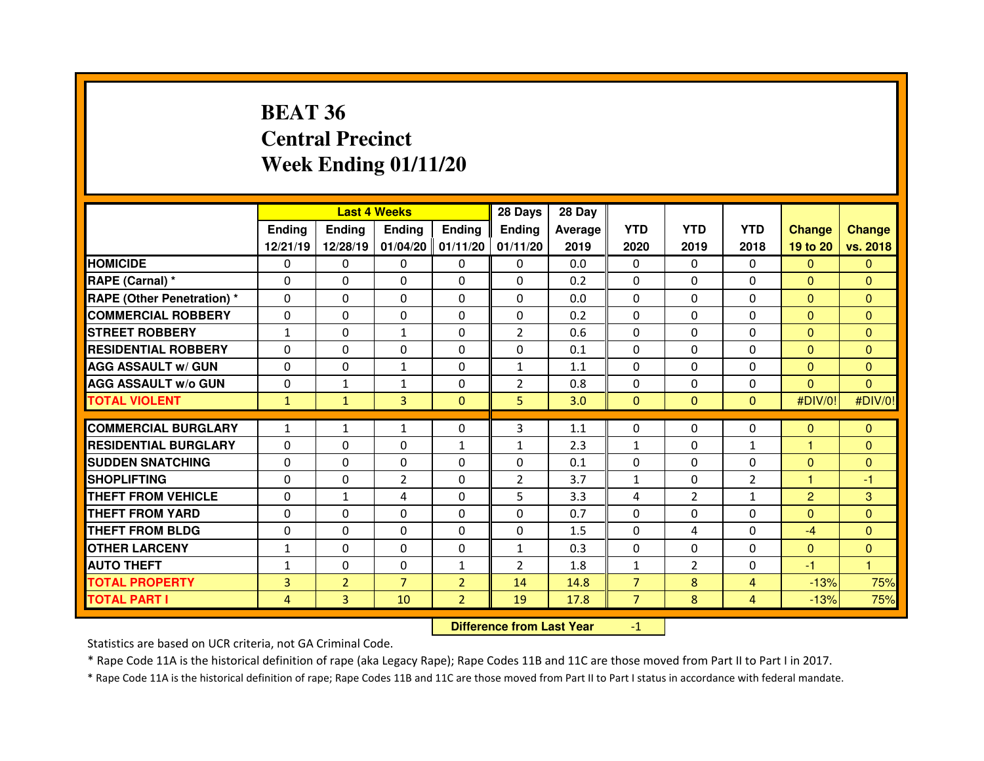# **BEAT 36 Central PrecinctWeek Ending 01/11/20**

|                                  |              |                | <b>Last 4 Weeks</b> |                | 28 Days        | 28 Day  |                |                |                |                |               |
|----------------------------------|--------------|----------------|---------------------|----------------|----------------|---------|----------------|----------------|----------------|----------------|---------------|
|                                  | Ending       | <b>Ending</b>  | <b>Endina</b>       | <b>Ending</b>  | <b>Ending</b>  | Average | <b>YTD</b>     | <b>YTD</b>     | <b>YTD</b>     | <b>Change</b>  | <b>Change</b> |
|                                  | 12/21/19     | 12/28/19       | 01/04/20            | 01/11/20       | 01/11/20       | 2019    | 2020           | 2019           | 2018           | 19 to 20       | vs. 2018      |
| <b>HOMICIDE</b>                  | $\Omega$     | 0              | $\Omega$            | $\Omega$       | $\Omega$       | 0.0     | $\Omega$       | $\Omega$       | $\Omega$       | $\Omega$       | $\Omega$      |
| RAPE (Carnal) *                  | $\Omega$     | 0              | 0                   | $\Omega$       | $\Omega$       | 0.2     | $\Omega$       | $\Omega$       | $\Omega$       | $\Omega$       | $\Omega$      |
| <b>RAPE (Other Penetration)*</b> | $\Omega$     | 0              | $\Omega$            | $\Omega$       | $\Omega$       | 0.0     | $\Omega$       | $\Omega$       | $\Omega$       | $\Omega$       | $\Omega$      |
| <b>COMMERCIAL ROBBERY</b>        | $\Omega$     | 0              | $\Omega$            | $\Omega$       | $\Omega$       | 0.2     | $\Omega$       | $\Omega$       | $\Omega$       | $\mathbf{0}$   | $\Omega$      |
| <b>STREET ROBBERY</b>            | $\mathbf{1}$ | 0              | $\mathbf{1}$        | $\Omega$       | $\overline{2}$ | 0.6     | $\Omega$       | $\Omega$       | $\Omega$       | $\Omega$       | $\Omega$      |
| <b>RESIDENTIAL ROBBERY</b>       | $\Omega$     | 0              | $\Omega$            | $\Omega$       | $\Omega$       | 0.1     | $\Omega$       | $\Omega$       | $\Omega$       | $\Omega$       | $\Omega$      |
| <b>AGG ASSAULT w/ GUN</b>        | $\Omega$     | 0              | $\mathbf{1}$        | $\Omega$       | $\mathbf{1}$   | 1.1     | $\Omega$       | $\Omega$       | $\Omega$       | $\overline{0}$ | $\Omega$      |
| <b>AGG ASSAULT w/o GUN</b>       | 0            | $\mathbf{1}$   | $\mathbf{1}$        | $\mathbf{0}$   | $\overline{2}$ | 0.8     | $\mathbf{0}$   | $\Omega$       | $\Omega$       | $\mathbf{0}$   | $\Omega$      |
| <b>TOTAL VIOLENT</b>             | $\mathbf{1}$ | $\mathbf{1}$   | 3                   | $\Omega$       | 5              | 3.0     | $\mathbf{0}$   | $\Omega$       | $\overline{0}$ | #DIV/0!        | #DIV/0!       |
| <b>COMMERCIAL BURGLARY</b>       | $\mathbf{1}$ | $\mathbf{1}$   | $\mathbf{1}$        | $\mathbf{0}$   | 3              | 1.1     | $\mathbf{0}$   | $\Omega$       | 0              | $\mathbf{0}$   | $\Omega$      |
|                                  |              |                |                     |                |                |         |                |                |                | 1              |               |
| <b>RESIDENTIAL BURGLARY</b>      | $\Omega$     | 0              | 0                   | $\mathbf{1}$   | $\mathbf{1}$   | 2.3     | $\mathbf{1}$   | $\Omega$       | $\mathbf{1}$   |                | $\Omega$      |
| <b>SUDDEN SNATCHING</b>          | $\Omega$     | 0              | 0                   | $\Omega$       | $\Omega$       | 0.1     | $\mathbf{0}$   | $\Omega$       | $\Omega$       | $\mathbf{0}$   | $\Omega$      |
| <b>SHOPLIFTING</b>               | $\Omega$     | 0              | $\overline{2}$      | $\Omega$       | $\overline{2}$ | 3.7     | $\mathbf{1}$   | $\Omega$       | $\overline{2}$ | 1              | $-1$          |
| THEFT FROM VEHICLE               | 0            | $\mathbf{1}$   | 4                   | $\mathbf{0}$   | 5              | 3.3     | 4              | $\overline{2}$ | $\mathbf{1}$   | $\overline{2}$ | 3             |
| <b>THEFT FROM YARD</b>           | $\Omega$     | 0              | $\Omega$            | $\Omega$       | $\Omega$       | 0.7     | $\Omega$       | $\Omega$       | $\Omega$       | $\mathbf{0}$   | $\Omega$      |
| <b>THEFT FROM BLDG</b>           | 0            | 0              | $\Omega$            | $\mathbf{0}$   | $\Omega$       | 1.5     | $\Omega$       | 4              | $\Omega$       | $-4$           | $\Omega$      |
| <b>OTHER LARCENY</b>             | $\mathbf{1}$ | 0              | $\Omega$            | $\mathbf{0}$   | $\mathbf{1}$   | 0.3     | $\Omega$       | $\Omega$       | $\Omega$       | $\mathbf{0}$   | $\Omega$      |
|                                  |              | 0              | 0                   | $\mathbf{1}$   | $\overline{2}$ | 1.8     | $\mathbf{1}$   | $\overline{2}$ | $\Omega$       | $-1$           | 1             |
| <b>AUTO THEFT</b>                | 1            |                |                     |                |                |         |                |                |                |                |               |
| <b>TOTAL PROPERTY</b>            | 3            | $\overline{2}$ | $\overline{7}$      | $\overline{2}$ | 14             | 14.8    | $\overline{7}$ | 8              | 4              | $-13%$         | 75%           |
| <b>TOTAL PART I</b>              | 4            | 3              | 10                  | $\overline{2}$ | 19             | 17.8    | $\overline{7}$ | 8              | 4              | $-13%$         | 75%           |

 **Difference from Last Year**-1

Statistics are based on UCR criteria, not GA Criminal Code.

\* Rape Code 11A is the historical definition of rape (aka Legacy Rape); Rape Codes 11B and 11C are those moved from Part II to Part I in 2017.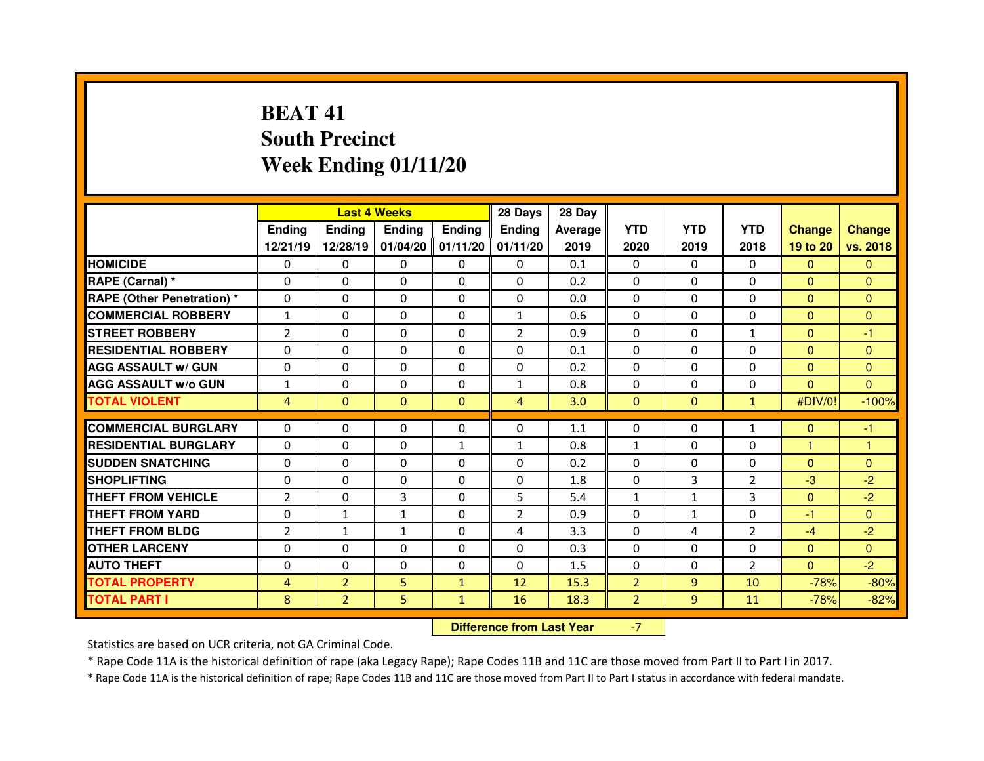# **BEAT 41 South PrecinctWeek Ending 01/11/20**

|                                   |                |                | <b>Last 4 Weeks</b> |                          | 28 Days        | 28 Day  |                |                |                |                |              |
|-----------------------------------|----------------|----------------|---------------------|--------------------------|----------------|---------|----------------|----------------|----------------|----------------|--------------|
|                                   | <b>Ending</b>  | <b>Ending</b>  | <b>Ending</b>       | <b>Endina</b>            | Ending         | Average | <b>YTD</b>     | <b>YTD</b>     | <b>YTD</b>     | <b>Change</b>  | Change       |
|                                   | 12/21/19       | 12/28/19       | 01/04/20            | 01/11/20                 | 01/11/20       | 2019    | 2020           | 2019           | 2018           | 19 to 20       | vs. 2018     |
| <b>HOMICIDE</b>                   | $\Omega$       | 0              | 0                   | 0                        | $\mathbf{0}$   | 0.1     | 0              | $\Omega$       | $\Omega$       | $\Omega$       | $\Omega$     |
| RAPE (Carnal) *                   | $\Omega$       | 0              | $\Omega$            | 0                        | $\Omega$       | 0.2     | 0              | $\Omega$       | $\Omega$       | $\Omega$       | $\Omega$     |
| <b>RAPE (Other Penetration) *</b> | $\Omega$       | $\Omega$       | $\Omega$            | $\Omega$                 | $\Omega$       | 0.0     | $\Omega$       | $\Omega$       | $\Omega$       | $\Omega$       | $\Omega$     |
| <b>COMMERCIAL ROBBERY</b>         | $\mathbf{1}$   | $\Omega$       | $\Omega$            | $\Omega$                 | $\mathbf{1}$   | 0.6     | $\Omega$       | $\Omega$       | $\Omega$       | $\mathbf{0}$   | $\Omega$     |
| <b>STREET ROBBERY</b>             | $\overline{2}$ | $\Omega$       | 0                   | $\Omega$                 | $\overline{2}$ | 0.9     | $\Omega$       | $\Omega$       | $\mathbf{1}$   | $\Omega$       | $-1$         |
| <b>RESIDENTIAL ROBBERY</b>        | $\Omega$       | 0              | 0                   | 0                        | $\mathbf{0}$   | 0.1     | 0              | 0              | $\Omega$       | $\mathbf{0}$   | $\mathbf{0}$ |
| <b>AGG ASSAULT w/ GUN</b>         | $\Omega$       | $\Omega$       | $\Omega$            | $\Omega$                 | $\Omega$       | 0.2     | $\Omega$       | $\Omega$       | $\Omega$       | $\overline{0}$ | $\Omega$     |
| <b>AGG ASSAULT w/o GUN</b>        | $\mathbf{1}$   | 0              | 0                   | 0                        | $\mathbf{1}$   | 0.8     | 0              | 0              | 0              | $\mathbf{0}$   | $\mathbf{0}$ |
| <b>TOTAL VIOLENT</b>              | $\overline{4}$ | $\mathbf{0}$   | $\mathbf{0}$        | $\mathbf{0}$             | $\overline{4}$ | 3.0     | $\mathbf{0}$   | $\mathbf{0}$   | $\mathbf{1}$   | #DIV/0!        | $-100%$      |
| <b>COMMERCIAL BURGLARY</b>        | $\Omega$       | 0              | 0                   | 0                        | 0              | 1.1     | 0              | $\Omega$       | $\mathbf{1}$   | $\mathbf{0}$   | -1           |
| <b>RESIDENTIAL BURGLARY</b>       | $\Omega$       | $\Omega$       | $\Omega$            |                          | $\mathbf{1}$   | 0.8     | $\mathbf{1}$   | $\Omega$       | $\Omega$       | 1              | 1            |
| <b>SUDDEN SNATCHING</b>           | $\Omega$       | $\Omega$       | $\Omega$            | $\mathbf{1}$<br>$\Omega$ | 0              | 0.2     | $\Omega$       | $\Omega$       | $\Omega$       | $\Omega$       | $\Omega$     |
| <b>SHOPLIFTING</b>                | $\Omega$       | $\Omega$       | $\Omega$            | $\Omega$                 | $\Omega$       | 1.8     | $\Omega$       | 3              | $\overline{2}$ | $-3$           | $-2$         |
| THEFT FROM VEHICLE                | $\overline{2}$ | 0              | 3                   | 0                        | 5              | 5.4     | $\mathbf{1}$   | $\mathbf{1}$   | 3              | $\mathbf{0}$   | $-2$         |
| <b>THEFT FROM YARD</b>            | $\Omega$       |                |                     | 0                        |                | 0.9     | $\Omega$       | $\mathbf{1}$   | $\Omega$       | $-1$           | $\Omega$     |
|                                   |                | $\mathbf{1}$   | $\mathbf{1}$        |                          | $\overline{2}$ |         |                |                |                |                |              |
| THEFT FROM BLDG                   | $\overline{2}$ | $\mathbf{1}$   | $\mathbf{1}$        | $\Omega$                 | 4              | 3.3     | $\Omega$       | 4              | $\overline{2}$ | $-4$           | $-2$         |
| <b>OTHER LARCENY</b>              | $\Omega$       | $\Omega$       | $\Omega$            | 0                        | 0              | 0.3     | 0              | $\Omega$       | $\Omega$       | $\overline{0}$ | $\Omega$     |
| <b>AUTO THEFT</b>                 | $\mathbf{0}$   | 0              | $\Omega$            | $\Omega$                 | $\Omega$       | 1.5     | $\Omega$       | $\Omega$       | $\overline{2}$ | $\overline{0}$ | $-2$         |
| <b>TOTAL PROPERTY</b>             | $\overline{4}$ | $\overline{2}$ | 5                   | $\mathbf{1}$             | 12             | 15.3    | $\overline{2}$ | $\overline{9}$ | 10             | $-78%$         | $-80%$       |
| <b>TOTAL PART I</b>               | 8              | $\overline{2}$ | 5                   | $\mathbf{1}$             | 16             | 18.3    | $\overline{2}$ | 9              | 11             | $-78%$         | $-82%$       |

 **Difference from Last Year**-7

Statistics are based on UCR criteria, not GA Criminal Code.

\* Rape Code 11A is the historical definition of rape (aka Legacy Rape); Rape Codes 11B and 11C are those moved from Part II to Part I in 2017.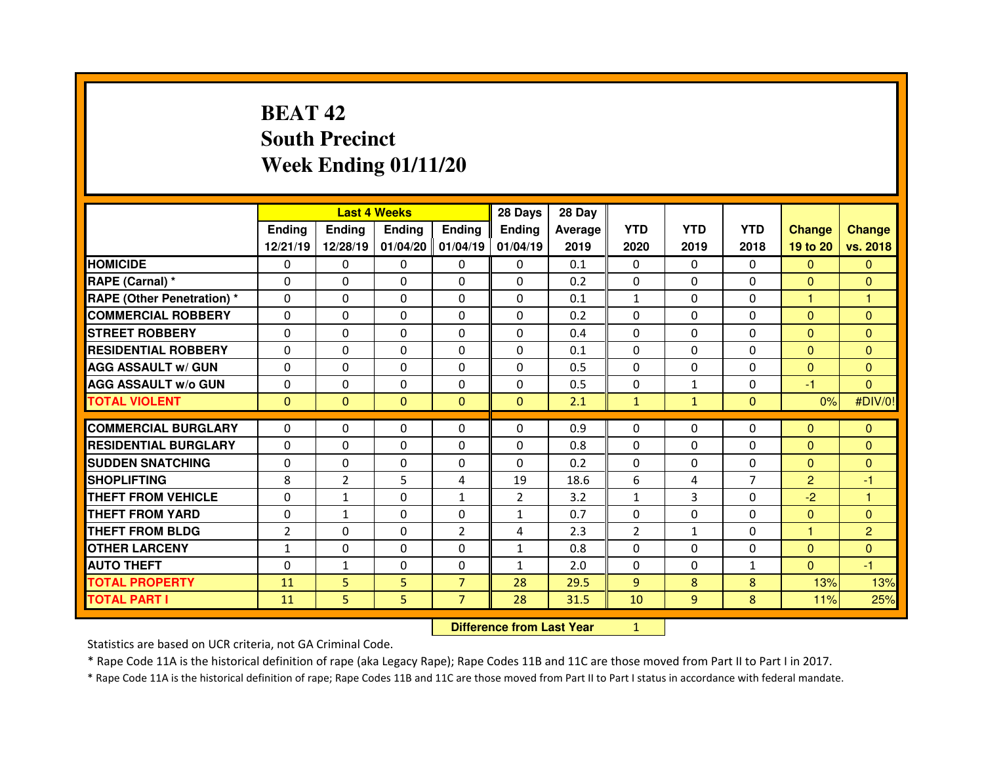# **BEAT 42 South PrecinctWeek Ending 01/11/20**

|                                  |                | <b>Last 4 Weeks</b> |               |                | 28 Days                          | 28 Day         |                |              |                |                |                |
|----------------------------------|----------------|---------------------|---------------|----------------|----------------------------------|----------------|----------------|--------------|----------------|----------------|----------------|
|                                  | <b>Ending</b>  | <b>Ending</b>       | <b>Ending</b> | <b>Ending</b>  | <b>Ending</b>                    | <b>Average</b> | <b>YTD</b>     | <b>YTD</b>   | <b>YTD</b>     | <b>Change</b>  | <b>Change</b>  |
|                                  | 12/21/19       | 12/28/19            | 01/04/20      | 01/04/19       | 01/04/19                         | 2019           | 2020           | 2019         | 2018           | 19 to 20       | vs. 2018       |
| <b>HOMICIDE</b>                  | 0              | 0                   | 0             | $\Omega$       | 0                                | 0.1            | 0              | $\mathbf{0}$ | $\Omega$       | $\Omega$       | $\Omega$       |
| RAPE (Carnal) *                  | $\Omega$       | 0                   | $\Omega$      | $\Omega$       | $\Omega$                         | 0.2            | $\mathbf{0}$   | $\Omega$     | 0              | $\mathbf{0}$   | $\Omega$       |
| <b>RAPE (Other Penetration)*</b> | $\Omega$       | 0                   | 0             | 0              | $\Omega$                         | 0.1            | $\mathbf{1}$   | $\Omega$     | 0              | 1              | 1              |
| <b>COMMERCIAL ROBBERY</b>        | $\Omega$       | 0                   | $\Omega$      | $\Omega$       | $\Omega$                         | 0.2            | $\Omega$       | $\Omega$     | 0              | $\Omega$       | $\Omega$       |
| <b>STREET ROBBERY</b>            | $\Omega$       | 0                   | $\Omega$      | $\Omega$       | $\Omega$                         | 0.4            | $\Omega$       | $\Omega$     | 0              | $\Omega$       | $\Omega$       |
| <b>RESIDENTIAL ROBBERY</b>       | $\Omega$       | 0                   | $\Omega$      | $\Omega$       | $\Omega$                         | 0.1            | $\Omega$       | $\Omega$     | 0              | $\mathbf{0}$   | $\Omega$       |
| <b>AGG ASSAULT w/ GUN</b>        | $\Omega$       | 0                   | 0             | $\Omega$       | $\Omega$                         | 0.5            | $\Omega$       | $\Omega$     | 0              | $\overline{0}$ | $\Omega$       |
| <b>AGG ASSAULT W/o GUN</b>       | 0              | 0                   | 0             | $\Omega$       | 0                                | 0.5            | 0              | $\mathbf{1}$ | 0              | $-1$           | $\mathbf{0}$   |
| <b>TOTAL VIOLENT</b>             | $\overline{0}$ | 0                   | $\mathbf{0}$  | $\mathbf{0}$   | $\mathbf{0}$                     | 2.1            | $\mathbf{1}$   | $\mathbf{1}$ | $\overline{0}$ | 0%             | #DIV/0!        |
| <b>COMMERCIAL BURGLARY</b>       | 0              | 0                   | 0             | $\Omega$       | $\Omega$                         | 0.9            | $\mathbf{0}$   | $\Omega$     | $\Omega$       | $\mathbf{0}$   | $\mathbf{0}$   |
| <b>RESIDENTIAL BURGLARY</b>      | $\Omega$       | 0                   | 0             | $\mathbf{0}$   | $\Omega$                         | 0.8            | $\Omega$       | $\Omega$     | $\Omega$       | $\mathbf{0}$   | $\Omega$       |
| <b>SUDDEN SNATCHING</b>          | 0              | 0                   | 0             | 0              | $\Omega$                         | 0.2            | $\mathbf{0}$   | $\Omega$     | 0              | $\mathbf{0}$   | $\mathbf{0}$   |
| <b>SHOPLIFTING</b>               | 8              | $\overline{2}$      | 5             | 4              | 19                               | 18.6           | 6              | 4            | $\overline{7}$ | $\overline{2}$ | $-1$           |
| <b>THEFT FROM VEHICLE</b>        | 0              | $\mathbf{1}$        | 0             | $\mathbf{1}$   | $\overline{2}$                   | 3.2            | $\mathbf{1}$   | 3            | 0              | $-2$           | 1              |
| <b>THEFT FROM YARD</b>           | 0              | $\mathbf{1}$        | 0             | 0              | $\mathbf{1}$                     | 0.7            | 0              | $\Omega$     | 0              | $\mathbf{0}$   | $\mathbf{0}$   |
| <b>THEFT FROM BLDG</b>           | $\overline{2}$ | 0                   | 0             | $\overline{2}$ | 4                                | 2.3            | $\overline{2}$ | $\mathbf{1}$ | 0              | 1              | $\overline{2}$ |
| <b>OTHER LARCENY</b>             | $\mathbf{1}$   | 0                   | 0             | 0              | $\mathbf{1}$                     | 0.8            | 0              | $\Omega$     | 0              | $\mathbf{0}$   | $\mathbf{0}$   |
| <b>AUTO THEFT</b>                | $\Omega$       | $\mathbf{1}$        | $\Omega$      | $\Omega$       | $\mathbf{1}$                     | 2.0            | $\Omega$       | $\Omega$     | $\mathbf{1}$   | $\Omega$       | $-1$           |
| <b>TOTAL PROPERTY</b>            | 11             | 5                   | 5             | $\overline{7}$ | 28                               | 29.5           | 9              | 8            | 8              | 13%            | 13%            |
| <b>TOTAL PART I</b>              | 11             | 5                   | 5             | $\overline{7}$ | 28                               | 31.5           | 10             | 9            | 8              | 11%            | 25%            |
|                                  |                |                     |               |                | <b>Difference from Last Year</b> |                | $\mathbf{1}$   |              |                |                |                |

Statistics are based on UCR criteria, not GA Criminal Code.

\* Rape Code 11A is the historical definition of rape (aka Legacy Rape); Rape Codes 11B and 11C are those moved from Part II to Part I in 2017.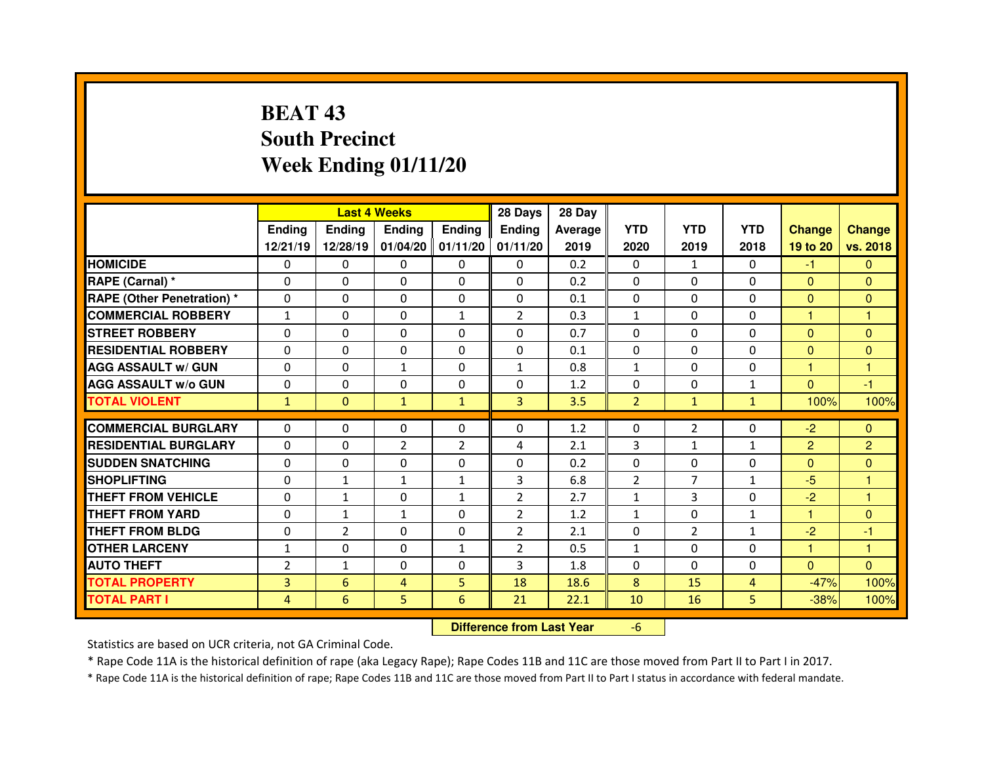# **BEAT 43 South PrecinctWeek Ending 01/11/20**

|                                   |                |                | <b>Last 4 Weeks</b> |                | 28 Days                          | 28 Day  |                |                |              |                |                |
|-----------------------------------|----------------|----------------|---------------------|----------------|----------------------------------|---------|----------------|----------------|--------------|----------------|----------------|
|                                   | <b>Ending</b>  | <b>Ending</b>  | <b>Ending</b>       | Ending         | Ending                           | Average | <b>YTD</b>     | <b>YTD</b>     | <b>YTD</b>   | <b>Change</b>  | <b>Change</b>  |
|                                   | 12/21/19       | 12/28/19       | 01/04/20            | 01/11/20       | 01/11/20                         | 2019    | 2020           | 2019           | 2018         | 19 to 20       | vs. 2018       |
| <b>HOMICIDE</b>                   | 0              | 0              | 0                   | $\mathbf{0}$   | $\Omega$                         | 0.2     | $\mathbf{0}$   | $\mathbf{1}$   | $\Omega$     | $-1$           | $\Omega$       |
| RAPE (Carnal) *                   | $\Omega$       | 0              | 0                   | $\Omega$       | $\Omega$                         | 0.2     | 0              | $\Omega$       | $\mathbf 0$  | $\mathbf{0}$   | $\overline{0}$ |
| <b>RAPE (Other Penetration) *</b> | $\Omega$       | 0              | 0                   | $\Omega$       | $\Omega$                         | 0.1     | $\Omega$       | $\Omega$       | $\Omega$     | $\mathbf{0}$   | $\Omega$       |
| <b>COMMERCIAL ROBBERY</b>         | $\mathbf{1}$   | 0              | 0                   | $\mathbf{1}$   | $\overline{2}$                   | 0.3     | $\mathbf{1}$   | $\Omega$       | 0            | 1              | 1              |
| <b>STREET ROBBERY</b>             | $\Omega$       | 0              | $\Omega$            | $\mathbf{0}$   | $\Omega$                         | 0.7     | $\Omega$       | $\Omega$       | $\Omega$     | $\mathbf{0}$   | $\Omega$       |
| <b>RESIDENTIAL ROBBERY</b>        | $\Omega$       | 0              | $\Omega$            | $\mathbf{0}$   | $\Omega$                         | 0.1     | $\Omega$       | $\Omega$       | 0            | $\Omega$       | $\Omega$       |
| <b>AGG ASSAULT w/ GUN</b>         | $\Omega$       | 0              | $\mathbf{1}$        | $\mathbf{0}$   | $\mathbf{1}$                     | 0.8     | $\mathbf{1}$   | $\Omega$       | 0            | $\mathbf{1}$   | $\mathbf{1}$   |
| <b>AGG ASSAULT W/o GUN</b>        | $\Omega$       | 0              | $\Omega$            | $\mathbf{0}$   | $\Omega$                         | 1.2     | $\Omega$       | $\Omega$       | $\mathbf{1}$ | $\overline{0}$ | $-1$           |
| <b>TOTAL VIOLENT</b>              | $\mathbf{1}$   | $\mathbf{0}$   | $\mathbf{1}$        | $\mathbf{1}$   | 3                                | 3.5     | $\overline{2}$ | $\mathbf{1}$   | $\mathbf{1}$ | 100%           | 100%           |
| <b>COMMERCIAL BURGLARY</b>        | 0              | 0              | 0                   | $\mathbf{0}$   | $\Omega$                         | 1.2     | $\mathbf{0}$   | $\overline{2}$ | 0            | $-2$           | $\Omega$       |
| <b>RESIDENTIAL BURGLARY</b>       | $\Omega$       | 0              | $\overline{2}$      | $\overline{2}$ | 4                                | 2.1     | 3              | $\mathbf{1}$   | $\mathbf{1}$ | $\overline{2}$ | $\overline{2}$ |
| <b>SUDDEN SNATCHING</b>           | $\Omega$       | 0              | 0                   | $\mathbf{0}$   | $\Omega$                         | 0.2     | $\mathbf{0}$   | $\Omega$       | $\Omega$     | $\mathbf{0}$   | $\mathbf{0}$   |
| <b>SHOPLIFTING</b>                | 0              | $\mathbf{1}$   | $\mathbf{1}$        | $\mathbf{1}$   | 3                                | 6.8     | $\overline{2}$ | $\overline{7}$ | 1            | $-5$           | 1              |
| <b>THEFT FROM VEHICLE</b>         | 0              | $\mathbf{1}$   | $\Omega$            | $\mathbf{1}$   | $\overline{2}$                   | 2.7     | $\mathbf{1}$   | 3              | 0            | $-2$           | н              |
| <b>THEFT FROM YARD</b>            | 0              | $\mathbf{1}$   | $\mathbf{1}$        | 0              | $\overline{2}$                   | 1.2     | $\mathbf{1}$   | $\Omega$       | $\mathbf{1}$ | 1              | $\mathbf{0}$   |
| <b>THEFT FROM BLDG</b>            | 0              | $\overline{2}$ | 0                   | 0              | $\overline{2}$                   | 2.1     | 0              | $\overline{2}$ | $\mathbf{1}$ | $-2$           | $-1$           |
| <b>OTHER LARCENY</b>              | $\mathbf{1}$   | 0              | 0                   | $\mathbf{1}$   | $\overline{2}$                   | 0.5     | $\mathbf{1}$   | $\Omega$       | 0            | н              | ۴              |
| <b>AUTO THEFT</b>                 | $\overline{2}$ | $\mathbf{1}$   | 0                   | $\mathbf{0}$   | 3                                | 1.8     | $\mathbf{0}$   | $\Omega$       | 0            | $\mathbf{0}$   | $\Omega$       |
| <b>TOTAL PROPERTY</b>             | 3              | 6              | 4                   | 5              | 18                               | 18.6    | 8              | 15             | 4            | $-47%$         | 100%           |
| <b>TOTAL PART I</b>               | 4              | 6              | 5                   | 6              | 21                               | 22.1    | 10             | 16             | 5            | $-38%$         | 100%           |
|                                   |                |                |                     |                | <b>Difference from Last Year</b> |         | $-6$           |                |              |                |                |

 **Difference from Last Year**

Statistics are based on UCR criteria, not GA Criminal Code.

\* Rape Code 11A is the historical definition of rape (aka Legacy Rape); Rape Codes 11B and 11C are those moved from Part II to Part I in 2017.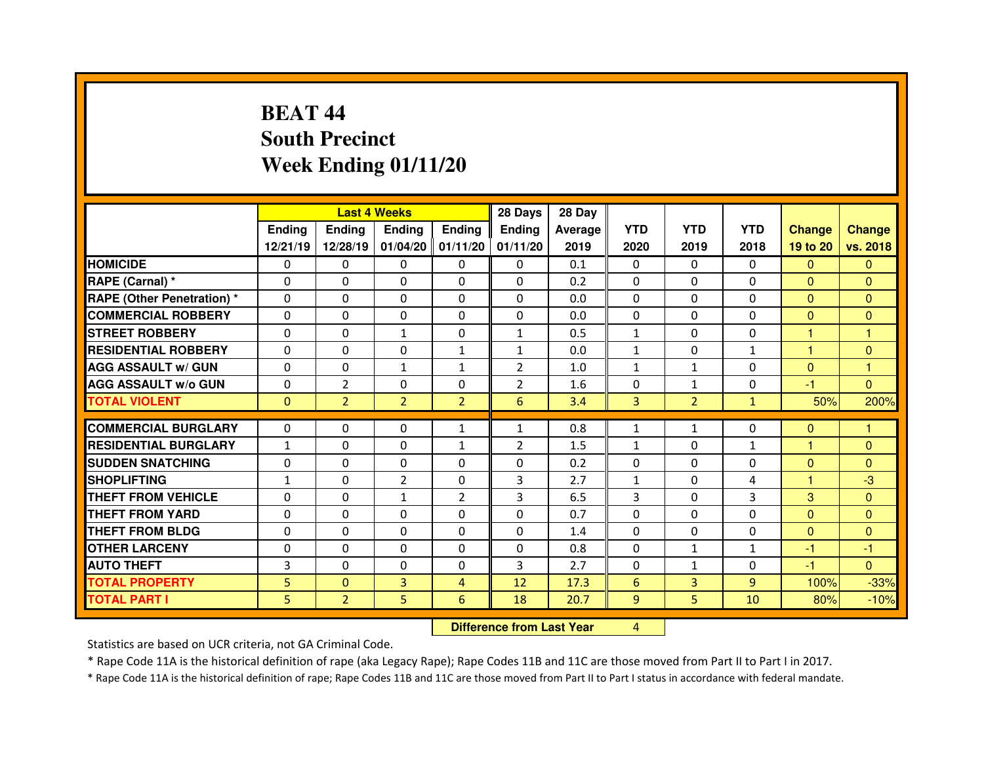# **BEAT 44 South PrecinctWeek Ending 01/11/20**

|                                  |               |                                  | <b>Last 4 Weeks</b> |                | 28 Days        | 28 Day         |              |                |              |                |                |
|----------------------------------|---------------|----------------------------------|---------------------|----------------|----------------|----------------|--------------|----------------|--------------|----------------|----------------|
|                                  | <b>Ending</b> | <b>Ending</b>                    | <b>Ending</b>       | <b>Ending</b>  | <b>Ending</b>  | <b>Average</b> | <b>YTD</b>   | <b>YTD</b>     | <b>YTD</b>   | <b>Change</b>  | <b>Change</b>  |
|                                  | 12/21/19      | 12/28/19                         | 01/04/20            | 01/11/20       | 01/11/20       | 2019           | 2020         | 2019           | 2018         | 19 to 20       | vs. 2018       |
| <b>HOMICIDE</b>                  | 0             | 0                                | 0                   | $\Omega$       | $\mathbf{0}$   | 0.1            | 0            | $\mathbf{0}$   | $\Omega$     | $\Omega$       | $\Omega$       |
| RAPE (Carnal) *                  | $\Omega$      | 0                                | $\Omega$            | $\mathbf{0}$   | $\Omega$       | 0.2            | $\mathbf{0}$ | $\Omega$       | 0            | $\mathbf{0}$   | $\Omega$       |
| <b>RAPE (Other Penetration)*</b> | $\Omega$      | 0                                | 0                   | 0              | $\Omega$       | 0.0            | $\Omega$     | $\Omega$       | 0            | $\overline{0}$ | $\Omega$       |
| <b>COMMERCIAL ROBBERY</b>        | $\Omega$      | 0                                | $\Omega$            | $\mathbf{0}$   | $\Omega$       | 0.0            | $\Omega$     | $\Omega$       | 0            | $\Omega$       | $\Omega$       |
| <b>STREET ROBBERY</b>            | $\Omega$      | 0                                | $\mathbf{1}$        | $\mathbf{0}$   | $\mathbf{1}$   | 0.5            | $\mathbf{1}$ | $\Omega$       | 0            | н              | $\overline{1}$ |
| <b>RESIDENTIAL ROBBERY</b>       | $\Omega$      | 0                                | $\Omega$            | $\mathbf{1}$   | $\mathbf{1}$   | 0.0            | $\mathbf{1}$ | $\Omega$       | $\mathbf{1}$ | 1              | $\Omega$       |
| <b>AGG ASSAULT w/ GUN</b>        | $\Omega$      | 0                                | $\mathbf{1}$        | $\mathbf{1}$   | $\overline{2}$ | 1.0            | $\mathbf{1}$ | $\mathbf{1}$   | $\Omega$     | $\overline{0}$ | $\mathbf{1}$   |
| <b>AGG ASSAULT W/o GUN</b>       | 0             | $\overline{2}$                   | 0                   | 0              | $\overline{2}$ | 1.6            | 0            | $\mathbf{1}$   | $\Omega$     | $-1$           | $\mathbf{0}$   |
| <b>TOTAL VIOLENT</b>             | $\mathbf{0}$  | $\overline{2}$                   | $\overline{2}$      | $\overline{2}$ | 6              | 3.4            | 3            | $\overline{2}$ | $\mathbf{1}$ | 50%            | 200%           |
| <b>COMMERCIAL BURGLARY</b>       | 0             | 0                                | 0                   | $\mathbf{1}$   | $\mathbf{1}$   | 0.8            | $\mathbf{1}$ | $\mathbf{1}$   | $\Omega$     | $\mathbf{0}$   | 1              |
| <b>RESIDENTIAL BURGLARY</b>      | $\mathbf{1}$  | 0                                | 0                   | $\mathbf{1}$   | $\overline{2}$ | 1.5            | $\mathbf{1}$ | $\Omega$       | $\mathbf{1}$ | 1              | $\Omega$       |
| <b>SUDDEN SNATCHING</b>          | $\Omega$      | 0                                | 0                   | 0              | 0              | 0.2            | $\Omega$     | $\Omega$       | 0            | $\overline{0}$ | $\Omega$       |
| <b>SHOPLIFTING</b>               | $\mathbf{1}$  | 0                                | $\overline{2}$      | $\mathbf{0}$   | 3              | 2.7            | $\mathbf{1}$ | $\Omega$       | 4            | 1              | $-3$           |
| <b>THEFT FROM VEHICLE</b>        | 0             | 0                                | $\mathbf{1}$        | $\overline{2}$ | 3              | 6.5            | 3            | $\Omega$       | 3            | 3              | $\Omega$       |
| <b>THEFT FROM YARD</b>           | 0             | 0                                | 0                   | 0              | 0              | 0.7            | 0            | $\Omega$       | 0            | $\mathbf{0}$   | $\mathbf{0}$   |
| <b>THEFT FROM BLDG</b>           | $\Omega$      | 0                                | 0                   | $\Omega$       | $\Omega$       | 1.4            | $\Omega$     | $\Omega$       | $\Omega$     | $\overline{0}$ | $\Omega$       |
| <b>OTHER LARCENY</b>             | 0             | 0                                | 0                   | 0              | 0              | 0.8            | 0            | $\mathbf{1}$   | $\mathbf{1}$ | $-1$           | $-1$           |
| <b>AUTO THEFT</b>                | 3             | 0                                | $\Omega$            | $\Omega$       | 3              | 2.7            | $\Omega$     | $\mathbf{1}$   | $\Omega$     | $-1$           | $\Omega$       |
| <b>TOTAL PROPERTY</b>            | 5             | 0                                | 3                   | $\overline{4}$ | 12             | 17.3           | 6            | $\overline{3}$ | 9            | 100%           | $-33%$         |
| <b>TOTAL PART I</b>              | 5             | $\overline{2}$                   | 5                   | 6              | 18             | 20.7           | 9            | 5              | 10           | 80%            | $-10%$         |
|                                  |               | <b>Difference from Last Year</b> |                     | 4              |                |                |              |                |              |                |                |

Statistics are based on UCR criteria, not GA Criminal Code.

\* Rape Code 11A is the historical definition of rape (aka Legacy Rape); Rape Codes 11B and 11C are those moved from Part II to Part I in 2017.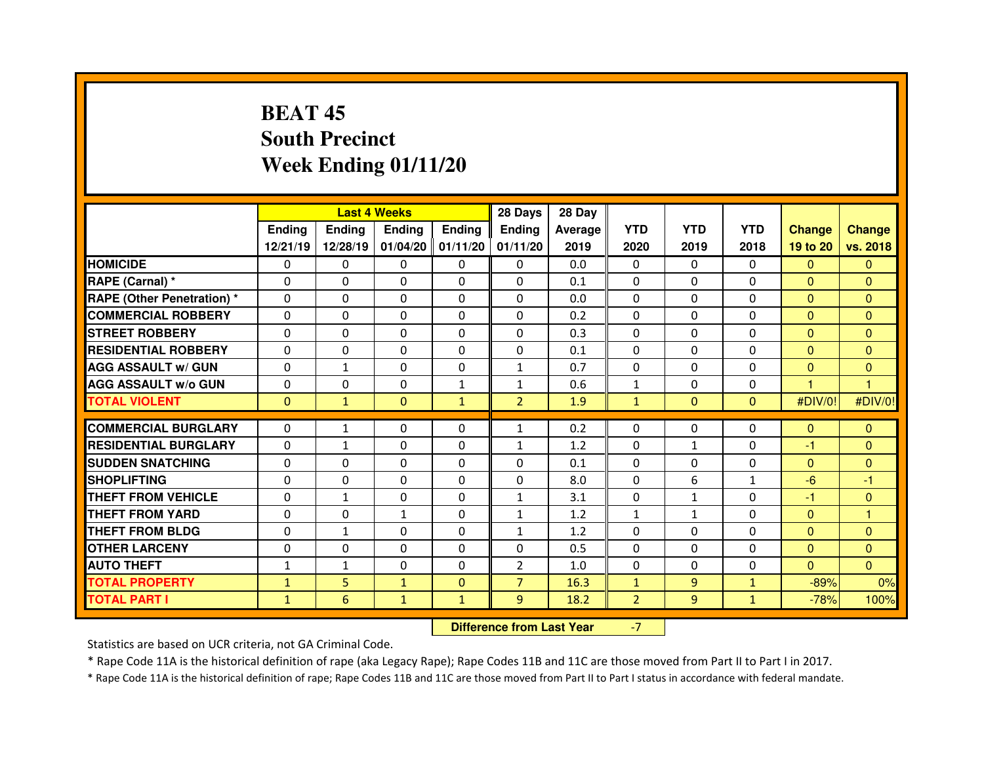# **BEAT 45 South PrecinctWeek Ending 01/11/20**

|                                   |              |               | <b>Last 4 Weeks</b> |                     | 28 Days        | 28 Day  |                |                |              |               |               |
|-----------------------------------|--------------|---------------|---------------------|---------------------|----------------|---------|----------------|----------------|--------------|---------------|---------------|
|                                   | Ending       | <b>Endina</b> | <b>Ending</b>       | <b>Ending</b>       | <b>Endina</b>  | Average | <b>YTD</b>     | <b>YTD</b>     | <b>YTD</b>   | <b>Change</b> | <b>Change</b> |
|                                   | 12/21/19     | 12/28/19      |                     | $01/04/20$ 01/11/20 | 01/11/20       | 2019    | 2020           | 2019           | 2018         | 19 to 20      | vs. 2018      |
| <b>HOMICIDE</b>                   | 0            | $\Omega$      | $\Omega$            | $\Omega$            | 0              | 0.0     | $\Omega$       | $\Omega$       | $\Omega$     | $\Omega$      | $\Omega$      |
| RAPE (Carnal) *                   | 0            | 0             | 0                   | $\mathbf{0}$        | $\Omega$       | 0.1     | $\mathbf{0}$   | $\Omega$       | 0            | $\mathbf{0}$  | $\Omega$      |
| <b>RAPE (Other Penetration) *</b> | $\Omega$     | $\Omega$      | $\Omega$            | $\Omega$            | $\Omega$       | 0.0     | $\Omega$       | $\Omega$       | $\Omega$     | $\Omega$      | $\Omega$      |
| <b>COMMERCIAL ROBBERY</b>         | $\Omega$     | 0             | $\Omega$            | $\mathbf{0}$        | $\Omega$       | 0.2     | $\mathbf{0}$   | $\Omega$       | $\Omega$     | $\mathbf{0}$  | $\Omega$      |
| <b>STREET ROBBERY</b>             | $\Omega$     | 0             | $\Omega$            | $\Omega$            | $\Omega$       | 0.3     | $\Omega$       | $\Omega$       | $\Omega$     | $\mathbf{0}$  | $\Omega$      |
| <b>RESIDENTIAL ROBBERY</b>        | $\Omega$     | 0             | $\Omega$            | $\mathbf{0}$        | $\Omega$       | 0.1     | $\Omega$       | $\Omega$       | $\Omega$     | $\Omega$      | $\Omega$      |
| <b>AGG ASSAULT w/ GUN</b>         | $\Omega$     | $\mathbf{1}$  | $\Omega$            | $\Omega$            | $\mathbf{1}$   | 0.7     | $\Omega$       | $\Omega$       | $\Omega$     | $\mathbf{0}$  | $\Omega$      |
| <b>AGG ASSAULT w/o GUN</b>        | $\Omega$     | 0             | $\Omega$            | $\mathbf{1}$        | $\mathbf{1}$   | 0.6     | $\mathbf{1}$   | $\Omega$       | 0            | H             | 1             |
| <b>TOTAL VIOLENT</b>              | $\mathbf{0}$ | $\mathbf{1}$  | $\mathbf{0}$        | $\mathbf{1}$        | $\overline{2}$ | 1.9     | $\mathbf{1}$   | $\mathbf{0}$   | $\mathbf{0}$ | #DIV/0!       | #DIV/0!       |
|                                   |              |               |                     |                     |                |         |                |                |              |               |               |
| <b>COMMERCIAL BURGLARY</b>        | $\Omega$     | $\mathbf{1}$  | $\Omega$            | $\Omega$            | 1              | 0.2     | $\Omega$       | $\Omega$       | 0            | $\mathbf{0}$  | $\mathbf{0}$  |
| <b>RESIDENTIAL BURGLARY</b>       | $\Omega$     | $\mathbf{1}$  | 0                   | 0                   | $\mathbf{1}$   | 1.2     | $\mathbf{0}$   | $\mathbf{1}$   | $\Omega$     | -1            | $\mathbf{0}$  |
| <b>SUDDEN SNATCHING</b>           | $\Omega$     | 0             | $\Omega$            | $\Omega$            | $\Omega$       | 0.1     | $\Omega$       | $\Omega$       | $\Omega$     | $\mathbf{0}$  | $\Omega$      |
| <b>SHOPLIFTING</b>                | $\Omega$     | 0             | $\Omega$            | $\mathbf{0}$        | $\Omega$       | 8.0     | $\mathbf{0}$   | 6              | $\mathbf{1}$ | $-6$          | -1            |
| <b>THEFT FROM VEHICLE</b>         | $\Omega$     | $\mathbf{1}$  | $\Omega$            | $\Omega$            | $\mathbf{1}$   | 3.1     | $\Omega$       | $\mathbf{1}$   | $\Omega$     | -1            | $\Omega$      |
| <b>THEFT FROM YARD</b>            | $\Omega$     | 0             | $\mathbf{1}$        | 0                   | $\mathbf{1}$   | 1.2     | $\mathbf{1}$   | $\mathbf{1}$   | $\Omega$     | $\mathbf{0}$  | 1             |
| <b>THEFT FROM BLDG</b>            | $\Omega$     | $\mathbf{1}$  | 0                   | $\Omega$            | $\mathbf{1}$   | 1.2     | $\Omega$       | $\Omega$       | $\Omega$     | $\mathbf{0}$  | $\Omega$      |
| <b>OTHER LARCENY</b>              | $\Omega$     | 0             | $\Omega$            | $\Omega$            | $\Omega$       | 0.5     | $\Omega$       | $\Omega$       | $\Omega$     | $\Omega$      | $\Omega$      |
| <b>AUTO THEFT</b>                 | $\mathbf{1}$ | $\mathbf{1}$  | 0                   | $\Omega$            | $\overline{2}$ | 1.0     | $\Omega$       | $\Omega$       | $\Omega$     | $\Omega$      | $\Omega$      |
| <b>TOTAL PROPERTY</b>             | $\mathbf{1}$ | 5             | $\mathbf{1}$        | $\Omega$            | $\overline{7}$ | 16.3    | $\mathbf{1}$   | $\overline{9}$ | $\mathbf{1}$ | $-89%$        | 0%            |
|                                   |              |               |                     |                     |                |         |                |                |              |               |               |
| <b>TOTAL PART I</b>               | $\mathbf{1}$ | 6             | $\mathbf{1}$        | $\mathbf{1}$        | 9              | 18.2    | $\overline{2}$ | 9              | $\mathbf{1}$ | $-78%$        | 100%          |

 **Difference from Last Year**-7

Statistics are based on UCR criteria, not GA Criminal Code.

\* Rape Code 11A is the historical definition of rape (aka Legacy Rape); Rape Codes 11B and 11C are those moved from Part II to Part I in 2017.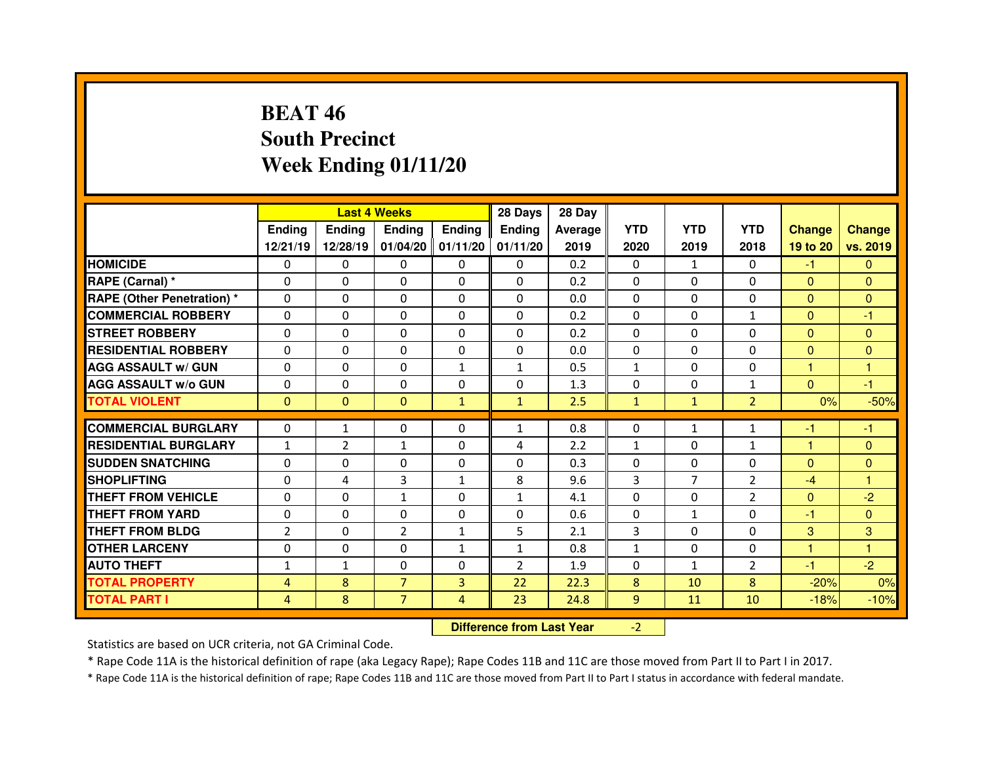# **BEAT 46 South PrecinctWeek Ending 01/11/20**

|                                  |                |               | <b>Last 4 Weeks</b> |               | 28 Days        | 28 Day  |              |                |                |               |               |
|----------------------------------|----------------|---------------|---------------------|---------------|----------------|---------|--------------|----------------|----------------|---------------|---------------|
|                                  | Ending         | <b>Ending</b> | <b>Endina</b>       | <b>Ending</b> | <b>Ending</b>  | Average | <b>YTD</b>   | <b>YTD</b>     | <b>YTD</b>     | <b>Change</b> | <b>Change</b> |
|                                  | 12/21/19       | 12/28/19      | 01/04/20            | 01/11/20      | 01/11/20       | 2019    | 2020         | 2019           | 2018           | 19 to 20      | vs. 2019      |
| <b>HOMICIDE</b>                  | $\Omega$       | 0             | $\Omega$            | $\Omega$      | $\Omega$       | 0.2     | $\Omega$     | $\mathbf{1}$   | $\Omega$       | $-1$          | $\Omega$      |
| RAPE (Carnal) *                  | $\Omega$       | 0             | 0                   | $\Omega$      | $\Omega$       | 0.2     | $\Omega$     | $\Omega$       | $\Omega$       | $\Omega$      | $\Omega$      |
| <b>RAPE (Other Penetration)*</b> | $\Omega$       | 0             | $\Omega$            | $\Omega$      | $\Omega$       | 0.0     | $\Omega$     | $\Omega$       | $\Omega$       | $\Omega$      | $\Omega$      |
| <b>COMMERCIAL ROBBERY</b>        | $\Omega$       | 0             | $\Omega$            | $\Omega$      | $\Omega$       | 0.2     | $\Omega$     | $\Omega$       | $\mathbf{1}$   | $\mathbf{0}$  | -1            |
| <b>STREET ROBBERY</b>            | $\Omega$       | 0             | $\Omega$            | $\Omega$      | $\Omega$       | 0.2     | $\Omega$     | $\Omega$       | $\Omega$       | $\Omega$      | $\Omega$      |
| <b>RESIDENTIAL ROBBERY</b>       | $\Omega$       | 0             | $\Omega$            | $\Omega$      | $\Omega$       | 0.0     | $\Omega$     | $\Omega$       | $\Omega$       | $\Omega$      | $\mathbf{0}$  |
| <b>AGG ASSAULT w/ GUN</b>        | $\Omega$       | 0             | $\Omega$            | $\mathbf{1}$  | $\mathbf{1}$   | 0.5     | $\mathbf{1}$ | $\Omega$       | $\Omega$       | 1             | $\mathbf{1}$  |
| <b>AGG ASSAULT w/o GUN</b>       | 0              | 0             | $\Omega$            | $\Omega$      | $\Omega$       | 1.3     | $\mathbf{0}$ | $\Omega$       | $\mathbf{1}$   | $\mathbf{0}$  | $-1$          |
| <b>TOTAL VIOLENT</b>             | $\Omega$       | $\mathbf{0}$  | $\Omega$            | $\mathbf{1}$  | $\mathbf{1}$   | 2.5     | $\mathbf{1}$ | $\mathbf{1}$   | $\overline{2}$ | 0%            | $-50%$        |
| <b>COMMERCIAL BURGLARY</b>       | $\Omega$       | $\mathbf{1}$  | 0                   | $\mathbf{0}$  | $\mathbf{1}$   | 0.8     | $\mathbf{0}$ | $\mathbf{1}$   | 1              | -1            | $-1$          |
|                                  |                |               |                     |               |                |         |              |                |                |               |               |
| <b>RESIDENTIAL BURGLARY</b>      | $\mathbf{1}$   | 2             | $\mathbf{1}$        | $\Omega$      | 4              | 2.2     | $\mathbf{1}$ | $\Omega$       | $\mathbf{1}$   | 1             | $\Omega$      |
| <b>SUDDEN SNATCHING</b>          | $\Omega$       | 0             | 0                   | $\Omega$      | $\Omega$       | 0.3     | $\Omega$     | $\Omega$       | $\Omega$       | $\Omega$      | $\Omega$      |
| <b>SHOPLIFTING</b>               | $\Omega$       | 4             | 3                   | $\mathbf{1}$  | 8              | 9.6     | 3            | $\overline{7}$ | $\overline{2}$ | $-4$          | 1             |
| THEFT FROM VEHICLE               | 0              | 0             | $\mathbf{1}$        | $\mathbf{0}$  | $\mathbf{1}$   | 4.1     | $\Omega$     | $\Omega$       | $\overline{2}$ | $\mathbf{0}$  | $-2$          |
| <b>THEFT FROM YARD</b>           | $\Omega$       | 0             | $\Omega$            | $\Omega$      | $\Omega$       | 0.6     | $\mathbf{0}$ | $\mathbf{1}$   | $\Omega$       | -1            | $\Omega$      |
| <b>THEFT FROM BLDG</b>           | $\overline{2}$ | 0             | $\overline{2}$      | $\mathbf{1}$  | 5              | 2.1     | 3            | $\Omega$       | $\Omega$       | 3             | 3             |
| <b>OTHER LARCENY</b>             | $\Omega$       | 0             | $\Omega$            | $\mathbf{1}$  | $\mathbf{1}$   | 0.8     | $\mathbf{1}$ | $\Omega$       | $\Omega$       | 1             | 1             |
|                                  |                |               |                     |               |                |         |              |                |                |               |               |
| <b>AUTO THEFT</b>                | $\mathbf{1}$   | $\mathbf{1}$  | 0                   | $\mathbf{0}$  | $\overline{2}$ | 1.9     | $\Omega$     | $\mathbf{1}$   | $\overline{2}$ | $-1$          | $-2$          |
| <b>TOTAL PROPERTY</b>            | $\overline{4}$ | 8             | $\overline{7}$      | 3             | 22             | 22.3    | 8            | 10             | 8              | $-20%$        | 0%            |
| <b>TOTAL PART I</b>              | 4              | 8             | $\overline{7}$      | 4             | 23             | 24.8    | 9            | 11             | 10             | $-18%$        | $-10%$        |

 **Difference from Last Year**-2

Statistics are based on UCR criteria, not GA Criminal Code.

\* Rape Code 11A is the historical definition of rape (aka Legacy Rape); Rape Codes 11B and 11C are those moved from Part II to Part I in 2017.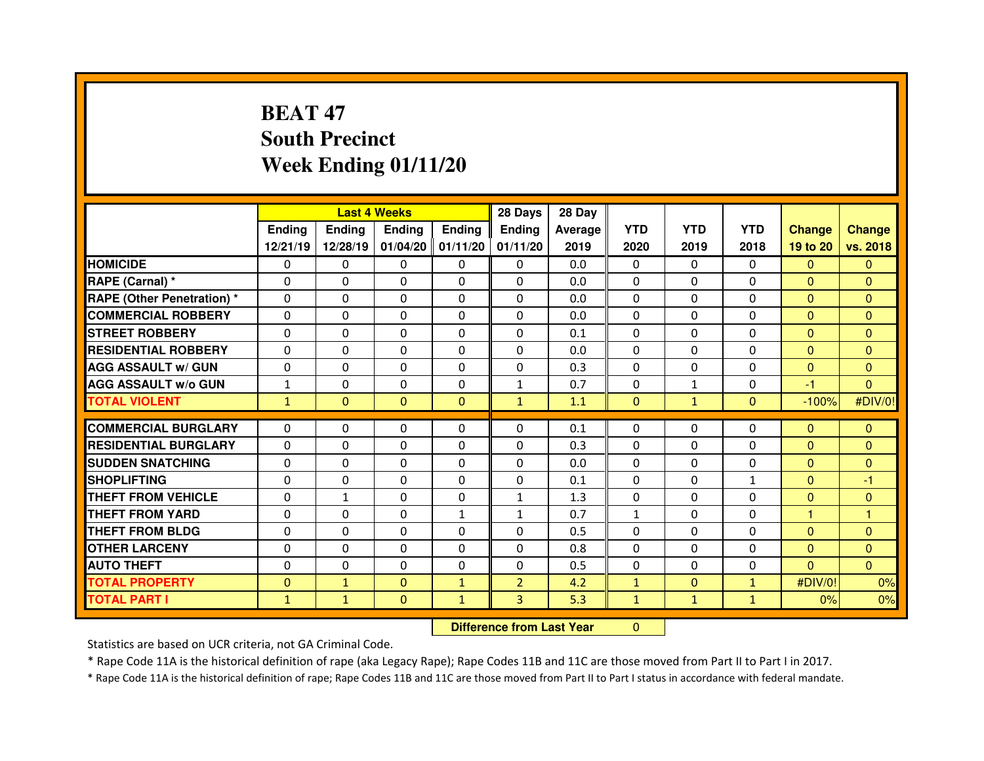# **BEAT 47 South PrecinctWeek Ending 01/11/20**

|                                   |               |                                  | <b>Last 4 Weeks</b> |                   | 28 Days        | 28 Day  |              |              |                |                |               |
|-----------------------------------|---------------|----------------------------------|---------------------|-------------------|----------------|---------|--------------|--------------|----------------|----------------|---------------|
|                                   | <b>Ending</b> | <b>Ending</b>                    | <b>Ending</b>       | Ending            | <b>Ending</b>  | Average | <b>YTD</b>   | <b>YTD</b>   | <b>YTD</b>     | <b>Change</b>  | <b>Change</b> |
|                                   | 12/21/19      | 12/28/19                         |                     | 01/04/20 01/11/20 | 01/11/20       | 2019    | 2020         | 2019         | 2018           | 19 to 20       | vs. 2018      |
| <b>HOMICIDE</b>                   | $\Omega$      | 0                                | 0                   | $\mathbf{0}$      | 0              | 0.0     | $\Omega$     | $\mathbf{0}$ | $\Omega$       | $\mathbf{0}$   | $\Omega$      |
| RAPE (Carnal) *                   | 0             | 0                                | 0                   | $\Omega$          | $\Omega$       | 0.0     | $\Omega$     | $\mathbf{0}$ | $\Omega$       | $\mathbf{0}$   | $\Omega$      |
| <b>RAPE (Other Penetration) *</b> | 0             | 0                                | 0                   | 0                 | 0              | 0.0     | $\Omega$     | $\mathbf 0$  | $\Omega$       | $\overline{0}$ | $\Omega$      |
| <b>COMMERCIAL ROBBERY</b>         | $\Omega$      | 0                                | $\Omega$            | $\Omega$          | $\Omega$       | 0.0     | $\Omega$     | $\mathbf{0}$ | $\Omega$       | $\overline{0}$ | $\Omega$      |
| <b>STREET ROBBERY</b>             | $\Omega$      | 0                                | 0                   | $\Omega$          | 0              | 0.1     | $\Omega$     | $\Omega$     | $\Omega$       | $\overline{0}$ | $\Omega$      |
| <b>RESIDENTIAL ROBBERY</b>        | $\Omega$      | $\Omega$                         | $\mathbf{0}$        | $\Omega$          | $\Omega$       | 0.0     | $\Omega$     | $\mathbf{0}$ | $\Omega$       | $\Omega$       | $\Omega$      |
| <b>AGG ASSAULT w/ GUN</b>         | $\Omega$      | $\Omega$                         | $\mathbf{0}$        | $\Omega$          | 0              | 0.3     | $\mathbf 0$  | $\mathbf{0}$ | $\Omega$       | $\overline{0}$ | $\Omega$      |
| <b>AGG ASSAULT w/o GUN</b>        | $\mathbf{1}$  | 0                                | 0                   | $\Omega$          | $\mathbf{1}$   | 0.7     | 0            | $\mathbf{1}$ | $\Omega$       | $-1$           | $\mathbf{0}$  |
| <b>TOTAL VIOLENT</b>              | $\mathbf{1}$  | $\mathbf{0}$                     | $\mathbf{0}$        | $\mathbf{0}$      | $\mathbf{1}$   | 1.1     | $\mathbf{0}$ | $\mathbf{1}$ | $\overline{0}$ | $-100%$        | #DIV/0!       |
| <b>COMMERCIAL BURGLARY</b>        | $\Omega$      | $\Omega$                         | $\mathbf{0}$        | $\Omega$          | $\Omega$       | 0.1     | 0            | $\Omega$     | $\Omega$       | $\mathbf{0}$   | $\mathbf{0}$  |
| <b>RESIDENTIAL BURGLARY</b>       | $\Omega$      | 0                                | 0                   | $\Omega$          | 0              | 0.3     | 0            | $\mathbf{0}$ | $\Omega$       | $\mathbf{0}$   | $\mathbf{0}$  |
| <b>SUDDEN SNATCHING</b>           | 0             | 0                                | 0                   | $\Omega$          | 0              | 0.0     | $\Omega$     | $\Omega$     | $\Omega$       | $\mathbf{0}$   | $\Omega$      |
| <b>SHOPLIFTING</b>                | 0             | 0                                | 0                   | 0                 | $\Omega$       | 0.1     | $\Omega$     | $\mathbf{0}$ | $\mathbf{1}$   | $\mathbf{0}$   | $-1$          |
| <b>THEFT FROM VEHICLE</b>         | 0             | $\mathbf{1}$                     | 0                   | 0                 | $\mathbf{1}$   | 1.3     | 0            | $\Omega$     | 0              | $\mathbf{0}$   | $\mathbf{0}$  |
| <b>THEFT FROM YARD</b>            | 0             | 0                                | 0                   | $\mathbf{1}$      | $\mathbf{1}$   | 0.7     | $\mathbf{1}$ | $\Omega$     | $\Omega$       | 1              | 1             |
| <b>THEFT FROM BLDG</b>            | 0             | 0                                | 0                   | 0                 | 0              | 0.5     | 0            | $\Omega$     | $\Omega$       | $\mathbf{0}$   | $\Omega$      |
| <b>OTHER LARCENY</b>              | 0             | 0                                | 0                   | $\Omega$          | $\Omega$       | 0.8     | $\Omega$     | $\Omega$     | $\Omega$       | $\mathbf{0}$   | $\Omega$      |
| <b>AUTO THEFT</b>                 | $\Omega$      | 0                                | $\Omega$            | 0                 | $\Omega$       | 0.5     | $\Omega$     | $\Omega$     | $\Omega$       | $\Omega$       | $\Omega$      |
| <b>TOTAL PROPERTY</b>             | $\mathbf{0}$  | $\mathbf{1}$                     | $\mathbf 0$         | $\mathbf{1}$      | $\overline{2}$ | 4.2     | $\mathbf{1}$ | $\mathbf{0}$ | $\mathbf{1}$   | #DIV/0!        | 0%            |
| <b>TOTAL PART I</b>               | $\mathbf{1}$  | $\mathbf{1}$                     | $\mathbf{0}$        | $\mathbf{1}$      | 3 <sup>1</sup> | 5.3     | $\mathbf{1}$ | $\mathbf{1}$ | $\mathbf{1}$   | 0%             | 0%            |
|                                   |               | <b>Difference from Last Year</b> |                     | $\Omega$          |                |         |              |              |                |                |               |

Statistics are based on UCR criteria, not GA Criminal Code.

\* Rape Code 11A is the historical definition of rape (aka Legacy Rape); Rape Codes 11B and 11C are those moved from Part II to Part I in 2017.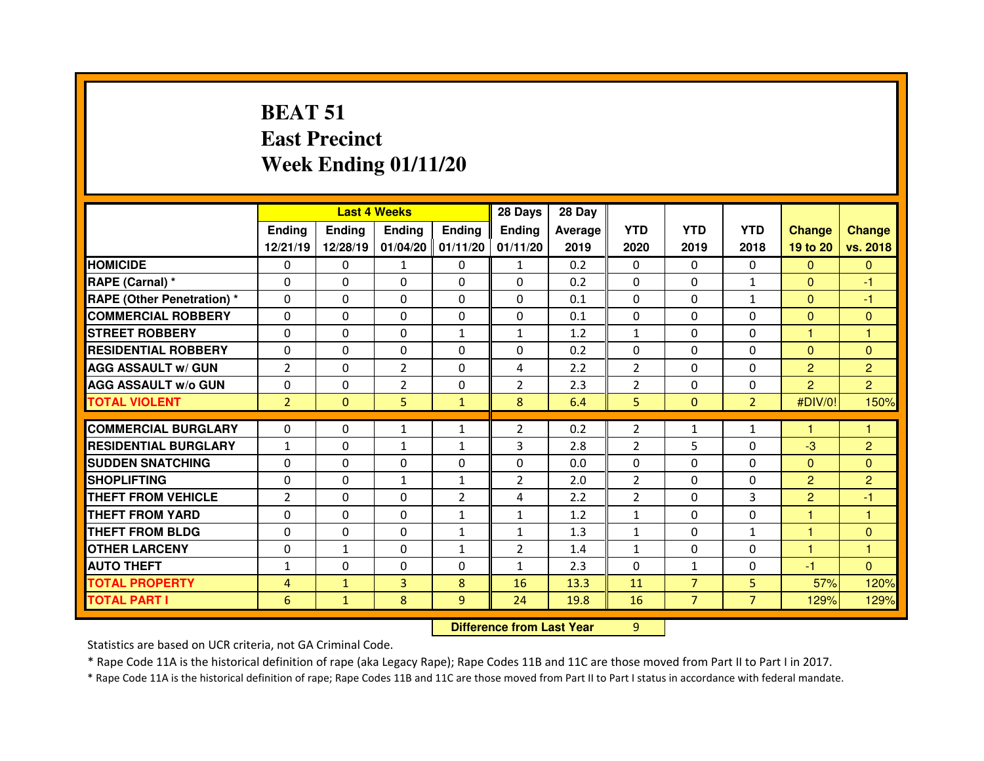# **BEAT 51 East PrecinctWeek Ending 01/11/20**

|                                  |                |               | <b>Last 4 Weeks</b> |                   | 28 Days                          | 28 Day  |                |                |                |                |                |
|----------------------------------|----------------|---------------|---------------------|-------------------|----------------------------------|---------|----------------|----------------|----------------|----------------|----------------|
|                                  | <b>Ending</b>  | <b>Ending</b> | <b>Ending</b>       | Ending            | <b>Ending</b>                    | Average | <b>YTD</b>     | <b>YTD</b>     | <b>YTD</b>     | <b>Change</b>  | <b>Change</b>  |
|                                  | 12/21/19       | 12/28/19      |                     | 01/04/20 01/11/20 | 01/11/20                         | 2019    | 2020           | 2019           | 2018           | 19 to 20       | vs. 2018       |
| <b>HOMICIDE</b>                  | 0              | 0             | $\mathbf{1}$        | $\mathbf{0}$      | 1                                | 0.2     | 0              | $\Omega$       | $\Omega$       | $\mathbf{0}$   | $\mathbf{0}$   |
| RAPE (Carnal) *                  | 0              | 0             | 0                   | $\Omega$          | $\Omega$                         | 0.2     | 0              | $\mathbf{0}$   | $\mathbf{1}$   | $\mathbf{0}$   | -1             |
| <b>RAPE (Other Penetration)*</b> | 0              | 0             | 0                   | $\Omega$          | $\Omega$                         | 0.1     | $\Omega$       | $\mathbf{0}$   | $\mathbf{1}$   | $\mathbf{0}$   | $-1$           |
| <b>COMMERCIAL ROBBERY</b>        | 0              | 0             | 0                   | $\Omega$          | $\Omega$                         | 0.1     | $\Omega$       | $\Omega$       | $\Omega$       | $\mathbf{0}$   | $\mathbf{0}$   |
| <b>STREET ROBBERY</b>            | 0              | 0             | 0                   | $\mathbf{1}$      | $\mathbf{1}$                     | 1.2     | $\mathbf{1}$   | $\Omega$       | $\Omega$       | 1              | 1              |
| <b>RESIDENTIAL ROBBERY</b>       | 0              | $\Omega$      | $\Omega$            | $\Omega$          | $\Omega$                         | 0.2     | $\Omega$       | $\Omega$       | $\Omega$       | $\mathbf{0}$   | $\Omega$       |
| <b>AGG ASSAULT w/ GUN</b>        | $\overline{2}$ | 0             | $\overline{2}$      | $\Omega$          | 4                                | 2.2     | 2              | $\Omega$       | $\Omega$       | $\overline{2}$ | $\overline{2}$ |
| <b>AGG ASSAULT w/o GUN</b>       | 0              | 0             | $\overline{2}$      | $\Omega$          | $\overline{2}$                   | 2.3     | $\overline{2}$ | $\mathbf{0}$   | 0              | $\overline{2}$ | $\overline{2}$ |
| <b>TOTAL VIOLENT</b>             | $\overline{2}$ | $\mathbf{0}$  | 5                   | $\mathbf{1}$      | 8                                | 6.4     | 5              | $\mathbf{0}$   | $\overline{2}$ | #DIV/0!        | 150%           |
| <b>COMMERCIAL BURGLARY</b>       | 0              | 0             | $\mathbf{1}$        | $\mathbf{1}$      | $\overline{2}$                   | 0.2     | $\overline{2}$ | $\mathbf{1}$   | $\mathbf{1}$   | 1              | 1              |
| <b>RESIDENTIAL BURGLARY</b>      | $\mathbf{1}$   | 0             | $\mathbf{1}$        | $\mathbf{1}$      | 3                                | 2.8     | 2              | 5              | $\Omega$       | $-3$           | $\overline{2}$ |
| <b>SUDDEN SNATCHING</b>          | 0              | $\Omega$      | $\Omega$            | $\Omega$          | $\Omega$                         | 0.0     | $\Omega$       | $\Omega$       | $\Omega$       | $\mathbf{0}$   | $\Omega$       |
| <b>SHOPLIFTING</b>               | 0              | 0             | $\mathbf{1}$        | $\mathbf{1}$      | $\overline{2}$                   | 2.0     | $\overline{2}$ | $\Omega$       | $\Omega$       | $\overline{2}$ | $\overline{2}$ |
| <b>THEFT FROM VEHICLE</b>        | $\overline{2}$ | 0             | $\Omega$            | $\overline{2}$    | 4                                | 2.2     | $\overline{2}$ | $\mathbf{0}$   | 3              | $\overline{2}$ | -1             |
| <b>THEFT FROM YARD</b>           | 0              | 0             | 0                   | $\mathbf{1}$      | $\mathbf{1}$                     | 1.2     | $\mathbf{1}$   | $\Omega$       | 0              | 1              | 1              |
| <b>THEFT FROM BLDG</b>           | 0              | 0             | $\Omega$            | $\mathbf{1}$      | $\mathbf{1}$                     | 1.3     | $\mathbf{1}$   | $\mathbf{0}$   | $\mathbf{1}$   | н              | $\Omega$       |
| <b>OTHER LARCENY</b>             | 0              | $\mathbf{1}$  | 0                   | $\mathbf{1}$      | $\overline{2}$                   | 1.4     | $\mathbf{1}$   | $\Omega$       | $\Omega$       | ٦              | 1              |
| <b>AUTO THEFT</b>                | $\mathbf{1}$   | 0             | 0                   | 0                 | $\mathbf{1}$                     | 2.3     | $\Omega$       | $\mathbf{1}$   | $\Omega$       | $-1$           | $\Omega$       |
| <b>TOTAL PROPERTY</b>            | 4              | $\mathbf{1}$  | 3                   | 8                 | 16                               | 13.3    | 11             | $\overline{7}$ | 5              | 57%            | 120%           |
| <b>TOTAL PART I</b>              | 6              | $\mathbf{1}$  | 8                   | 9                 | 24                               | 19.8    | 16             | $\overline{7}$ | $\overline{7}$ | 129%           | 129%           |
|                                  |                |               |                     |                   |                                  |         |                |                |                |                |                |
|                                  |                |               |                     |                   | <b>Difference from Last Year</b> |         | 9              |                |                |                |                |

 **Difference from Last Year**

Statistics are based on UCR criteria, not GA Criminal Code.

\* Rape Code 11A is the historical definition of rape (aka Legacy Rape); Rape Codes 11B and 11C are those moved from Part II to Part I in 2017.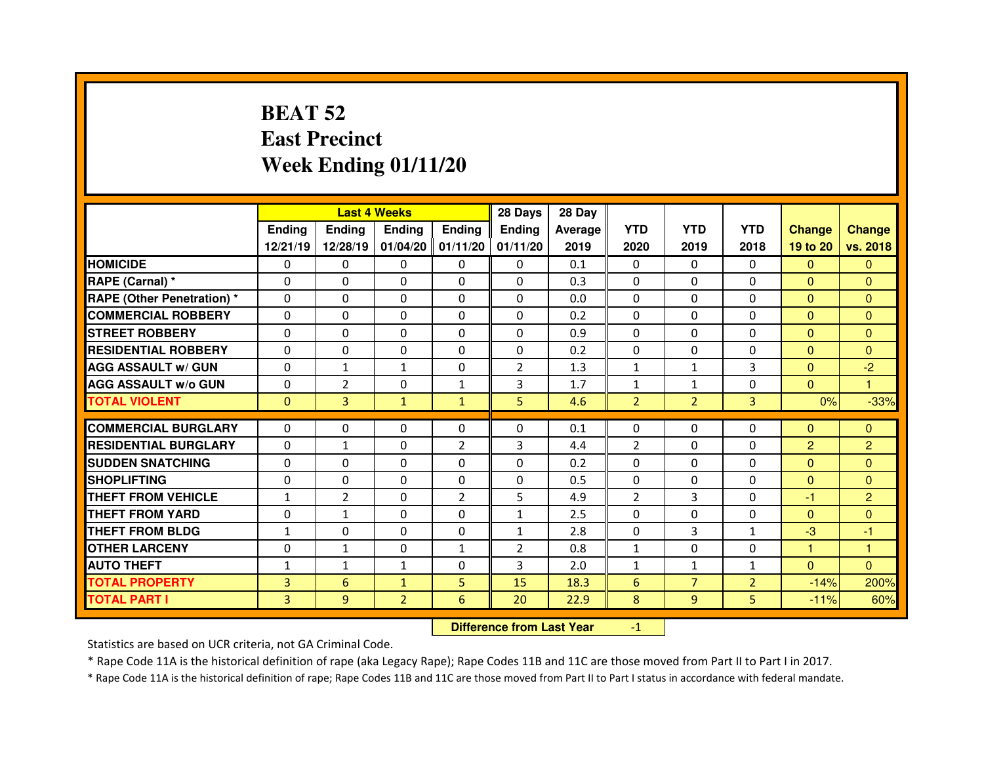# **BEAT 52 East PrecinctWeek Ending 01/11/20**

|                                  |               |                                  | <b>Last 4 Weeks</b> |                     | 28 Days        | 28 Day         |                |                |                |                |                |
|----------------------------------|---------------|----------------------------------|---------------------|---------------------|----------------|----------------|----------------|----------------|----------------|----------------|----------------|
|                                  | <b>Ending</b> | <b>Ending</b>                    | <b>Ending</b>       | <b>Ending</b>       | <b>Ending</b>  | <b>Average</b> | <b>YTD</b>     | <b>YTD</b>     | <b>YTD</b>     | <b>Change</b>  | <b>Change</b>  |
|                                  | 12/21/19      | 12/28/19                         |                     | $01/04/20$ 01/11/20 | 01/11/20       | 2019           | 2020           | 2019           | 2018           | 19 to 20       | vs. 2018       |
| <b>HOMICIDE</b>                  | 0             | 0                                | 0                   | $\Omega$            | 0              | 0.1            | 0              | $\mathbf{0}$   | $\Omega$       | $\Omega$       | $\Omega$       |
| <b>RAPE (Carnal) *</b>           | $\Omega$      | 0                                | $\Omega$            | $\Omega$            | $\Omega$       | 0.3            | $\Omega$       | $\Omega$       | $\Omega$       | $\mathbf{0}$   | $\Omega$       |
| <b>RAPE (Other Penetration)*</b> | $\Omega$      | 0                                | $\Omega$            | 0                   | 0              | 0.0            | $\Omega$       | $\Omega$       | $\Omega$       | $\overline{0}$ | $\Omega$       |
| <b>COMMERCIAL ROBBERY</b>        | $\Omega$      | $\Omega$                         | $\mathbf{0}$        | $\Omega$            | $\Omega$       | 0.2            | $\Omega$       | $\mathbf{0}$   | $\Omega$       | $\mathbf{0}$   | $\Omega$       |
| <b>STREET ROBBERY</b>            | $\Omega$      | 0                                | $\mathbf{0}$        | $\Omega$            | $\Omega$       | 0.9            | $\Omega$       | $\Omega$       | $\Omega$       | $\Omega$       | $\Omega$       |
| <b>RESIDENTIAL ROBBERY</b>       | $\mathbf{0}$  | $\Omega$                         | $\mathbf{0}$        | $\Omega$            | $\Omega$       | 0.2            | $\Omega$       | $\mathbf{0}$   | $\Omega$       | $\mathbf{0}$   | $\Omega$       |
| <b>AGG ASSAULT w/ GUN</b>        | 0             | $\mathbf{1}$                     | $\mathbf{1}$        | $\Omega$            | $\overline{2}$ | 1.3            | $\mathbf{1}$   | $\mathbf{1}$   | 3              | $\overline{0}$ | $-2$           |
| <b>AGG ASSAULT w/o GUN</b>       | 0             | $\overline{2}$                   | 0                   | $\mathbf{1}$        | 3              | 1.7            | $\mathbf{1}$   | $\mathbf{1}$   | $\Omega$       | $\overline{0}$ | $\mathbf{1}$   |
| <b>TOTAL VIOLENT</b>             | $\mathbf{0}$  | 3                                | $\mathbf{1}$        | $\mathbf{1}$        | 5              | 4.6            | $\overline{2}$ | $\overline{2}$ | 3              | 0%             | $-33%$         |
| <b>COMMERCIAL BURGLARY</b>       | 0             | 0                                | 0                   | $\Omega$            | 0              | 0.1            | 0              | $\Omega$       | 0              | $\mathbf{0}$   | $\mathbf{0}$   |
| <b>RESIDENTIAL BURGLARY</b>      | $\Omega$      | $\mathbf{1}$                     | 0                   | 2                   | 3              | 4.4            | 2              | $\Omega$       | $\Omega$       | $\overline{2}$ | $\overline{2}$ |
| <b>SUDDEN SNATCHING</b>          | 0             | 0                                | 0                   | $\Omega$            | 0              | 0.2            | $\Omega$       | $\Omega$       | $\Omega$       | $\overline{0}$ | $\Omega$       |
| <b>SHOPLIFTING</b>               | 0             | 0                                | $\Omega$            | $\Omega$            | $\Omega$       | 0.5            | $\Omega$       | $\mathbf{0}$   | $\Omega$       | $\Omega$       | $\Omega$       |
| <b>THEFT FROM VEHICLE</b>        | $\mathbf{1}$  | $\overline{2}$                   | $\Omega$            | $\overline{2}$      | 5              | 4.9            | $\overline{2}$ | 3              | $\Omega$       | $-1$           | $\overline{2}$ |
| <b>THEFT FROM YARD</b>           | 0             | $\mathbf{1}$                     | 0                   | 0                   | $\mathbf{1}$   | 2.5            | 0              | $\mathbf{0}$   | 0              | $\mathbf{0}$   | $\mathbf{0}$   |
| <b>THEFT FROM BLDG</b>           | $\mathbf{1}$  | 0                                | 0                   | 0                   | $\mathbf{1}$   | 2.8            | $\Omega$       | $\overline{3}$ | $\mathbf{1}$   | $-3$           | $-1$           |
| <b>OTHER LARCENY</b>             | 0             | $\mathbf{1}$                     | 0                   | $\mathbf{1}$        | $\overline{2}$ | 0.8            | $\mathbf{1}$   | $\mathbf 0$    | 0              | 1              | 1              |
| <b>AUTO THEFT</b>                | $\mathbf{1}$  | $\mathbf{1}$                     | $\mathbf{1}$        | $\Omega$            | $\overline{3}$ | 2.0            | $\mathbf{1}$   | $\mathbf{1}$   | $\mathbf{1}$   | $\overline{0}$ | $\Omega$       |
| <b>TOTAL PROPERTY</b>            | 3             | 6                                | $\mathbf{1}$        | 5                   | 15             | 18.3           | 6              | $\overline{7}$ | $\overline{2}$ | $-14%$         | 200%           |
| <b>TOTAL PART I</b>              | 3             | 9                                | $\overline{2}$      | 6                   | 20             | 22.9           | 8              | 9              | 5.             | $-11%$         | 60%            |
|                                  |               | <b>Difference from Last Year</b> |                     | $-1$                |                |                |                |                |                |                |                |

Statistics are based on UCR criteria, not GA Criminal Code.

\* Rape Code 11A is the historical definition of rape (aka Legacy Rape); Rape Codes 11B and 11C are those moved from Part II to Part I in 2017.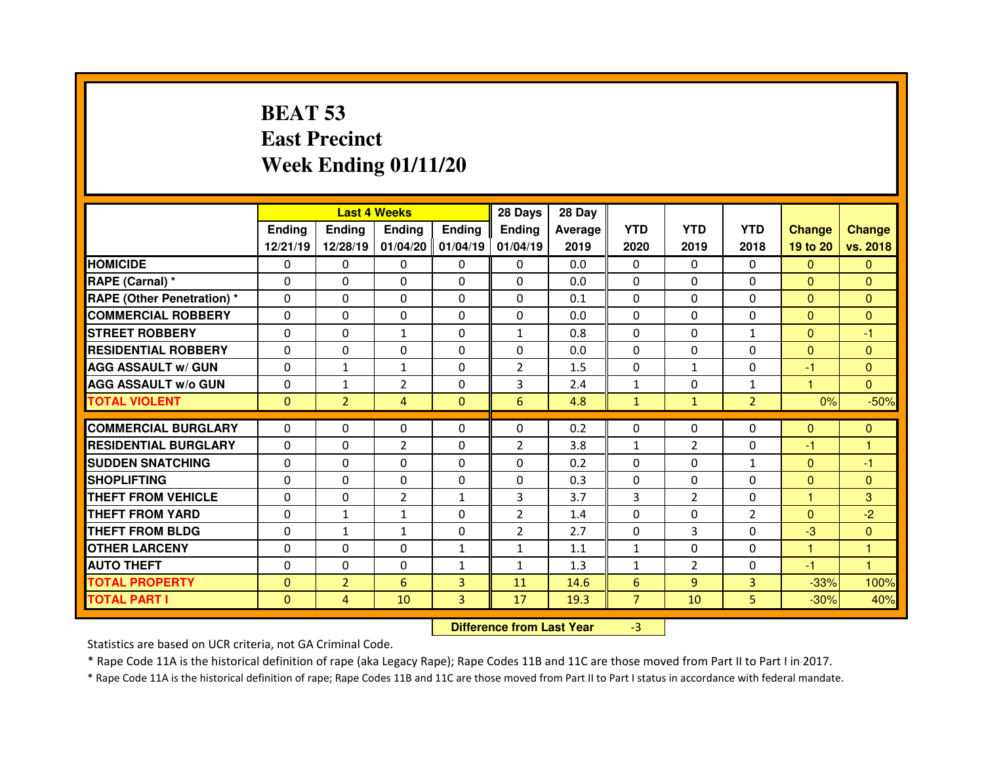# **BEAT 53 East PrecinctWeek Ending 01/11/20**

|                                   |               |                                  | <b>Last 4 Weeks</b> |                   | 28 Days        | 28 Day  |                 |                |                |                |                |
|-----------------------------------|---------------|----------------------------------|---------------------|-------------------|----------------|---------|-----------------|----------------|----------------|----------------|----------------|
|                                   | <b>Ending</b> | <b>Ending</b>                    | <b>Ending</b>       | Ending            | <b>Ending</b>  | Average | <b>YTD</b>      | <b>YTD</b>     | <b>YTD</b>     | <b>Change</b>  | <b>Change</b>  |
|                                   | 12/21/19      | 12/28/19                         |                     | 01/04/20 01/04/19 | 01/04/19       | 2019    | 2020            | 2019           | 2018           | 19 to 20       | vs. 2018       |
| <b>HOMICIDE</b>                   | $\Omega$      | 0                                | 0                   | $\mathbf{0}$      | 0              | 0.0     | $\Omega$        | $\mathbf{0}$   | $\Omega$       | $\mathbf{0}$   | $\Omega$       |
| RAPE (Carnal) *                   | 0             | 0                                | 0                   | $\Omega$          | $\Omega$       | 0.0     | $\Omega$        | $\mathbf{0}$   | $\Omega$       | $\mathbf{0}$   | $\Omega$       |
| <b>RAPE (Other Penetration) *</b> | 0             | 0                                | 0                   | 0                 | 0              | 0.1     | $\Omega$        | $\mathbf 0$    | $\Omega$       | $\overline{0}$ | $\Omega$       |
| <b>COMMERCIAL ROBBERY</b>         | $\Omega$      | 0                                | $\Omega$            | $\Omega$          | $\Omega$       | 0.0     | $\Omega$        | $\mathbf{0}$   | $\Omega$       | $\overline{0}$ | $\Omega$       |
| <b>STREET ROBBERY</b>             | 0             | 0                                | $\mathbf{1}$        | $\Omega$          | $\mathbf{1}$   | 0.8     | $\Omega$        | $\Omega$       | $\mathbf{1}$   | $\mathbf{0}$   | $-1$           |
| <b>RESIDENTIAL ROBBERY</b>        | $\Omega$      | $\Omega$                         | $\Omega$            | $\Omega$          | $\Omega$       | 0.0     | $\Omega$        | $\mathbf{0}$   | $\Omega$       | $\Omega$       | $\Omega$       |
| <b>AGG ASSAULT w/ GUN</b>         | $\Omega$      | $\mathbf{1}$                     | $\mathbf{1}$        | $\Omega$          | $\overline{2}$ | 1.5     | $\Omega$        | $\mathbf{1}$   | $\Omega$       | $-1$           | $\Omega$       |
| <b>AGG ASSAULT w/o GUN</b>        | 0             | $\mathbf{1}$                     | $\overline{2}$      | $\Omega$          | 3              | 2.4     | $\mathbf 1$     | $\mathbf{0}$   | $\mathbf{1}$   | 1              | $\overline{0}$ |
| <b>TOTAL VIOLENT</b>              | $\mathbf{0}$  | $\overline{2}$                   | 4                   | $\mathbf{0}$      | 6              | 4.8     | $\mathbf{1}$    | $\mathbf{1}$   | $\overline{2}$ | 0%             | $-50%$         |
| <b>COMMERCIAL BURGLARY</b>        | $\Omega$      | $\Omega$                         | $\mathbf{0}$        | $\Omega$          | $\Omega$       | 0.2     | 0               | $\Omega$       | $\Omega$       | $\Omega$       | $\mathbf{0}$   |
| <b>RESIDENTIAL BURGLARY</b>       | $\Omega$      | 0                                | $\overline{2}$      | $\Omega$          | $\overline{2}$ | 3.8     | $\mathbf{1}$    | $\overline{2}$ | $\Omega$       | $-1$           | 1              |
| <b>SUDDEN SNATCHING</b>           | 0             | 0                                | 0                   | $\Omega$          | 0              | 0.2     | $\Omega$        | $\Omega$       | $\mathbf{1}$   | $\mathbf{0}$   | -1             |
| <b>SHOPLIFTING</b>                | 0             | 0                                | 0                   | 0                 | $\Omega$       | 0.3     | $\Omega$        | $\Omega$       | $\Omega$       | $\mathbf{0}$   | $\mathbf{0}$   |
| <b>THEFT FROM VEHICLE</b>         | 0             | 0                                | $\overline{2}$      | $\mathbf{1}$      | 3              | 3.7     | 3               | $\overline{2}$ | 0              | 1              | 3              |
| <b>THEFT FROM YARD</b>            | 0             | $\mathbf{1}$                     | $\mathbf{1}$        | 0                 | $\overline{2}$ | 1.4     | $\Omega$        | $\mathbf{0}$   | $\overline{2}$ | $\mathbf{0}$   | $-2$           |
| <b>THEFT FROM BLDG</b>            | 0             | $\mathbf{1}$                     | $\mathbf{1}$        | 0                 | $\overline{2}$ | 2.7     | 0               | 3              | $\Omega$       | $-3$           | $\mathbf{0}$   |
| <b>OTHER LARCENY</b>              | 0             | 0                                | 0                   | $\mathbf{1}$      | $\mathbf{1}$   | 1.1     | $\mathbf{1}$    | $\Omega$       | $\Omega$       | 1              | 1              |
| <b>AUTO THEFT</b>                 | $\Omega$      | 0                                | 0                   | $\mathbf{1}$      | $\mathbf{1}$   | 1.3     | $\mathbf{1}$    | $\overline{2}$ | $\Omega$       | $-1$           | $\overline{1}$ |
| <b>TOTAL PROPERTY</b>             | $\mathbf{0}$  | $\overline{2}$                   | $6\phantom{1}$      | 3                 | 11             | 14.6    | $6\phantom{1}6$ | 9              | $\overline{3}$ | $-33%$         | 100%           |
| <b>TOTAL PART I</b>               | $\mathbf{0}$  | $\overline{4}$                   | 10                  | $\mathbf{3}$      | 17             | 19.3    | $\overline{7}$  | 10             | 5              | $-30%$         | 40%            |
|                                   |               | <b>Difference from Last Year</b> |                     | $-3$              |                |         |                 |                |                |                |                |

Statistics are based on UCR criteria, not GA Criminal Code.

\* Rape Code 11A is the historical definition of rape (aka Legacy Rape); Rape Codes 11B and 11C are those moved from Part II to Part I in 2017.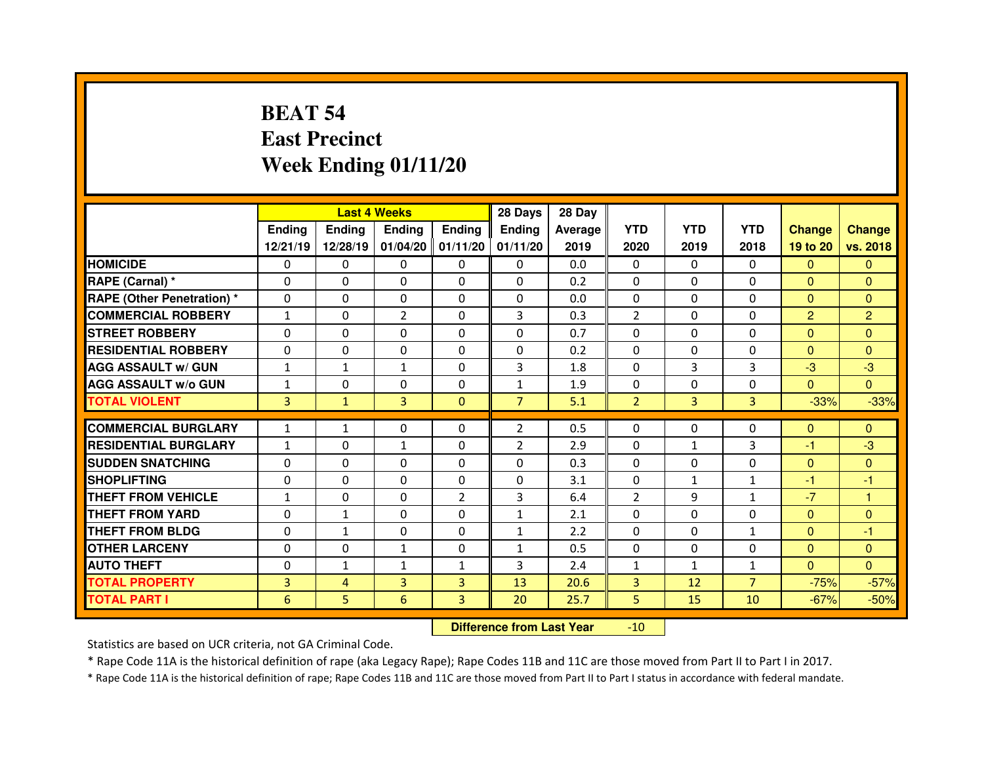# **BEAT 54 East PrecinctWeek Ending 01/11/20**

|                                  |              | <b>Last 4 Weeks</b> |                |                | 28 Days        | 28 Day  |                |                |                |                |                |
|----------------------------------|--------------|---------------------|----------------|----------------|----------------|---------|----------------|----------------|----------------|----------------|----------------|
|                                  | Ending       | <b>Endina</b>       | <b>Ending</b>  | <b>Ending</b>  | Ending         | Average | <b>YTD</b>     | <b>YTD</b>     | <b>YTD</b>     | <b>Change</b>  | <b>Change</b>  |
|                                  | 12/21/19     | 12/28/19            | 01/04/20       | 01/11/20       | 01/11/20       | 2019    | 2020           | 2019           | 2018           | 19 to 20       | vs. 2018       |
| <b>HOMICIDE</b>                  | 0            | 0                   | $\Omega$       | $\Omega$       | 0              | 0.0     | $\Omega$       | $\Omega$       | $\Omega$       | $\Omega$       | $\Omega$       |
| RAPE (Carnal) *                  | $\Omega$     | 0                   | 0              | $\Omega$       | $\Omega$       | 0.2     | $\Omega$       | $\Omega$       | $\Omega$       | $\mathbf{0}$   | $\Omega$       |
| <b>RAPE (Other Penetration)*</b> | $\Omega$     | 0                   | $\Omega$       | $\Omega$       | $\Omega$       | 0.0     | $\Omega$       | $\Omega$       | $\Omega$       | $\mathbf{0}$   | $\Omega$       |
| <b>COMMERCIAL ROBBERY</b>        | $\mathbf{1}$ | 0                   | $\overline{2}$ | $\Omega$       | 3              | 0.3     | $\overline{2}$ | $\Omega$       | $\Omega$       | $\overline{2}$ | $\overline{2}$ |
| <b>STREET ROBBERY</b>            | $\Omega$     | 0                   | $\Omega$       | $\Omega$       | $\Omega$       | 0.7     | $\Omega$       | $\Omega$       | $\Omega$       | $\Omega$       | $\Omega$       |
| <b>RESIDENTIAL ROBBERY</b>       | $\Omega$     | 0                   | $\Omega$       | $\mathbf{0}$   | $\Omega$       | 0.2     | $\Omega$       | $\Omega$       | $\Omega$       | $\Omega$       | $\Omega$       |
| <b>AGG ASSAULT w/ GUN</b>        | $\mathbf{1}$ | $\mathbf{1}$        | $\mathbf{1}$   | $\Omega$       | 3              | 1.8     | $\Omega$       | 3              | 3              | $-3$           | $-3$           |
| <b>AGG ASSAULT w/o GUN</b>       | $\mathbf{1}$ | 0                   | 0              | $\mathbf{0}$   | $\mathbf{1}$   | 1.9     | $\Omega$       | $\Omega$       | 0              | $\overline{0}$ | $\Omega$       |
| <b>TOTAL VIOLENT</b>             | 3            | $\mathbf{1}$        | 3              | $\Omega$       | $\overline{7}$ | 5.1     | $\overline{2}$ | $\overline{3}$ | 3              | $-33%$         | $-33%$         |
|                                  |              |                     |                |                |                |         |                |                |                |                |                |
| <b>COMMERCIAL BURGLARY</b>       | $\mathbf{1}$ | $\mathbf{1}$        | 0              | $\mathbf{0}$   | $\overline{2}$ | 0.5     | $\mathbf{0}$   | $\Omega$       | 0              | $\mathbf{0}$   | $\mathbf{0}$   |
| <b>RESIDENTIAL BURGLARY</b>      | $\mathbf{1}$ | 0                   | $\mathbf{1}$   | 0              | $\overline{2}$ | 2.9     | $\mathbf{0}$   | 1              | 3              | -1             | $-3$           |
| <b>SUDDEN SNATCHING</b>          | 0            | 0                   | 0              | $\mathbf{0}$   | $\Omega$       | 0.3     | $\mathbf{0}$   | $\Omega$       | 0              | $\mathbf{0}$   | $\mathbf{0}$   |
| <b>SHOPLIFTING</b>               | $\Omega$     | 0                   | $\Omega$       | $\mathbf{0}$   | $\Omega$       | 3.1     | $\Omega$       | $\mathbf{1}$   | 1              | -1             | -1             |
| THEFT FROM VEHICLE               | $\mathbf{1}$ | 0                   | 0              | 2              | $\overline{3}$ | 6.4     | $\overline{2}$ | 9              | $\mathbf{1}$   | $-7$           | 1              |
| <b>THEFT FROM YARD</b>           | 0            | $\mathbf{1}$        | $\Omega$       | 0              | $\mathbf{1}$   | 2.1     | $\Omega$       | $\Omega$       | 0              | $\mathbf{0}$   | $\Omega$       |
| <b>THEFT FROM BLDG</b>           | $\Omega$     | $\mathbf{1}$        | 0              | $\mathbf{0}$   | $\mathbf{1}$   | 2.2     | $\Omega$       | $\Omega$       | $\mathbf{1}$   | $\mathbf{0}$   | -1             |
| <b>OTHER LARCENY</b>             | $\Omega$     | 0                   | $\mathbf{1}$   | $\Omega$       | $\mathbf{1}$   | 0.5     | $\Omega$       | $\Omega$       | $\Omega$       | $\Omega$       | $\Omega$       |
| <b>AUTO THEFT</b>                | $\Omega$     | $\mathbf{1}$        | $\mathbf{1}$   | $\mathbf{1}$   | 3              | 2.4     | $\mathbf{1}$   | $\mathbf{1}$   | $\mathbf{1}$   | $\mathbf{0}$   | $\Omega$       |
| <b>TOTAL PROPERTY</b>            | 3            | 4                   | 3              | $\overline{3}$ | 13             | 20.6    | 3              | 12             | $\overline{7}$ | $-75%$         | $-57%$         |
| <b>TOTAL PART I</b>              | 6            | 5                   | 6              | 3              | 20             | 25.7    | 5              | 15             | 10             | $-67%$         | $-50%$         |
|                                  |              |                     |                |                |                |         |                |                |                |                |                |

 **Difference from Last Year** $-10$ 

Statistics are based on UCR criteria, not GA Criminal Code.

\* Rape Code 11A is the historical definition of rape (aka Legacy Rape); Rape Codes 11B and 11C are those moved from Part II to Part I in 2017.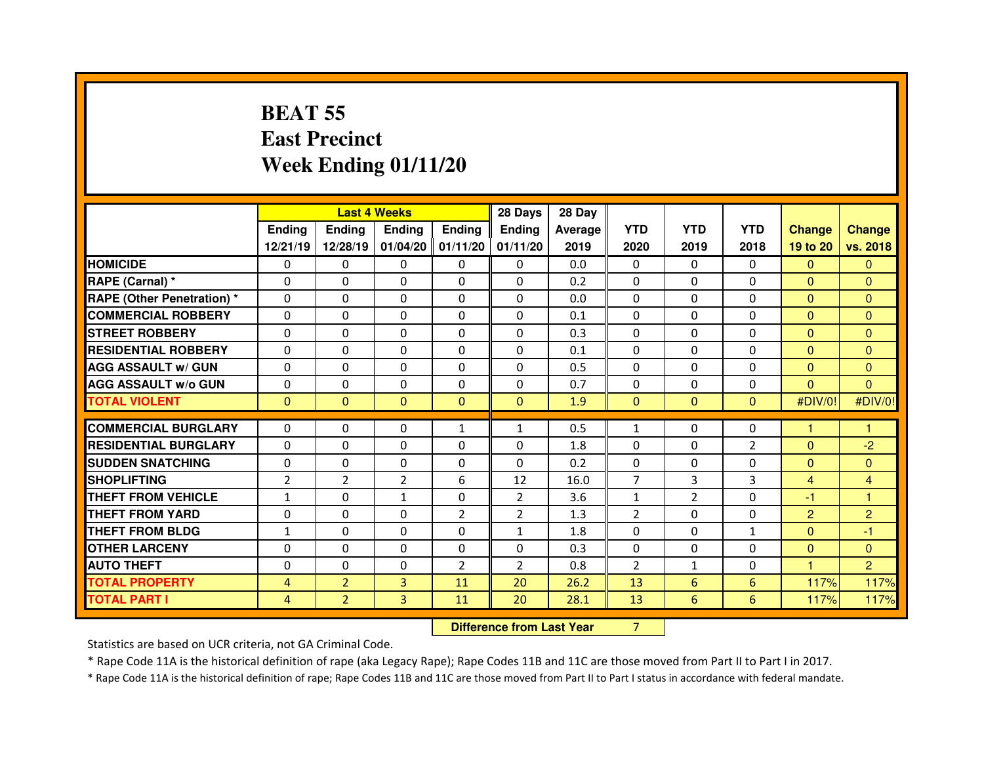## **BEAT 55 East PrecinctWeek Ending 01/11/20**

|                                  |                |                                  | <b>Last 4 Weeks</b> |                     | 28 Days        | 28 Day         |                |                |               |                |                |
|----------------------------------|----------------|----------------------------------|---------------------|---------------------|----------------|----------------|----------------|----------------|---------------|----------------|----------------|
|                                  | Ending         | Ending                           | <b>Ending</b>       | <b>Ending</b>       | Ending         | <b>Average</b> | <b>YTD</b>     | <b>YTD</b>     | <b>YTD</b>    | <b>Change</b>  | <b>Change</b>  |
|                                  | 12/21/19       | 12/28/19                         |                     | $01/04/20$ 01/11/20 | 01/11/20       | 2019           | 2020           | 2019           | 2018          | 19 to 20       | vs. 2018       |
| <b>HOMICIDE</b>                  | 0              | 0                                | 0                   | $\mathbf 0$         | $\mathbf{0}$   | 0.0            | 0              | $\mathbf{0}$   | $\mathbf{0}$  | $\mathbf{0}$   | $\Omega$       |
| RAPE (Carnal) *                  | 0              | 0                                | $\Omega$            | $\Omega$            | $\Omega$       | 0.2            | $\Omega$       | $\mathbf{0}$   | $\Omega$      | $\mathbf{0}$   | $\Omega$       |
| <b>RAPE (Other Penetration)*</b> | 0              | 0                                | $\Omega$            | $\Omega$            | 0              | 0.0            | $\Omega$       | $\mathbf 0$    | $\Omega$      | $\overline{0}$ | $\Omega$       |
| <b>COMMERCIAL ROBBERY</b>        | 0              | 0                                | 0                   | $\Omega$            | $\Omega$       | 0.1            | $\Omega$       | $\Omega$       | $\Omega$      | $\overline{0}$ | $\Omega$       |
| <b>STREET ROBBERY</b>            | $\Omega$       | 0                                | $\Omega$            | $\Omega$            | 0              | 0.3            | $\Omega$       | $\Omega$       | $\Omega$      | $\mathbf{0}$   | $\Omega$       |
| <b>RESIDENTIAL ROBBERY</b>       | 0              | 0                                | $\mathbf{0}$        | $\Omega$            | $\Omega$       | 0.1            | 0              | $\Omega$       | $\Omega$      | $\overline{0}$ | $\Omega$       |
| <b>AGG ASSAULT w/ GUN</b>        | $\Omega$       | 0                                | $\mathbf{0}$        | $\Omega$            | 0              | 0.5            | 0              | $\Omega$       | $\Omega$      | $\mathbf{0}$   | $\Omega$       |
| <b>AGG ASSAULT w/o GUN</b>       | $\mathbf{0}$   | 0                                | $\mathbf{0}$        | $\Omega$            | $\Omega$       | 0.7            | 0              | $\mathbf{0}$   | $\Omega$      | $\mathbf{0}$   | $\Omega$       |
| <b>TOTAL VIOLENT</b>             | $\mathbf{0}$   | $\overline{0}$                   | $\mathbf{0}$        | $\mathbf{0}$        | $\mathbf{0}$   | 1.9            | $\mathbf{0}$   | $\mathbf{0}$   | $\mathbf{0}$  | #DIV/0!        | #DIV/0!        |
| <b>COMMERCIAL BURGLARY</b>       | $\Omega$       | $\Omega$                         | $\Omega$            | $\mathbf{1}$        | $\mathbf{1}$   | 0.5            | $\mathbf{1}$   | $\Omega$       | $\Omega$      | 1              | 1              |
| <b>RESIDENTIAL BURGLARY</b>      | $\Omega$       | $\Omega$                         | $\Omega$            | $\Omega$            | $\Omega$       | 1.8            | $\Omega$       | $\Omega$       | $\mathcal{P}$ | $\mathbf{0}$   | $-2$           |
| <b>SUDDEN SNATCHING</b>          | $\Omega$       | $\Omega$                         | $\Omega$            | $\Omega$            | $\Omega$       | 0.2            | $\Omega$       | $\Omega$       | $\Omega$      | $\overline{0}$ | $\Omega$       |
| <b>SHOPLIFTING</b>               | $\overline{2}$ | $\overline{2}$                   | $\overline{2}$      | 6                   | 12             | 16.0           | $\overline{7}$ | 3              | 3             | $\overline{4}$ | $\overline{4}$ |
| <b>THEFT FROM VEHICLE</b>        | $\mathbf{1}$   | 0                                | $\mathbf{1}$        | $\Omega$            | $\overline{2}$ | 3.6            | $\mathbf{1}$   | $\overline{2}$ | $\Omega$      | -1             | $\mathbf{1}$   |
| <b>THEFT FROM YARD</b>           | 0              | $\Omega$                         | $\mathbf{0}$        | $\overline{2}$      | $\overline{2}$ | 1.3            | 2              | $\Omega$       | $\Omega$      | $\overline{2}$ | $\overline{2}$ |
| <b>THEFT FROM BLDG</b>           | $\mathbf{1}$   | 0                                | 0                   | $\Omega$            | $\mathbf{1}$   | 1.8            | $\Omega$       | $\Omega$       | $\mathbf{1}$  | $\mathbf{0}$   | -1             |
| <b>OTHER LARCENY</b>             | 0              | 0                                | $\mathbf{0}$        | $\Omega$            | 0              | 0.3            | $\Omega$       | 0              | $\Omega$      | $\mathbf{0}$   | $\Omega$       |
| <b>AUTO THEFT</b>                | 0              | 0                                | 0                   | $\overline{2}$      | $\overline{2}$ | 0.8            | $\overline{2}$ | $\mathbf{1}$   | $\Omega$      | 1.             | $\overline{2}$ |
| <b>TOTAL PROPERTY</b>            | $\overline{4}$ | $\overline{2}$                   | 3                   | 11                  | 20             | 26.2           | 13             | 6              | 6             | 117%           | 117%           |
| <b>TOTAL PART I</b>              | 4              | $\overline{2}$                   | 3                   | 11                  | 20             | 28.1           | 13             | 6              | 6             | 117%           | 117%           |
|                                  |                | <b>Difference from Last Year</b> |                     | $\overline{7}$      |                |                |                |                |               |                |                |

 **Difference from Last Year**

Statistics are based on UCR criteria, not GA Criminal Code.

\* Rape Code 11A is the historical definition of rape (aka Legacy Rape); Rape Codes 11B and 11C are those moved from Part II to Part I in 2017.